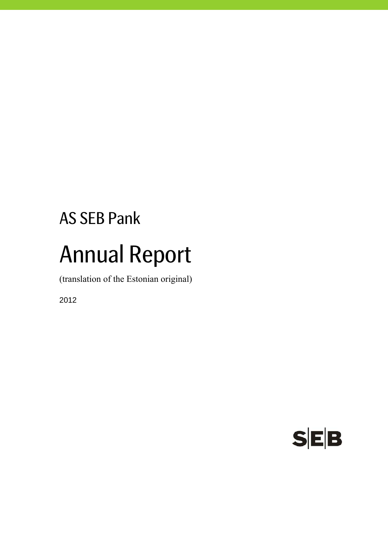# AS SEB Pank Annual Report

(translation of the Estonian original)

2012

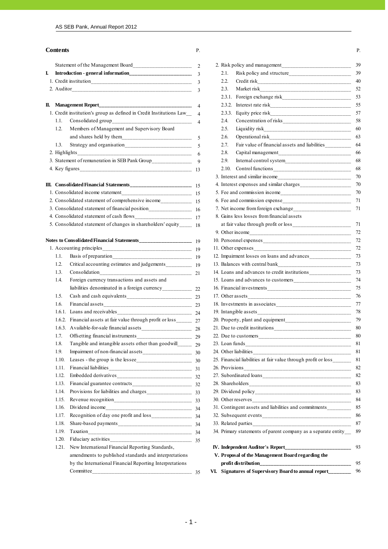#### **Contents** P. **P.** P.

j

| I. |       |                                                                            |  | 2.1.                                                                        |
|----|-------|----------------------------------------------------------------------------|--|-----------------------------------------------------------------------------|
|    |       |                                                                            |  | 2.2.                                                                        |
|    |       |                                                                            |  | 2.3.                                                                        |
|    |       |                                                                            |  |                                                                             |
|    |       |                                                                            |  | 2.3.2.                                                                      |
|    |       | 1. Credit institution's group as defined in Credit Institutions Law 4      |  | 2.3.3.                                                                      |
|    | 1.1.  |                                                                            |  | 2.4.                                                                        |
|    | 1.2.  | Members of Management and Supervisory Board                                |  | 2.5.                                                                        |
|    |       |                                                                            |  | 2.6.                                                                        |
|    | 1.3.  |                                                                            |  | Fair value of financial assets and liabilities<br>2.7.                      |
|    |       |                                                                            |  | 2.8.                                                                        |
|    |       |                                                                            |  | 2.9.                                                                        |
|    |       |                                                                            |  | 2.10.                                                                       |
|    |       |                                                                            |  |                                                                             |
|    |       |                                                                            |  |                                                                             |
|    |       |                                                                            |  |                                                                             |
|    |       |                                                                            |  |                                                                             |
|    |       |                                                                            |  | 7. Net income from foreign exchange                                         |
|    |       |                                                                            |  | 8. Gains less losses from financial assets                                  |
|    |       | 5. Consolidated statement of changes in shareholders' equity_______ 18     |  |                                                                             |
|    |       |                                                                            |  |                                                                             |
|    |       | Notes to Consolidated Financial Statements<br><u> 19</u>                   |  |                                                                             |
|    |       |                                                                            |  |                                                                             |
|    | 1.1.  |                                                                            |  | 12. Impairment losses on loans and advances                                 |
|    | 1.2.  |                                                                            |  | 13. Balances with central bank                                              |
|    | 1.3.  |                                                                            |  |                                                                             |
|    | 1.4.  | Foreign currency transactions and assets and                               |  |                                                                             |
|    |       |                                                                            |  |                                                                             |
|    | 1.5.  |                                                                            |  |                                                                             |
|    | 1.6.  |                                                                            |  |                                                                             |
|    |       |                                                                            |  |                                                                             |
|    |       | 1.6.2. Financial assets at fair value through profit or loss __________ 27 |  |                                                                             |
|    |       |                                                                            |  |                                                                             |
|    | 1.7.  |                                                                            |  |                                                                             |
|    | 1.8.  | Tangible and intangible assets other than goodwill_________ 29             |  |                                                                             |
|    | 1.9.  |                                                                            |  |                                                                             |
|    |       |                                                                            |  | 25. Financial liabilities at fair value through profit or loss__________ 81 |
|    | 1.11. |                                                                            |  |                                                                             |
|    | 1.12. |                                                                            |  |                                                                             |
|    | 1.13. |                                                                            |  |                                                                             |
|    | 1.14. |                                                                            |  |                                                                             |
|    | 1.15. |                                                                            |  |                                                                             |
|    | 1.16. |                                                                            |  | 31. Contingent assets and liabilities and commitments__________             |
|    | 1.17. |                                                                            |  |                                                                             |
|    | 1.18. |                                                                            |  |                                                                             |
|    | 1.19. |                                                                            |  | 34. Primary statements of parent company as a separate entity____ 89        |
|    | 1.20. |                                                                            |  |                                                                             |
|    | 1.21. | New International Financial Reporting Standards,                           |  |                                                                             |
|    |       | amendments to published standards and interpretations                      |  | V. Proposal of the Management Board regarding the                           |
|    |       | by the International Financial Reporting Interpretations                   |  |                                                                             |
|    |       |                                                                            |  |                                                                             |
|    |       |                                                                            |  | VI. Signatures of Supervisory Board to annual report________                |

|       |                                                                            |                | 2.1.   |                                                                             |
|-------|----------------------------------------------------------------------------|----------------|--------|-----------------------------------------------------------------------------|
|       |                                                                            |                | 2.2.   |                                                                             |
|       |                                                                            |                | 2.3.   |                                                                             |
|       |                                                                            |                | 2.3.1. |                                                                             |
|       |                                                                            |                | 2.3.2. |                                                                             |
|       | Credit institution's group as defined in Credit Institutions Law           | $\overline{4}$ |        |                                                                             |
| 1.1.  |                                                                            |                | 2.4.   |                                                                             |
| 1.2.  | Members of Management and Supervisory Board                                |                | 2.5.   |                                                                             |
|       |                                                                            |                | 2.6.   |                                                                             |
| 1.3.  |                                                                            |                | 2.7.   | Fair value of financial assets and liabilities____________                  |
|       |                                                                            |                | 2.8.   |                                                                             |
|       |                                                                            |                | 2.9.   |                                                                             |
|       |                                                                            |                | 2.10.  |                                                                             |
|       |                                                                            |                |        |                                                                             |
|       |                                                                            |                |        |                                                                             |
|       |                                                                            |                |        |                                                                             |
|       |                                                                            |                |        |                                                                             |
|       |                                                                            |                |        |                                                                             |
|       |                                                                            |                |        | 8. Gains less losses from financial assets                                  |
|       | Consolidated statement of changes in shareholders' equity_______ 18        |                |        |                                                                             |
|       |                                                                            |                |        |                                                                             |
|       |                                                                            |                |        |                                                                             |
|       |                                                                            |                |        |                                                                             |
| 1.1.  |                                                                            |                |        | 12. Impairment losses on loans and advances                                 |
| 1.2.  |                                                                            |                |        |                                                                             |
| 1.3.  |                                                                            |                |        |                                                                             |
| 1.4.  | Foreign currency transactions and assets and                               |                |        |                                                                             |
|       |                                                                            |                |        |                                                                             |
| 1.5.  |                                                                            |                |        |                                                                             |
| 1.6.  |                                                                            |                |        |                                                                             |
|       |                                                                            |                |        |                                                                             |
|       | 1.6.2. Financial assets at fair value through profit or loss __________ 27 |                |        |                                                                             |
|       |                                                                            |                |        |                                                                             |
| 1.7.  |                                                                            |                |        |                                                                             |
| 1.8.  | Tangible and intangible assets other than goodwill________ 29              |                |        |                                                                             |
| 1.9.  |                                                                            |                |        | 24. Other liabilities                                                       |
|       |                                                                            |                |        | 25. Financial liabilities at fair value through profit or loss__________ 81 |
|       |                                                                            |                |        |                                                                             |
| 1.12. |                                                                            |                |        |                                                                             |
| 1.13. |                                                                            |                |        |                                                                             |
| 1.14. |                                                                            |                |        |                                                                             |
| 1.15. |                                                                            |                |        |                                                                             |
| 1.16. |                                                                            |                |        | 31. Contingent assets and liabilities and commitments_________              |
| 1.17. |                                                                            |                |        |                                                                             |
| 1.18. |                                                                            |                |        |                                                                             |
| 1.19. |                                                                            |                |        | 34. Primary statements of parent company as a separate entity____ 89        |
| 1.20. |                                                                            |                |        |                                                                             |
| 1.21. | New International Financial Reporting Standards,                           |                |        |                                                                             |
|       | amendments to published standards and interpretations                      |                |        | V. Proposal of the Management Board regarding the                           |
|       | by the International Financial Reporting Interpretations                   |                |        |                                                                             |
|       |                                                                            | 35             |        | VI. Signatures of Supervisory Board to annual report________                |
|       |                                                                            |                |        |                                                                             |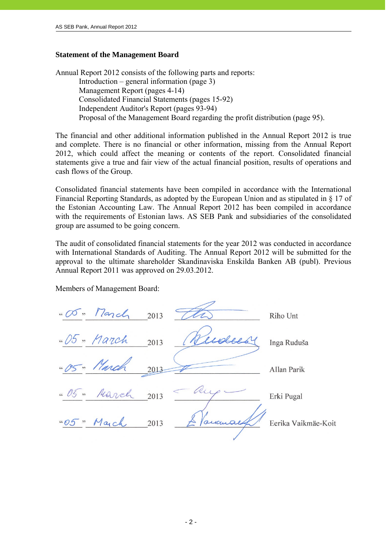#### **Statement of the Management Board**

Annual Report 2012 consists of the following parts and reports: Introduction – general information (page 3) Management Report (pages 4-14) Consolidated Financial Statements (pages 15-92) Independent Auditor's Report (pages 93-94) Proposal of the Management Board regarding the profit distribution (page 95).

The financial and other additional information published in the Annual Report 2012 is true and complete. There is no financial or other information, missing from the Annual Report 2012, which could affect the meaning or contents of the report. Consolidated financial statements give a true and fair view of the actual financial position, results of operations and cash flows of the Group.

Consolidated financial statements have been compiled in accordance with the International Financial Reporting Standards, as adopted by the European Union and as stipulated in § 17 of the Estonian Accounting Law. The Annual Report 2012 has been compiled in accordance with the requirements of Estonian laws. AS SEB Pank and subsidiaries of the consolidated group are assumed to be going concern.

The audit of consolidated financial statements for the year 2012 was conducted in accordance with International Standards of Auditing. The Annual Report 2012 will be submitted for the approval to the ultimate shareholder Skandinaviska Enskilda Banken AB (publ). Previous Annual Report 2011 was approved on 29.03.2012.

Members of Management Board:

 $Planch$   $2013$   $\underline{\hspace{1.5cm}}$   $\underline{\hspace{1.5cm}}$  Riho Unt "\_\_\_\_\_"\_\_\_\_\_\_\_\_\_\_\_\_\_\_\_\_2013 \_\_\_\_\_\_\_\_\_\_\_\_\_\_\_\_\_\_\_\_\_\_ Inga Ruduša  $2013$  Allan Parik au  $2013$  Erki Pugal "05" March 2013 Alawaugh Eerika Vaikmäe-Koit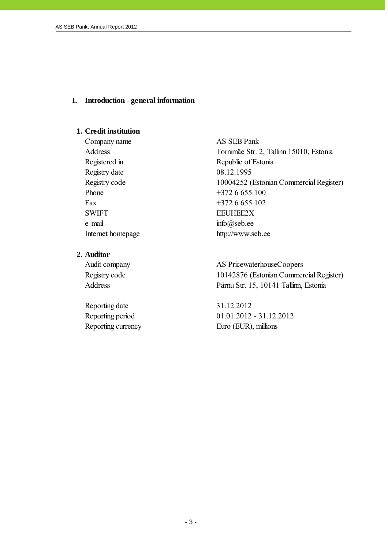#### **I. Introduction - general information**

#### **1. Credit institution**

Company name AS SEB Pank Registry date 08.12.1995 Phone  $+3726655100$ Fax  $+3726655102$ SWIFT EEUHEE2X e-mail info@seb.ee

#### **2. Auditor**

Reporting date 31.12.2012

Address Tornimäe Str. 2, Tallinn 15010, Estonia Registered in Republic of Estonia Registry code 10004252 (Estonian Commercial Register) Internet homepage http://www.seb.ee

Audit company AS PricewaterhouseCoopers Registry code 10142876 (Estonian Commercial Register) Address Pärnu Str. 15, 10141 Tallinn, Estonia

Reporting period 01.01.2012 - 31.12.2012 Reporting currency Euro (EUR), millions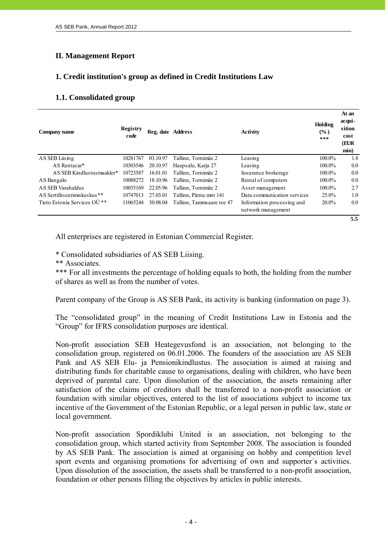# **II. Management Report**

# **1. Credit institution's group as defined in Credit Institutions Law**

# **1.1. Consolidated group**

| Company name                               | Registry<br>code | Reg. date Address |                           | Activity                                         | Holding<br>(%)<br>$***$ | At an<br>acqui-<br>sition<br>cost<br>(EUR<br>mio) |
|--------------------------------------------|------------------|-------------------|---------------------------|--------------------------------------------------|-------------------------|---------------------------------------------------|
| AS SEB Liising                             | 10281767         | 03.10.97          | Tallinn, Tornimäe 2       | Leasing                                          | 100.0%                  | 1.8                                               |
| AS Rentacar*                               | 10303546         | 20.10.97          | Haapsalu, Karja 27        | Leasing                                          | 100.0%                  | 0.0                                               |
| AS SEB Kindlustusmaakler*                  | 10723587         | 16.01.01          | Tallinn, Tornimäe 2       | Insurance brokerage                              | 100.0%                  | 0.0                                               |
| AS Bangalo                                 | 10088272         | 18.10.96          | Tallinn, Tornimäe 2       | Rental of computers                              | 100.0%                  | 0.0                                               |
| AS SEB Varahaldus                          | 10035169         | 22,05.96          | Tallinn, Tornimäe 2       | Asset management                                 | 100.0%                  | 2.7                                               |
| AS Sertifits eerimis kes kus <sup>**</sup> | 10747013         | 27.03.01          | Tallinn, Pärnu mnt 141    | Data communication services                      | $25.0\%$                | 1.0                                               |
| Tieto Estonia Services OÜ <sup>**</sup>    | 11065244         | 30.08.04          | Tallinn, Tammsaare tee 47 | Information processing and<br>network management | $20.0\%$                | 0.0                                               |
|                                            |                  |                   |                           |                                                  |                         | 5.5                                               |

All enterprises are registered in Estonian Commercial Register.

\* Consolidated subsidiaries of AS SEB Liising.

\*\* Associates.

\*\*\* For all investments the percentage of holding equals to both, the holding from the number of shares as well as from the number of votes.

Parent company of the Group is AS SEB Pank, its activity is banking (information on page 3).

The "consolidated group" in the meaning of Credit Institutions Law in Estonia and the "Group" for IFRS consolidation purposes are identical.

Non-profit association SEB Heategevusfond is an association, not belonging to the consolidation group, registered on 06.01.2006. The founders of the association are AS SEB Pank and AS SEB Elu- ja Pensionikindlustus. The association is aimed at raising and distributing funds for charitable cause to organisations, dealing with children, who have been deprived of parental care. Upon dissolution of the association, the assets remaining after satisfaction of the claims of creditors shall be transferred to a non-profit association or foundation with similar objectives, entered to the list of associations subject to income tax incentive of the Government of the Estonian Republic, or a legal person in public law, state or local government.

Non-profit association Spordiklubi United is an association, not belonging to the consolidation group, which started activity from September 2008. The association is founded by AS SEB Pank. The association is aimed at organising on hobby and competition level sport events and organising promotions for advertising of own and supporter´s activities. Upon dissolution of the association, the assets shall be transferred to a non-profit association, foundation or other persons filling the objectives by articles in public interests.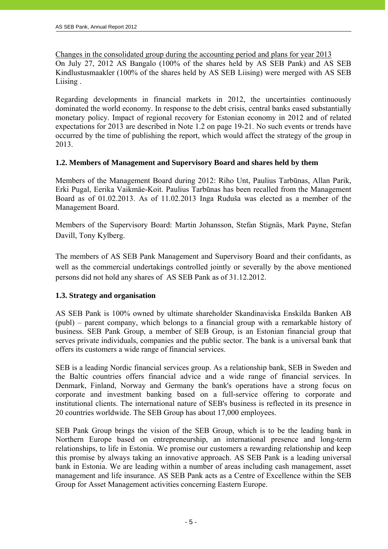Changes in the consolidated group during the accounting period and plans for year 2013 On July 27, 2012 AS Bangalo (100% of the shares held by AS SEB Pank) and AS SEB Kindlustusmaakler (100% of the shares held by AS SEB Liising) were merged with AS SEB Liising .

Regarding developments in financial markets in 2012, the uncertainties continuously dominated the world economy. In response to the debt crisis, central banks eased substantially monetary policy. Impact of regional recovery for Estonian economy in 2012 and of related expectations for 2013 are described in Note 1.2 on page 19-21. No such events or trends have occurred by the time of publishing the report, which would affect the strategy of the group in 2013.

#### **1.2. Members of Management and Supervisory Board and shares held by them**

Members of the Management Board during 2012: Riho Unt, Paulius Tarbūnas, Allan Parik, Erki Pugal, Eerika Vaikmäe-Koit. Paulius Tarbūnas has been recalled from the Management Board as of 01.02.2013. As of 11.02.2013 Inga Ruduša was elected as a member of the Management Board.

Members of the Supervisory Board: Martin Johansson, Stefan Stignäs, Mark Payne, Stefan Davill, Tony Kylberg.

The members of AS SEB Pank Management and Supervisory Board and their confidants, as well as the commercial undertakings controlled jointly or severally by the above mentioned persons did not hold any shares of AS SEB Pank as of 31.12.2012.

# **1.3. Strategy and organisation**

AS SEB Pank is 100% owned by ultimate shareholder Skandinaviska Enskilda Banken AB (publ) – parent company, which belongs to a financial group with a remarkable history of business. SEB Pank Group, a member of SEB Group, is an Estonian financial group that serves private individuals, companies and the public sector. The bank is a universal bank that offers its customers a wide range of financial services.

SEB is a leading Nordic financial services group. As a relationship bank, SEB in Sweden and the Baltic countries offers financial advice and a wide range of financial services. In Denmark, Finland, Norway and Germany the bank's operations have a strong focus on corporate and investment banking based on a full-service offering to corporate and institutional clients. The international nature of SEB's business is reflected in its presence in 20 countries worldwide. The SEB Group has about 17,000 employees.

SEB Pank Group brings the vision of the SEB Group, which is to be the leading bank in Northern Europe based on entrepreneurship, an international presence and long-term relationships, to life in Estonia. We promise our customers a rewarding relationship and keep this promise by always taking an innovative approach. AS SEB Pank is a leading universal bank in Estonia. We are leading within a number of areas including cash management, asset management and life insurance. AS SEB Pank acts as a Centre of Excellence within the SEB Group for Asset Management activities concerning Eastern Europe.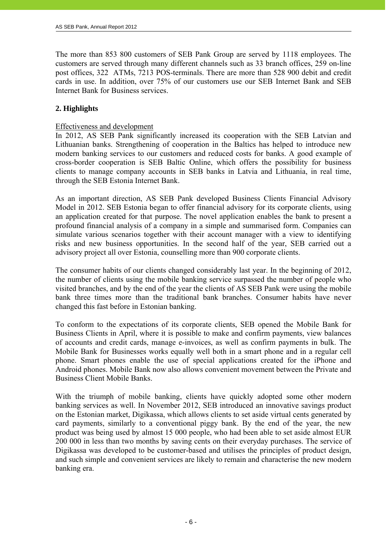The more than 853 800 customers of SEB Pank Group are served by 1118 employees. The customers are served through many different channels such as 33 branch offices, 259 on-line post offices, 322 ATMs, 7213 POS-terminals. There are more than 528 900 debit and credit cards in use. In addition, over 75% of our customers use our SEB Internet Bank and SEB Internet Bank for Business services.

#### **2. Highlights**

j

#### Effectiveness and development

In 2012, AS SEB Pank significantly increased its cooperation with the SEB Latvian and Lithuanian banks. Strengthening of cooperation in the Baltics has helped to introduce new modern banking services to our customers and reduced costs for banks. A good example of cross-border cooperation is SEB Baltic Online, which offers the possibility for business clients to manage company accounts in SEB banks in Latvia and Lithuania, in real time, through the SEB Estonia Internet Bank.

As an important direction, AS SEB Pank developed Business Clients Financial Advisory Model in 2012. SEB Estonia began to offer financial advisory for its corporate clients, using an application created for that purpose. The novel application enables the bank to present a profound financial analysis of a company in a simple and summarised form. Companies can simulate various scenarios together with their account manager with a view to identifying risks and new business opportunities. In the second half of the year, SEB carried out a advisory project all over Estonia, counselling more than 900 corporate clients.

The consumer habits of our clients changed considerably last year. In the beginning of 2012, the number of clients using the mobile banking service surpassed the number of people who visited branches, and by the end of the year the clients of AS SEB Pank were using the mobile bank three times more than the traditional bank branches. Consumer habits have never changed this fast before in Estonian banking.

To conform to the expectations of its corporate clients, SEB opened the Mobile Bank for Business Clients in April, where it is possible to make and confirm payments, view balances of accounts and credit cards, manage e-invoices, as well as confirm payments in bulk. The Mobile Bank for Businesses works equally well both in a smart phone and in a regular cell phone. Smart phones enable the use of special applications created for the iPhone and Android phones. Mobile Bank now also allows convenient movement between the Private and Business Client Mobile Banks.

With the triumph of mobile banking, clients have quickly adopted some other modern banking services as well. In November 2012, SEB introduced an innovative savings product on the Estonian market, Digikassa, which allows clients to set aside virtual cents generated by card payments, similarly to a conventional piggy bank. By the end of the year, the new product was being used by almost 15 000 people, who had been able to set aside almost EUR 200 000 in less than two months by saving cents on their everyday purchases. The service of Digikassa was developed to be customer-based and utilises the principles of product design, and such simple and convenient services are likely to remain and characterise the new modern banking era.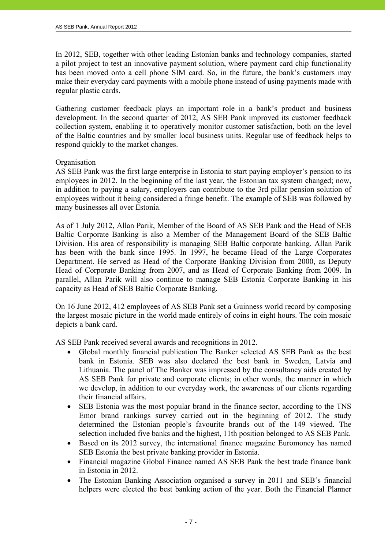In 2012, SEB, together with other leading Estonian banks and technology companies, started a pilot project to test an innovative payment solution, where payment card chip functionality has been moved onto a cell phone SIM card. So, in the future, the bank's customers may make their everyday card payments with a mobile phone instead of using payments made with regular plastic cards.

Gathering customer feedback plays an important role in a bank's product and business development. In the second quarter of 2012, AS SEB Pank improved its customer feedback collection system, enabling it to operatively monitor customer satisfaction, both on the level of the Baltic countries and by smaller local business units. Regular use of feedback helps to respond quickly to the market changes.

#### **Organisation**

AS SEB Pank was the first large enterprise in Estonia to start paying employer's pension to its employees in 2012. In the beginning of the last year, the Estonian tax system changed; now, in addition to paying a salary, employers can contribute to the 3rd pillar pension solution of employees without it being considered a fringe benefit. The example of SEB was followed by many businesses all over Estonia.

As of 1 July 2012, Allan Parik, Member of the Board of AS SEB Pank and the Head of SEB Baltic Corporate Banking is also a Member of the Management Board of the SEB Baltic Division. His area of responsibility is managing SEB Baltic corporate banking. Allan Parik has been with the bank since 1995. In 1997, he became Head of the Large Corporates Department. He served as Head of the Corporate Banking Division from 2000, as Deputy Head of Corporate Banking from 2007, and as Head of Corporate Banking from 2009. In parallel, Allan Parik will also continue to manage SEB Estonia Corporate Banking in his capacity as Head of SEB Baltic Corporate Banking.

On 16 June 2012, 412 employees of AS SEB Pank set a Guinness world record by composing the largest mosaic picture in the world made entirely of coins in eight hours. The coin mosaic depicts a bank card.

AS SEB Pank received several awards and recognitions in 2012.

- Global monthly financial publication The Banker selected AS SEB Pank as the best bank in Estonia. SEB was also declared the best bank in Sweden, Latvia and Lithuania. The panel of The Banker was impressed by the consultancy aids created by AS SEB Pank for private and corporate clients; in other words, the manner in which we develop, in addition to our everyday work, the awareness of our clients regarding their financial affairs.
- SEB Estonia was the most popular brand in the finance sector, according to the TNS Emor brand rankings survey carried out in the beginning of 2012. The study determined the Estonian people's favourite brands out of the 149 viewed. The selection included five banks and the highest, 11th position belonged to AS SEB Pank.
- Based on its 2012 survey, the international finance magazine Euromoney has named SEB Estonia the best private banking provider in Estonia.
- Financial magazine Global Finance named AS SEB Pank the best trade finance bank in Estonia in 2012.
- The Estonian Banking Association organised a survey in 2011 and SEB's financial helpers were elected the best banking action of the year. Both the Financial Planner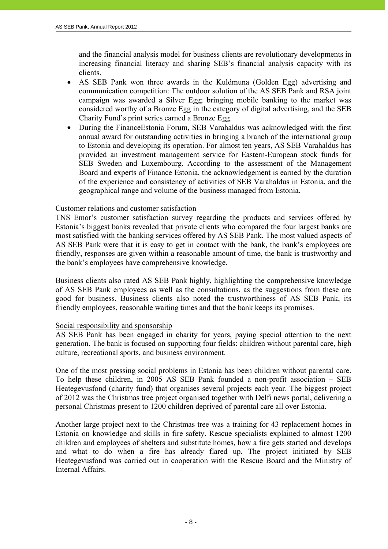and the financial analysis model for business clients are revolutionary developments in increasing financial literacy and sharing SEB's financial analysis capacity with its clients.

- AS SEB Pank won three awards in the Kuldmuna (Golden Egg) advertising and communication competition: The outdoor solution of the AS SEB Pank and RSA joint campaign was awarded a Silver Egg; bringing mobile banking to the market was considered worthy of a Bronze Egg in the category of digital advertising, and the SEB Charity Fund's print series earned a Bronze Egg.
- During the FinanceEstonia Forum, SEB Varahaldus was acknowledged with the first annual award for outstanding activities in bringing a branch of the international group to Estonia and developing its operation. For almost ten years, AS SEB Varahaldus has provided an investment management service for Eastern-European stock funds for SEB Sweden and Luxembourg. According to the assessment of the Management Board and experts of Finance Estonia, the acknowledgement is earned by the duration of the experience and consistency of activities of SEB Varahaldus in Estonia, and the geographical range and volume of the business managed from Estonia.

#### Customer relations and customer satisfaction

TNS Emor's customer satisfaction survey regarding the products and services offered by Estonia's biggest banks revealed that private clients who compared the four largest banks are most satisfied with the banking services offered by AS SEB Pank. The most valued aspects of AS SEB Pank were that it is easy to get in contact with the bank, the bank's employees are friendly, responses are given within a reasonable amount of time, the bank is trustworthy and the bank's employees have comprehensive knowledge.

Business clients also rated AS SEB Pank highly, highlighting the comprehensive knowledge of AS SEB Pank employees as well as the consultations, as the suggestions from these are good for business. Business clients also noted the trustworthiness of AS SEB Pank, its friendly employees, reasonable waiting times and that the bank keeps its promises.

#### Social responsibility and sponsorship

AS SEB Pank has been engaged in charity for years, paying special attention to the next generation. The bank is focused on supporting four fields: children without parental care, high culture, recreational sports, and business environment.

One of the most pressing social problems in Estonia has been children without parental care. To help these children, in 2005 AS SEB Pank founded a non-profit association – SEB Heategevusfond (charity fund) that organises several projects each year. The biggest project of 2012 was the Christmas tree project organised together with Delfi news portal, delivering a personal Christmas present to 1200 children deprived of parental care all over Estonia.

Another large project next to the Christmas tree was a training for 43 replacement homes in Estonia on knowledge and skills in fire safety. Rescue specialists explained to almost 1200 children and employees of shelters and substitute homes, how a fire gets started and develops and what to do when a fire has already flared up. The project initiated by SEB Heategevusfond was carried out in cooperation with the Rescue Board and the Ministry of Internal Affairs.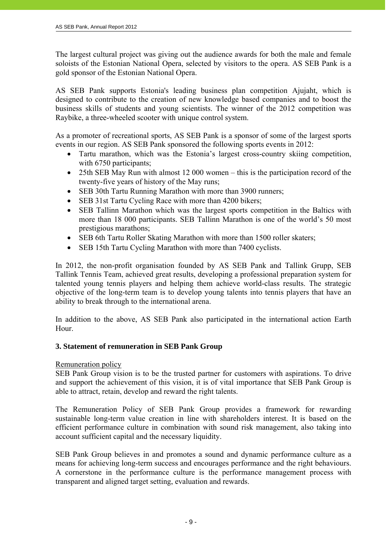The largest cultural project was giving out the audience awards for both the male and female soloists of the Estonian National Opera, selected by visitors to the opera. AS SEB Pank is a gold sponsor of the Estonian National Opera.

AS SEB Pank supports Estonia's leading business plan competition Ajujaht, which is designed to contribute to the creation of new knowledge based companies and to boost the business skills of students and young scientists. The winner of the 2012 competition was Raybike, a three-wheeled scooter with unique control system.

As a promoter of recreational sports, AS SEB Pank is a sponsor of some of the largest sports events in our region. AS SEB Pank sponsored the following sports events in 2012:

- Tartu marathon, which was the Estonia's largest cross-country skiing competition, with 6750 participants;
- 25th SEB May Run with almost 12 000 women this is the participation record of the twenty-five years of history of the May runs;
- SEB 30th Tartu Running Marathon with more than 3900 runners;
- SEB 31st Tartu Cycling Race with more than 4200 bikers;
- SEB Tallinn Marathon which was the largest sports competition in the Baltics with more than 18 000 participants. SEB Tallinn Marathon is one of the world's 50 most prestigious marathons;
- SEB 6th Tartu Roller Skating Marathon with more than 1500 roller skaters;
- SEB 15th Tartu Cycling Marathon with more than 7400 cyclists.

In 2012, the non-profit organisation founded by AS SEB Pank and Tallink Grupp, SEB Tallink Tennis Team, achieved great results, developing a professional preparation system for talented young tennis players and helping them achieve world-class results. The strategic objective of the long-term team is to develop young talents into tennis players that have an ability to break through to the international arena.

In addition to the above, AS SEB Pank also participated in the international action Earth Hour.

# **3. Statement of remuneration in SEB Pank Group**

#### Remuneration policy

SEB Pank Group vision is to be the trusted partner for customers with aspirations. To drive and support the achievement of this vision, it is of vital importance that SEB Pank Group is able to attract, retain, develop and reward the right talents.

The Remuneration Policy of SEB Pank Group provides a framework for rewarding sustainable long-term value creation in line with shareholders interest. It is based on the efficient performance culture in combination with sound risk management, also taking into account sufficient capital and the necessary liquidity.

SEB Pank Group believes in and promotes a sound and dynamic performance culture as a means for achieving long-term success and encourages performance and the right behaviours. A cornerstone in the performance culture is the performance management process with transparent and aligned target setting, evaluation and rewards.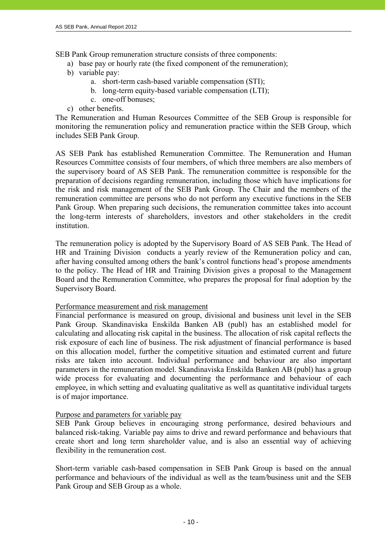SEB Pank Group remuneration structure consists of three components:

- a) base pay or hourly rate (the fixed component of the remuneration);
- b) variable pay:
	- a. short-term cash-based variable compensation (STI);
	- b. long-term equity-based variable compensation (LTI);
	- c. one-off bonuses;
- c) other benefits.

The Remuneration and Human Resources Committee of the SEB Group is responsible for monitoring the remuneration policy and remuneration practice within the SEB Group, which includes SEB Pank Group.

AS SEB Pank has established Remuneration Committee. The Remuneration and Human Resources Committee consists of four members, of which three members are also members of the supervisory board of AS SEB Pank. The remuneration committee is responsible for the preparation of decisions regarding remuneration, including those which have implications for the risk and risk management of the SEB Pank Group. The Chair and the members of the remuneration committee are persons who do not perform any executive functions in the SEB Pank Group. When preparing such decisions, the remuneration committee takes into account the long-term interests of shareholders, investors and other stakeholders in the credit institution.

The remuneration policy is adopted by the Supervisory Board of AS SEB Pank. The Head of HR and Training Division conducts a yearly review of the Remuneration policy and can, after having consulted among others the bank's control functions head's propose amendments to the policy. The Head of HR and Training Division gives a proposal to the Management Board and the Remuneration Committee, who prepares the proposal for final adoption by the Supervisory Board.

#### Performance measurement and risk management

Financial performance is measured on group, divisional and business unit level in the SEB Pank Group. Skandinaviska Enskilda Banken AB (publ) has an established model for calculating and allocating risk capital in the business. The allocation of risk capital reflects the risk exposure of each line of business. The risk adjustment of financial performance is based on this allocation model, further the competitive situation and estimated current and future risks are taken into account. Individual performance and behaviour are also important parameters in the remuneration model. Skandinaviska Enskilda Banken AB (publ) has a group wide process for evaluating and documenting the performance and behaviour of each employee, in which setting and evaluating qualitative as well as quantitative individual targets is of major importance.

#### Purpose and parameters for variable pay

SEB Pank Group believes in encouraging strong performance, desired behaviours and balanced risk-taking. Variable pay aims to drive and reward performance and behaviours that create short and long term shareholder value, and is also an essential way of achieving flexibility in the remuneration cost.

Short-term variable cash-based compensation in SEB Pank Group is based on the annual performance and behaviours of the individual as well as the team/business unit and the SEB Pank Group and SEB Group as a whole.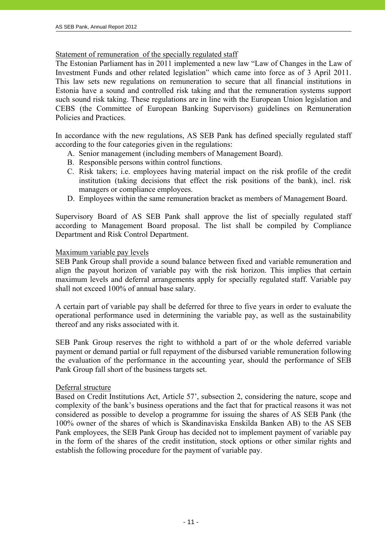#### Statement of remuneration of the specially regulated staff

The Estonian Parliament has in 2011 implemented a new law "Law of Changes in the Law of Investment Funds and other related legislation" which came into force as of 3 April 2011. This law sets new regulations on remuneration to secure that all financial institutions in Estonia have a sound and controlled risk taking and that the remuneration systems support such sound risk taking. These regulations are in line with the European Union legislation and CEBS (the Committee of European Banking Supervisors) guidelines on Remuneration Policies and Practices.

In accordance with the new regulations, AS SEB Pank has defined specially regulated staff according to the four categories given in the regulations:

- A. Senior management (including members of Management Board).
- B. Responsible persons within control functions.
- C. Risk takers; i.e. employees having material impact on the risk profile of the credit institution (taking decisions that effect the risk positions of the bank), incl. risk managers or compliance employees.
- D. Employees within the same remuneration bracket as members of Management Board.

Supervisory Board of AS SEB Pank shall approve the list of specially regulated staff according to Management Board proposal. The list shall be compiled by Compliance Department and Risk Control Department.

#### Maximum variable pay levels

SEB Pank Group shall provide a sound balance between fixed and variable remuneration and align the payout horizon of variable pay with the risk horizon. This implies that certain maximum levels and deferral arrangements apply for specially regulated staff. Variable pay shall not exceed 100% of annual base salary.

A certain part of variable pay shall be deferred for three to five years in order to evaluate the operational performance used in determining the variable pay, as well as the sustainability thereof and any risks associated with it.

SEB Pank Group reserves the right to withhold a part of or the whole deferred variable payment or demand partial or full repayment of the disbursed variable remuneration following the evaluation of the performance in the accounting year, should the performance of SEB Pank Group fall short of the business targets set.

#### Deferral structure

Based on Credit Institutions Act, Article 57', subsection 2, considering the nature, scope and complexity of the bank's business operations and the fact that for practical reasons it was not considered as possible to develop a programme for issuing the shares of AS SEB Pank (the 100% owner of the shares of which is Skandinaviska Enskilda Banken AB) to the AS SEB Pank employees, the SEB Pank Group has decided not to implement payment of variable pay in the form of the shares of the credit institution, stock options or other similar rights and establish the following procedure for the payment of variable pay.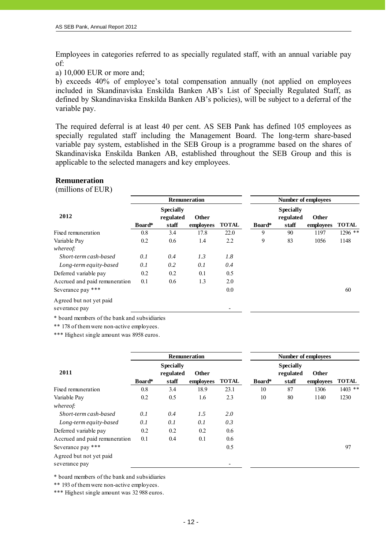Employees in categories referred to as specially regulated staff, with an annual variable pay of:

a) 10,000 EUR or more and;

b) exceeds 40% of employee's total compensation annually (not applied on employees included in Skandinaviska Enskilda Banken AB's List of Specially Regulated Staff, as defined by Skandinaviska Enskilda Banken AB's policies), will be subject to a deferral of the variable pay.

The required deferral is at least 40 per cent. AS SEB Pank has defined 105 employees as specially regulated staff including the Management Board. The long-term share-based variable pay system, established in the SEB Group is a programme based on the shares of Skandinaviska Enskilda Banken AB, established throughout the SEB Group and this is applicable to the selected managers and key employees.

#### **Remuneration**

(millions of EUR)

|                                          |        | <b>Remuneration</b>                    |                           |              |        |                                        | Number of employees       |              |
|------------------------------------------|--------|----------------------------------------|---------------------------|--------------|--------|----------------------------------------|---------------------------|--------------|
| 2012                                     | Board* | <b>Specially</b><br>regulated<br>staff | <b>Other</b><br>employees | <b>TOTAL</b> | Board* | <b>Specially</b><br>regulated<br>staff | <b>Other</b><br>employees | <b>TOTAL</b> |
| Fixed remuneration                       | 0.8    | 3.4                                    | 17.8                      | 22.0         | 9      | 90                                     | 1197                      | $1296$ **    |
| Variable Pay                             | 0.2    | 0.6                                    | 1.4                       | 2.2          | 9      | 83                                     | 1056                      | 1148         |
| whereof:                                 |        |                                        |                           |              |        |                                        |                           |              |
| Short-term cash-based                    | 0.1    | 0.4                                    | 1.3                       | 1.8          |        |                                        |                           |              |
| Long-term equity-based                   | 0.1    | 0.2                                    | 0.1                       | 0.4          |        |                                        |                           |              |
| Deferred variable pay                    | 0.2    | 0.2                                    | 0.1                       | 0.5          |        |                                        |                           |              |
| Accrued and paid remuneration            | 0.1    | 0.6                                    | 1.3                       | 2.0          |        |                                        |                           |              |
| Severance pay ***                        |        |                                        |                           | 0.0          |        |                                        |                           | 60           |
| Agreed but not yet paid<br>severance pay |        |                                        |                           |              |        |                                        |                           |              |

\* board members of the bank and subsidiaries

\*\* 178 of them were non-active employees.

\*\*\* Highest single amount was 8958 euros.

|                               |        |                                        | <b>Remuneration</b>       |              |        | <b>Number of employees</b>             |                           |              |
|-------------------------------|--------|----------------------------------------|---------------------------|--------------|--------|----------------------------------------|---------------------------|--------------|
| 2011                          | Board* | <b>Specially</b><br>regulated<br>staff | <b>Other</b><br>employees | <b>TOTAL</b> | Board* | <b>Specially</b><br>regulated<br>staff | <b>Other</b><br>employees | <b>TOTAL</b> |
| Fixed remuneration            | 0.8    | 3.4                                    | 18.9                      | 23.1         | 10     | 87                                     | 1306                      | $1403$ **    |
| Variable Pay                  | 0.2    | 0.5                                    | 1.6                       | 2.3          | 10     | 80                                     | 1140                      | 1230         |
| whereof:                      |        |                                        |                           |              |        |                                        |                           |              |
| Short-term cash-based         | 0.1    | 0.4                                    | 1.5                       | 2.0          |        |                                        |                           |              |
| Long-term equity-based        | 0.1    | 0.1                                    | 0.1                       | 0.3          |        |                                        |                           |              |
| Deferred variable pay         | 0.2    | 0.2                                    | 0.2                       | 0.6          |        |                                        |                           |              |
| Accrued and paid remuneration | 0.1    | 0.4                                    | 0.1                       | 0.6          |        |                                        |                           |              |
| Severance pay ***             |        |                                        |                           | 0.5          |        |                                        |                           | 97           |
| Agreed but not yet paid       |        |                                        |                           |              |        |                                        |                           |              |
| severance pay                 |        |                                        |                           |              |        |                                        |                           |              |

\* board members of the bank and subsidiaries

\*\* 193 of them were non-active employees.

\*\*\* Highest single amount was 32 988 euros.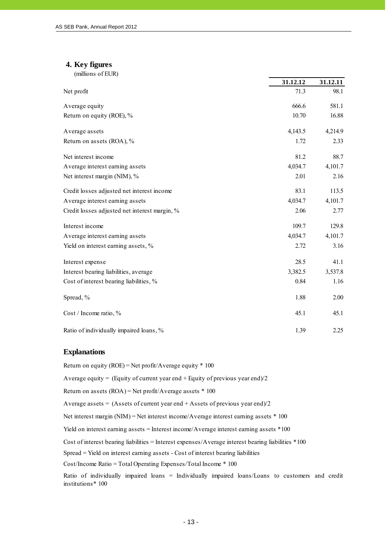#### **4. Key figures**

j

(millions of EUR)

|                                               | 31.12.12 | 31.12.11 |
|-----------------------------------------------|----------|----------|
| Net profit                                    | 71.3     | 98.1     |
| Average equity                                | 666.6    | 581.1    |
| Return on equity (ROE), %                     | 10.70    | 16.88    |
| Average assets                                | 4,143.5  | 4,214.9  |
| Return on assets (ROA), %                     | 1.72     | 2.33     |
| Net interest income                           | 81.2     | 88.7     |
| Average interest earning assets               | 4,034.7  | 4,101.7  |
| Net interest margin (NIM), %                  | 2.01     | 2.16     |
| Credit losses adjusted net interest income    | 83.1     | 113.5    |
| Average interest earning assets               | 4,034.7  | 4,101.7  |
| Credit losses adjusted net interest margin, % | 2.06     | 2.77     |
| Interest income                               | 109.7    | 129.8    |
| Average interest earning assets               | 4,034.7  | 4,101.7  |
| Yield on interest earning assets, %           | 2.72     | 3.16     |
| Interest expense                              | 28.5     | 41.1     |
| Interest bearing liabilities, average         | 3,382.5  | 3,537.8  |
| Cost of interest bearing liabilities, %       | 0.84     | 1.16     |
| Spread, %                                     | 1.88     | 2.00     |
| Cost / Income ratio, %                        | 45.1     | 45.1     |
| Ratio of individually impaired loans, %       | 1.39     | 2.25     |

#### **Explanations**

Return on equity (ROE) = Net profit/Average equity \* 100 Average equity = (Equity of current year end + Equity of previous year end)/2 Return on assets  $(ROA)$  = Net profit/Average assets  $* 100$ Average assets =  $(As_{s})$  (Assets of current year end + Assets of previous year end)/2 Spread = Yield on interest earning assets - Cost of interest bearing liabilities Cost/Income Ratio = Total Operating Expenses/Total Income \* 100 Cost of interest bearing liabilities = Interest expenses/Average interest bearing liabilities \*100 Ratio of individually impaired loans = Individually impaired loans/Loans to customers and credit institutions\* 100 Net interest margin (NIM) = Net interest income/Average interest earning assets \* 100 Yield on interest earning assets = Interest income/Average interest earning assets \*100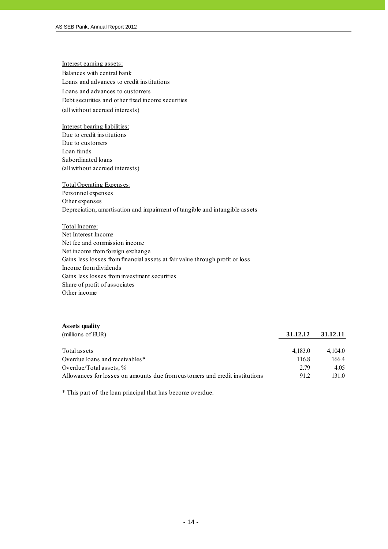#### Interest earning assets:

Balances with central bank Loans and advances to credit institutions Loans and advances to customers Debt securities and other fixed income securities (all without accrued interests)

Interest bearing liabilities: Due to credit institutions Due to customers Loan funds Subordinated loans (all without accrued interests)

Total Operating Expenses: Personnel expenses Other expenses Depreciation, amortisation and impairment of tangible and intangible assets

Total Income: Net Interest Income Net fee and commission income Net income from foreign exchange Gains less losses from financial assets at fair value through profit or loss Income from dividends Gains less losses from investment securities Share of profit of associates Other income

#### **Assets quality**

| (millions of EUR)                                                           | 31.12.12 | 31.12.11 |
|-----------------------------------------------------------------------------|----------|----------|
| Total assets                                                                | 4.183.0  | 4.104.0  |
| Overdue loans and receivables*                                              | 116.8    | 166.4    |
| Overdue/Total assets, $\%$                                                  | 2.79     | 4.05     |
| Allowances for losses on amounts due from customers and credit institutions | 91 2     | 1310     |

\* This part of the loan principal that has become overdue.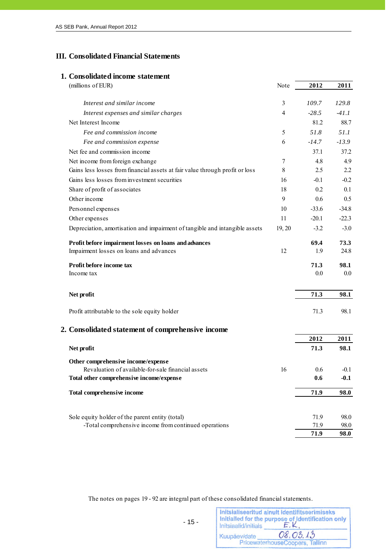# **III. Consolidated Financial Statements**

#### **1. Consolidated income statement**

| (millions of EUR)                                                                                        | Note           | 2012         | 2011         |
|----------------------------------------------------------------------------------------------------------|----------------|--------------|--------------|
| Interest and similar income                                                                              | 3              | 109.7        | 129.8        |
| Interest expenses and similar charges                                                                    | $\overline{4}$ | $-28.5$      | $-41.1$      |
| Net Interest Income                                                                                      |                | 81.2         | 88.7         |
| Fee and commission income                                                                                | 5              | 51.8         | 51.1         |
| Fee and commission expense                                                                               | 6              | $-14.7$      | $-13.9$      |
| Net fee and commission income                                                                            |                | 37.1         | 37.2         |
| Net income from foreign exchange                                                                         | 7              | 4.8          | 4.9          |
| Gains less losses from financial assets at fair value through profit or loss                             | 8              | 2.5          | 2.2          |
| Gains less losses from investment securities                                                             | 16             | $-0.1$       | $-0.2$       |
| Share of profit of associates                                                                            | 18             | 0.2          | 0.1          |
| Other income                                                                                             | 9              | 0.6          | 0.5          |
| Personnel expenses                                                                                       | 10             | $-33.6$      | $-34.8$      |
| Other expenses                                                                                           | 11             | $-20.1$      | $-22.3$      |
| Depreciation, amortisation and impairment of tangible and intangible assets                              | 19, 20         | $-3.2$       | $-3.0$       |
| Profit before impairment losses on loans and advances                                                    |                | 69.4         | 73.3         |
| Impairment losses on loans and advances                                                                  | 12             | 1.9          | 24.8         |
| Profit before income tax                                                                                 |                | 71.3         | 98.1         |
| Income tax                                                                                               |                | 0.0          | $0.0\,$      |
| Net profit                                                                                               |                | 71.3         | 98.1         |
| Profit attributable to the sole equity holder                                                            |                | 71.3         | 98.1         |
| 2. Consolidated statement of comprehensive income                                                        |                |              |              |
|                                                                                                          |                | 2012         | 2011         |
| Net profit                                                                                               |                | 71.3         | 98.1         |
| Other comprehensive income/expense                                                                       |                |              |              |
| Revaluation of available-for-sale financial assets                                                       | 16             | 0.6          | $-0.1$       |
| Total other comprehensive income/expense                                                                 |                | 0.6          | $-0.1$       |
| Total comprehensive income                                                                               |                | 71.9         | 98.0         |
|                                                                                                          |                |              |              |
| Sole equity holder of the parent entity (total)<br>-Total comprehensive income from continued operations |                | 71.9         | 98.0         |
|                                                                                                          |                | 71.9<br>71.9 | 98.0<br>98.0 |
|                                                                                                          |                |              |              |

The notes on pages 19 - 92 are integral part of these consolidated financial statements.

| Initsiaalid/initials | Initsialiseeritud ainult identifitseerimiseks<br>Initialled for the purpose of identification only<br>Initsiaalid/initials $E$ , K, |
|----------------------|-------------------------------------------------------------------------------------------------------------------------------------|
| Kuupäev/date         | 08.03.13                                                                                                                            |
|                      | PricewaterhouseCoopers, Tallinn                                                                                                     |

- 15 -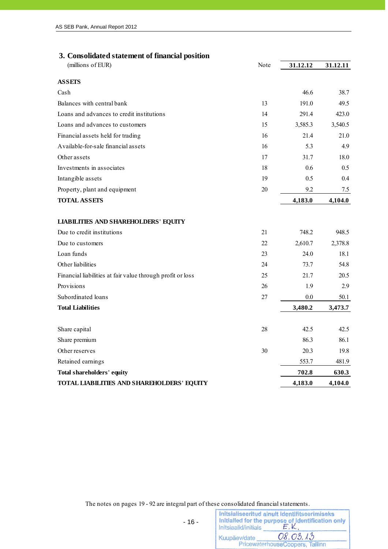# **3. Consolidated statement of financial position**

| (millions of EUR)                                          | Note | 31.12.12 | 31.12.11 |
|------------------------------------------------------------|------|----------|----------|
| <b>ASSETS</b>                                              |      |          |          |
| Cash                                                       |      | 46.6     | 38.7     |
| Balances with central bank                                 | 13   | 191.0    | 49.5     |
| Loans and advances to credit institutions                  | 14   | 291.4    | 423.0    |
| Loans and advances to customers                            | 15   | 3,585.3  | 3,540.5  |
| Financial assets held for trading                          | 16   | 21.4     | 21.0     |
| Available-for-sale financial assets                        | 16   | 5.3      | 4.9      |
| Other assets                                               | 17   | 31.7     | 18.0     |
| Investments in associates                                  | 18   | 0.6      | 0.5      |
| Intangible assets                                          | 19   | 0.5      | 0.4      |
| Property, plant and equipment                              | 20   | 9.2      | 7.5      |
| <b>TOTAL ASSETS</b>                                        |      | 4,183.0  | 4,104.0  |
| <b>LIABILITIES AND SHAREHOLDERS' EQUITY</b>                |      |          |          |
| Due to credit institutions                                 | 21   | 748.2    | 948.5    |
| Due to customers                                           | 22   | 2,610.7  | 2,378.8  |
| Loan funds                                                 | 23   | 24.0     | 18.1     |
| Other liabilities                                          | 24   | 73.7     | 54.8     |
| Financial liabilities at fair value through profit or loss | 25   | 21.7     | 20.5     |
| Provisions                                                 | 26   | 1.9      | 2.9      |
| Subordinated loans                                         | 27   | 0.0      | 50.1     |
| <b>Total Liabilities</b>                                   |      | 3,480.2  | 3,473.7  |
| Share capital                                              | 28   | 42.5     | 42.5     |
| Share premium                                              |      | 86.3     | 86.1     |
| Other reserves                                             | 30   | 20.3     | 19.8     |
| Retained earnings                                          |      | 553.7    | 481.9    |
| Total shareholders' equity                                 |      | 702.8    | 630.3    |
| TOTAL LIABILITIES AND SHAREHOLDERS' EQUITY                 |      | 4,183.0  | 4,104.0  |

The notes on pages 19 - 92 are integral part of these consolidated financial statements.

| Initsiaalid/initials | Initsialiseeritud ainult identifitseerimiseks<br>Initialled for the purpose of Identification only |
|----------------------|----------------------------------------------------------------------------------------------------|
| Kuupäev/date         | 08.03.13                                                                                           |
|                      | PricewaterhouseCoopers, Tallinn                                                                    |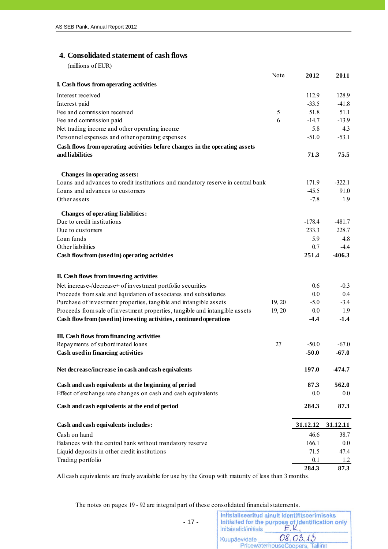### **4. Consolidated statement of cash flows**

(millions of EUR)

j

|                                                                                                                    | Note   | 2012     | 2011     |
|--------------------------------------------------------------------------------------------------------------------|--------|----------|----------|
| I. Cash flows from operating activities                                                                            |        |          |          |
| Interest received                                                                                                  |        | 112.9    | 128.9    |
| Interest paid                                                                                                      |        | $-33.5$  | $-41.8$  |
| Fee and commission received                                                                                        | 5      | 51.8     | 51.1     |
| Fee and commission paid                                                                                            | 6      | $-14.7$  | $-13.9$  |
| Net trading income and other operating income                                                                      |        | 5.8      | 4.3      |
| Personnel expenses and other operating expenses                                                                    |        | $-51.0$  | $-53.1$  |
| Cash flows from operating activities before changes in the operating assets                                        |        |          |          |
| and liabilities                                                                                                    |        | 71.3     | 75.5     |
|                                                                                                                    |        |          |          |
| Changes in operating assets:                                                                                       |        | 171.9    | $-322.1$ |
| Loans and advances to credit institutions and mandatory reserve in central bank<br>Loans and advances to customers |        | $-45.5$  | 91.0     |
| Other assets                                                                                                       |        | $-7.8$   | 1.9      |
|                                                                                                                    |        |          |          |
| <b>Changes of operating liabilities:</b>                                                                           |        |          |          |
| Due to credit institutions                                                                                         |        | $-178.4$ | $-481.7$ |
| Due to customers                                                                                                   |        | 233.3    | 228.7    |
| Loan funds                                                                                                         |        | 5.9      | 4.8      |
| Other liabilities                                                                                                  |        | 0.7      | $-4.4$   |
| Cash flow from (used in) operating activities                                                                      |        | 251.4    | $-406.3$ |
|                                                                                                                    |        |          |          |
| II. Cash flows from investing activities                                                                           |        |          |          |
| Net increase-/decrease+ of investment portfolio securities                                                         |        | 0.6      | $-0.3$   |
| Proceeds from sale and liquidation of associates and subsidiaries                                                  |        | 0.0      | 0.4      |
| Purchase of investment properties, tangible and intangible assets                                                  | 19, 20 | $-5.0$   | $-3.4$   |
| Proceeds from sale of investment properties, tangible and intangible assets                                        | 19, 20 | 0.0      | 1.9      |
| Cash flow from (used in) investing activities, continued operations                                                |        | $-4.4$   | $-1.4$   |
| III. Cash flows from financing activities                                                                          |        |          |          |
| Repayments of subordinated loans                                                                                   | 27     | $-50.0$  | $-67.0$  |
| Cash used in financing activities                                                                                  |        | $-50.0$  | $-67.0$  |
| Net decrease/increase in cash and cash equivalents                                                                 |        | 197.0    | $-474.7$ |
| Cash and cash equivalents at the beginning of period                                                               |        | 87.3     | 562.0    |
| Effect of exchange rate changes on cash and cash equivalents                                                       |        | 0.0      | $0.0\,$  |
| Cash and cash equivalents at the end of period                                                                     |        | 284.3    | 87.3     |
| Cash and cash equivalents includes:                                                                                |        | 31.12.12 | 31.12.11 |
| Cash on hand                                                                                                       |        | 46.6     | 38.7     |
| Balances with the central bank without mandatory reserve                                                           |        | 166.1    | $0.0\,$  |
| Liquid deposits in other credit institutions                                                                       |        | 71.5     | 47.4     |
| Trading portfolio                                                                                                  |        | 0.1      | 1.2      |
|                                                                                                                    |        | 284.3    | 87.3     |

All cash equivalents are freely available for use by the Group with maturity of less than 3 months.

The notes on pages 19 - 92 are integral part of these consolidated financial statements.

| Initsiaalid/initials | Initsialiseeritud ainult Identifitseerimiseks<br>Initialled for the purpose of Identification only |
|----------------------|----------------------------------------------------------------------------------------------------|
| Kuupäev/date         | 08.03.13                                                                                           |
|                      | PricewaterhouseCoopers, Tallinn                                                                    |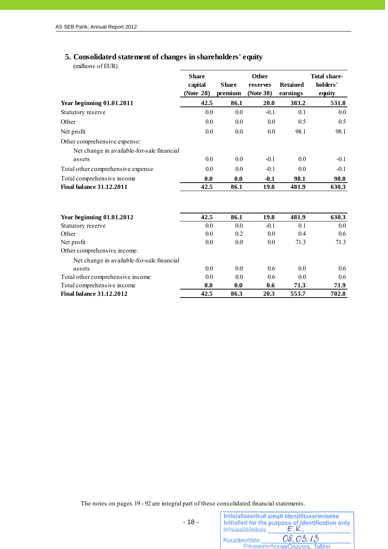#### **5. Consolidated statement of changes in shareholders' equity**

(millions of EUR)

|                                            | <b>Share</b><br>capital<br>(Note 28) | <b>Share</b><br>premium | Other<br>reserves<br>(Note 30) | <b>Retained</b><br>earnings | <b>Total share-</b><br>holders'<br>equity |
|--------------------------------------------|--------------------------------------|-------------------------|--------------------------------|-----------------------------|-------------------------------------------|
| <b>Year beginning 01.01.2011</b>           | 42.5                                 | 86.1                    | 20.0                           | 383.2                       | 531.8                                     |
| Statutory reserve                          | 0.0                                  | 0.0                     | $-0.1$                         | 0.1                         | 0.0                                       |
| Other                                      | 0.0                                  | 0.0                     | 0.0                            | 0.5                         | 0.5                                       |
| Net profit                                 | 0.0                                  | 0.0                     | 0.0                            | 98.1                        | 98.1                                      |
| Other comprehensive expense:               |                                      |                         |                                |                             |                                           |
| Net change in available-for-sale financial |                                      |                         |                                |                             |                                           |
| assets                                     | 0.0                                  | 0.0                     | $-0.1$                         | 0.0                         | $-0.1$                                    |
| Total other comprehensive expense          | 0.0                                  | 0.0                     | $-0.1$                         | 0.0                         | $-0.1$                                    |
| Total comprehensive income                 | 0.0                                  | 0.0                     | $-0.1$                         | 98.1                        | 98.0                                      |
| <b>Final balance 31.12.2011</b>            | 42.5                                 | 86.1                    | 19.8                           | 481.9                       | 630.3                                     |
|                                            |                                      |                         |                                |                             |                                           |
| <b>Year beginning 01.01.2012</b>           | 42.5                                 | 86.1                    | 19.8                           | 481.9                       | 630.3                                     |
| Statutory reserve                          | 0.0                                  | 0.0                     | $-0.1$                         | 0.1                         | $0.0\,$                                   |
| Other                                      | 0.0                                  | 0.2                     | 0.0                            | 0.4                         | 0.6                                       |
| Net profit                                 | 0.0                                  | 0.0                     | 0.0                            | 71.3                        | 71.3                                      |
| Other comprehensive income:                |                                      |                         |                                |                             |                                           |
| Net change in available-for-sale financial |                                      |                         |                                |                             |                                           |
| assets                                     | 0.0                                  | 0.0                     | 0.6                            | 0.0                         | 0.6                                       |
| Total other comprehensive income           | 0.0                                  | 0.0                     | 0.6                            | 0.0                         | 0.6                                       |
| Total comprehensive income                 | 0.0                                  | 0.0                     | 0.6                            | 71.3                        | 71.9                                      |
| <b>Final balance 31.12.2012</b>            | 42.5                                 | 86.3                    | 20.3                           | 553.7                       | 702.8                                     |

The notes on pages 19 - 92 are integral part of these consolidated financial statements.

**Initsialiseeritud ainult Identifitseerimiseks** Initialled for the purpose of Identification<br>Initialized initialled initials<br> $E.K$ Initsiaalid/initials 08.03.13 Kuupäev/date PricewaterhouseCoopers, Tallinn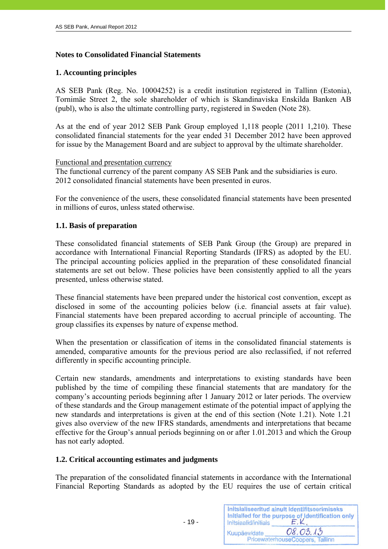#### **Notes to Consolidated Financial Statements**

## **1. Accounting principles**

AS SEB Pank (Reg. No. 10004252) is a credit institution registered in Tallinn (Estonia), Tornimäe Street 2, the sole shareholder of which is Skandinaviska Enskilda Banken AB (publ), who is also the ultimate controlling party, registered in Sweden (Note 28).

As at the end of year 2012 SEB Pank Group employed 1,118 people (2011 1,210). These consolidated financial statements for the year ended 31 December 2012 have been approved for issue by the Management Board and are subject to approval by the ultimate shareholder.

#### Functional and presentation currency

The functional currency of the parent company AS SEB Pank and the subsidiaries is euro. 2012 consolidated financial statements have been presented in euros.

For the convenience of the users, these consolidated financial statements have been presented in millions of euros, unless stated otherwise.

#### **1.1. Basis of preparation**

These consolidated financial statements of SEB Pank Group (the Group) are prepared in accordance with International Financial Reporting Standards (IFRS) as adopted by the EU. The principal accounting policies applied in the preparation of these consolidated financial statements are set out below. These policies have been consistently applied to all the years presented, unless otherwise stated.

These financial statements have been prepared under the historical cost convention, except as disclosed in some of the accounting policies below (i.e. financial assets at fair value). Financial statements have been prepared according to accrual principle of accounting. The group classifies its expenses by nature of expense method.

When the presentation or classification of items in the consolidated financial statements is amended, comparative amounts for the previous period are also reclassified, if not referred differently in specific accounting principle.

Certain new standards, amendments and interpretations to existing standards have been published by the time of compiling these financial statements that are mandatory for the company's accounting periods beginning after 1 January 2012 or later periods. The overview of these standards and the Group management estimate of the potential impact of applying the new standards and interpretations is given at the end of this section (Note 1.21). Note 1.21 gives also overview of the new IFRS standards, amendments and interpretations that became effective for the Group's annual periods beginning on or after 1.01.2013 and which the Group has not early adopted.

#### **1.2. Critical accounting estimates and judgments**

- 19 -

The preparation of the consolidated financial statements in accordance with the International Financial Reporting Standards as adopted by the EU requires the use of certain critical

| Initsiaalid/initials | Initsialiseeritud ainult Identifitseerimiseks<br>Initialled for the purpose of Identification only |
|----------------------|----------------------------------------------------------------------------------------------------|
| Kuupäev/date         | 08.03.13                                                                                           |
|                      | PricewaterhouseCoopers, Tallinn                                                                    |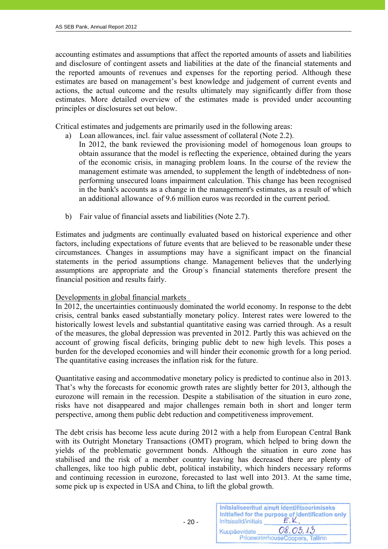accounting estimates and assumptions that affect the reported amounts of assets and liabilities and disclosure of contingent assets and liabilities at the date of the financial statements and the reported amounts of revenues and expenses for the reporting period. Although these estimates are based on management's best knowledge and judgement of current events and actions, the actual outcome and the results ultimately may significantly differ from those estimates. More detailed overview of the estimates made is provided under accounting principles or disclosures set out below.

Critical estimates and judgements are primarily used in the following areas:

- a) Loan allowances, incl. fair value assessment of collateral (Note 2.2).
	- In 2012, the bank reviewed the provisioning model of homogenous loan groups to obtain assurance that the model is reflecting the experience, obtained during the years of the economic crisis, in managing problem loans. In the course of the review the management estimate was amended, to supplement the length of indebtedness of nonperforming unsecured loans impairment calculation. This change has been recognised in the bank's accounts as a change in the management's estimates, as a result of which an additional allowance of 9.6 million euros was recorded in the current period.
- b) Fair value of financial assets and liabilities (Note 2.7).

Estimates and judgments are continually evaluated based on historical experience and other factors, including expectations of future events that are believed to be reasonable under these circumstances. Changes in assumptions may have a significant impact on the financial statements in the period assumptions change. Management believes that the underlying assumptions are appropriate and the Group´s financial statements therefore present the financial position and results fairly.

#### Developments in global financial markets

In 2012, the uncertainties continuously dominated the world economy. In response to the debt crisis, central banks eased substantially monetary policy. Interest rates were lowered to the historically lowest levels and substantial quantitative easing was carried through. As a result of the measures, the global depression was prevented in 2012. Partly this was achieved on the account of growing fiscal deficits, bringing public debt to new high levels. This poses a burden for the developed economies and will hinder their economic growth for a long period. The quantitative easing increases the inflation risk for the future.

Quantitative easing and accommodative monetary policy is predicted to continue also in 2013. That's why the forecasts for economic growth rates are slightly better for 2013, although the eurozone will remain in the recession. Despite a stabilisation of the situation in euro zone, risks have not disappeared and major challenges remain both in short and longer term perspective, among them public debt reduction and competitiveness improvement.

The debt crisis has become less acute during 2012 with a help from European Central Bank with its Outright Monetary Transactions (OMT) program, which helped to bring down the yields of the problematic government bonds. Although the situation in euro zone has stabilised and the risk of a member country leaving has decreased there are plenty of challenges, like too high public debt, political instability, which hinders necessary reforms and continuing recession in eurozone, forecasted to last well into 2013. At the same time, some pick up is expected in USA and China, to lift the global growth.

|                      | Initsialiseeritud ainult identifitseerimiseks     |
|----------------------|---------------------------------------------------|
| Initsiaalid/initials | Initialled for the purpose of Identification only |
| Kuupäev/date         | 08.03.13                                          |
|                      | PricewaterhouseCoopers, Tallinn                   |

 $- 20 -$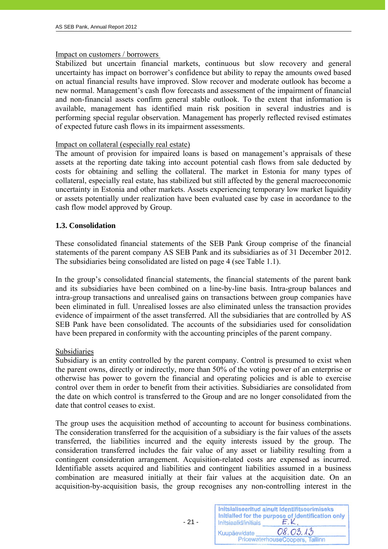#### Impact on customers / borrowers

Stabilized but uncertain financial markets, continuous but slow recovery and general uncertainty has impact on borrower's confidence but ability to repay the amounts owed based on actual financial results have improved. Slow recover and moderate outlook has become a new normal. Management's cash flow forecasts and assessment of the impairment of financial and non-financial assets confirm general stable outlook. To the extent that information is available, management has identified main risk position in several industries and is performing special regular observation. Management has properly reflected revised estimates of expected future cash flows in its impairment assessments.

#### Impact on collateral (especially real estate)

The amount of provision for impaired loans is based on management's appraisals of these assets at the reporting date taking into account potential cash flows from sale deducted by costs for obtaining and selling the collateral. The market in Estonia for many types of collateral, especially real estate, has stabilized but still affected by the general macroeconomic uncertainty in Estonia and other markets. Assets experiencing temporary low market liquidity or assets potentially under realization have been evaluated case by case in accordance to the cash flow model approved by Group.

#### **1.3. Consolidation**

These consolidated financial statements of the SEB Pank Group comprise of the financial statements of the parent company AS SEB Pank and its subsidiaries as of 31 December 2012. The subsidiaries being consolidated are listed on page 4 (see Table 1.1).

In the group's consolidated financial statements, the financial statements of the parent bank and its subsidiaries have been combined on a line-by-line basis. Intra-group balances and intra-group transactions and unrealised gains on transactions between group companies have been eliminated in full. Unrealised losses are also eliminated unless the transaction provides evidence of impairment of the asset transferred. All the subsidiaries that are controlled by AS SEB Pank have been consolidated. The accounts of the subsidiaries used for consolidation have been prepared in conformity with the accounting principles of the parent company.

#### **Subsidiaries**

Subsidiary is an entity controlled by the parent company. Control is presumed to exist when the parent owns, directly or indirectly, more than 50% of the voting power of an enterprise or otherwise has power to govern the financial and operating policies and is able to exercise control over them in order to benefit from their activities. Subsidiaries are consolidated from the date on which control is transferred to the Group and are no longer consolidated from the date that control ceases to exist.

The group uses the acquisition method of accounting to account for business combinations. The consideration transferred for the acquisition of a subsidiary is the fair values of the assets transferred, the liabilities incurred and the equity interests issued by the group. The consideration transferred includes the fair value of any asset or liability resulting from a contingent consideration arrangement. Acquisition-related costs are expensed as incurred. Identifiable assets acquired and liabilities and contingent liabilities assumed in a business combination are measured initially at their fair values at the acquisition date. On an acquisition-by-acquisition basis, the group recognises any non-controlling interest in the

| - 21 - | Initsialiseeritud ainult Identifitseerimiseks<br>Initialled for the purpose of Identification only<br>Initsiaalid/initials |
|--------|----------------------------------------------------------------------------------------------------------------------------|
|        | 08.03.13<br>Kuupäev/date<br>PricewaterhouseCoopers, Tallinn                                                                |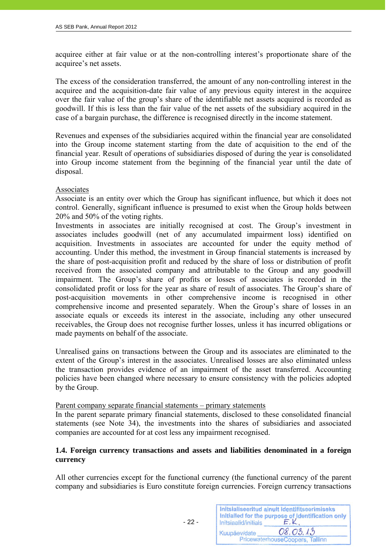acquiree either at fair value or at the non-controlling interest's proportionate share of the acquiree's net assets.

The excess of the consideration transferred, the amount of any non-controlling interest in the acquiree and the acquisition-date fair value of any previous equity interest in the acquiree over the fair value of the group's share of the identifiable net assets acquired is recorded as goodwill. If this is less than the fair value of the net assets of the subsidiary acquired in the case of a bargain purchase, the difference is recognised directly in the income statement.

Revenues and expenses of the subsidiaries acquired within the financial year are consolidated into the Group income statement starting from the date of acquisition to the end of the financial year. Result of operations of subsidiaries disposed of during the year is consolidated into Group income statement from the beginning of the financial year until the date of disposal.

#### Associates

Associate is an entity over which the Group has significant influence, but which it does not control. Generally, significant influence is presumed to exist when the Group holds between 20% and 50% of the voting rights.

Investments in associates are initially recognised at cost. The Group's investment in associates includes goodwill (net of any accumulated impairment loss) identified on acquisition. Investments in associates are accounted for under the equity method of accounting. Under this method, the investment in Group financial statements is increased by the share of post-acquisition profit and reduced by the share of loss or distribution of profit received from the associated company and attributable to the Group and any goodwill impairment. The Group's share of profits or losses of associates is recorded in the consolidated profit or loss for the year as share of result of associates. The Group's share of post-acquisition movements in other comprehensive income is recognised in other comprehensive income and presented separately. When the Group's share of losses in an associate equals or exceeds its interest in the associate, including any other unsecured receivables, the Group does not recognise further losses, unless it has incurred obligations or made payments on behalf of the associate.

Unrealised gains on transactions between the Group and its associates are eliminated to the extent of the Group's interest in the associates. Unrealised losses are also eliminated unless the transaction provides evidence of an impairment of the asset transferred. Accounting policies have been changed where necessary to ensure consistency with the policies adopted by the Group.

#### Parent company separate financial statements – primary statements

 $- 22 -$ 

In the parent separate primary financial statements, disclosed to these consolidated financial statements (see Note 34), the investments into the shares of subsidiaries and associated companies are accounted for at cost less any impairment recognised.

#### **1.4. Foreign currency transactions and assets and liabilities denominated in a foreign currency**

All other currencies except for the functional currency (the functional currency of the parent company and subsidiaries is Euro constitute foreign currencies. Foreign currency transactions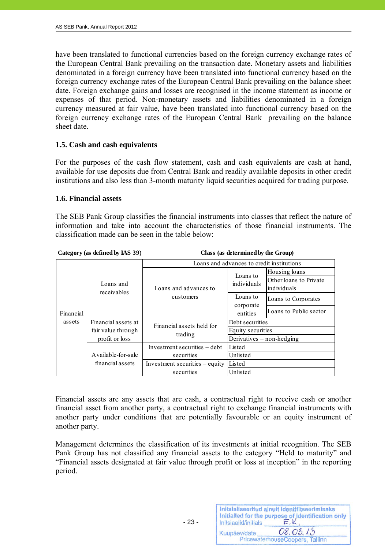have been translated to functional currencies based on the foreign currency exchange rates of the European Central Bank prevailing on the transaction date. Monetary assets and liabilities denominated in a foreign currency have been translated into functional currency based on the foreign currency exchange rates of the European Central Bank prevailing on the balance sheet date. Foreign exchange gains and losses are recognised in the income statement as income or expenses of that period. Non-monetary assets and liabilities denominated in a foreign currency measured at fair value, have been translated into functional currency based on the foreign currency exchange rates of the European Central Bank prevailing on the balance sheet date.

#### **1.5. Cash and cash equivalents**

For the purposes of the cash flow statement, cash and cash equivalents are cash at hand, available for use deposits due from Central Bank and readily available deposits in other credit institutions and also less than 3-month maturity liquid securities acquired for trading purpose.

#### **1.6. Financial assets**

The SEB Pank Group classifies the financial instruments into classes that reflect the nature of information and take into account the characteristics of those financial instruments. The classification made can be seen in the table below:

**Category (as defined by IAS 39) Class (as determined by the Group)**

|           |                     |                                  |                             | Loans and advances to credit institutions |
|-----------|---------------------|----------------------------------|-----------------------------|-------------------------------------------|
|           |                     |                                  | Loans to                    | Housing loans                             |
|           | Loans and           |                                  | individuals                 | Other loans to Private                    |
|           | receivables         | Loans and advances to            |                             | individuals                               |
|           |                     | customers                        | Loans to                    | Loans to Corporates                       |
|           |                     |                                  | corporate                   |                                           |
| Financial |                     |                                  | entities                    | Loans to Public sector                    |
|           |                     |                                  |                             |                                           |
| assets    | Financial assets at | Financial assets held for        | Debt securities             |                                           |
|           | fair value through  |                                  | Equity securities           |                                           |
|           | profit or loss      | trading                          | Derivatives $-$ non-hedging |                                           |
|           |                     | Investment securities – debt     | Listed                      |                                           |
|           | Available-for-sale  | securities                       | Unlisted                    |                                           |
|           | financial assets    | Investment securities $-$ equity | Listed                      |                                           |
|           |                     | securities                       | Unlisted                    |                                           |

Financial assets are any assets that are cash, a contractual right to receive cash or another financial asset from another party, a contractual right to exchange financial instruments with another party under conditions that are potentially favourable or an equity instrument of another party.

Management determines the classification of its investments at initial recognition. The SEB Pank Group has not classified any financial assets to the category "Held to maturity" and "Financial assets designated at fair value through profit or loss at inception" in the reporting period.

| Initsiaalid/initials | Initsialiseeritud ainult identifitseerimiseks<br>Initialled for the purpose of Identification only |
|----------------------|----------------------------------------------------------------------------------------------------|
| Kuupäev/date         | 08.03.13                                                                                           |
|                      | PricewaterhouseCoopers, Tallinn                                                                    |

 $- 23 -$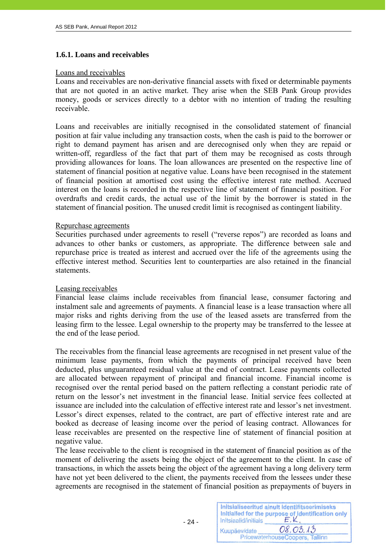#### **1.6.1. Loans and receivables**

#### Loans and receivables

Loans and receivables are non-derivative financial assets with fixed or determinable payments that are not quoted in an active market. They arise when the SEB Pank Group provides money, goods or services directly to a debtor with no intention of trading the resulting receivable.

Loans and receivables are initially recognised in the consolidated statement of financial position at fair value including any transaction costs, when the cash is paid to the borrower or right to demand payment has arisen and are derecognised only when they are repaid or written-off, regardless of the fact that part of them may be recognised as costs through providing allowances for loans. The loan allowances are presented on the respective line of statement of financial position at negative value. Loans have been recognised in the statement of financial position at amortised cost using the effective interest rate method. Accrued interest on the loans is recorded in the respective line of statement of financial position. For overdrafts and credit cards, the actual use of the limit by the borrower is stated in the statement of financial position. The unused credit limit is recognised as contingent liability.

#### Repurchase agreements

Securities purchased under agreements to resell ("reverse repos") are recorded as loans and advances to other banks or customers, as appropriate. The difference between sale and repurchase price is treated as interest and accrued over the life of the agreements using the effective interest method. Securities lent to counterparties are also retained in the financial statements.

#### Leasing receivables

Financial lease claims include receivables from financial lease, consumer factoring and instalment sale and agreements of payments. A financial lease is a lease transaction where all major risks and rights deriving from the use of the leased assets are transferred from the leasing firm to the lessee. Legal ownership to the property may be transferred to the lessee at the end of the lease period.

The receivables from the financial lease agreements are recognised in net present value of the minimum lease payments, from which the payments of principal received have been deducted, plus unguaranteed residual value at the end of contract. Lease payments collected are allocated between repayment of principal and financial income. Financial income is recognised over the rental period based on the pattern reflecting a constant periodic rate of return on the lessor's net investment in the financial lease. Initial service fees collected at issuance are included into the calculation of effective interest rate and lessor's net investment. Lessor's direct expenses, related to the contract, are part of effective interest rate and are booked as decrease of leasing income over the period of leasing contract. Allowances for lease receivables are presented on the respective line of statement of financial position at negative value.

The lease receivable to the client is recognised in the statement of financial position as of the moment of delivering the assets being the object of the agreement to the client. In case of transactions, in which the assets being the object of the agreement having a long delivery term have not yet been delivered to the client, the payments received from the lessees under these agreements are recognised in the statement of financial position as prepayments of buyers in

- 24 -

| Initsiaalid/initials | Initsialiseeritud ainult identifitseerimiseks<br>Initialled for the purpose of identification only |
|----------------------|----------------------------------------------------------------------------------------------------|
|                      | 08.03.13                                                                                           |
|                      | PricewaterhouseCoopers, Tallinn                                                                    |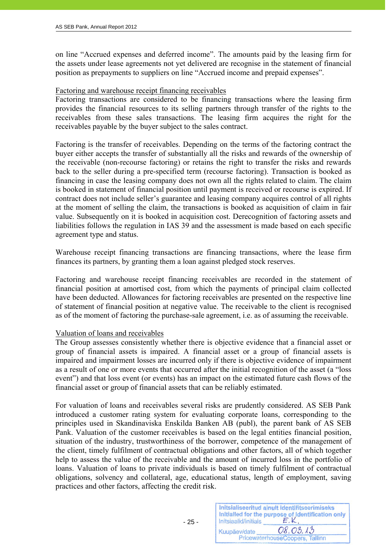on line "Accrued expenses and deferred income". The amounts paid by the leasing firm for the assets under lease agreements not yet delivered are recognise in the statement of financial position as prepayments to suppliers on line "Accrued income and prepaid expenses".

#### Factoring and warehouse receipt financing receivables

Factoring transactions are considered to be financing transactions where the leasing firm provides the financial resources to its selling partners through transfer of the rights to the receivables from these sales transactions. The leasing firm acquires the right for the receivables payable by the buyer subject to the sales contract.

Factoring is the transfer of receivables. Depending on the terms of the factoring contract the buyer either accepts the transfer of substantially all the risks and rewards of the ownership of the receivable (non-recourse factoring) or retains the right to transfer the risks and rewards back to the seller during a pre-specified term (recourse factoring). Transaction is booked as financing in case the leasing company does not own all the rights related to claim. The claim is booked in statement of financial position until payment is received or recourse is expired. If contract does not include seller's guarantee and leasing company acquires control of all rights at the moment of selling the claim, the transactions is booked as acquisition of claim in fair value. Subsequently on it is booked in acquisition cost. Derecognition of factoring assets and liabilities follows the regulation in IAS 39 and the assessment is made based on each specific agreement type and status.

Warehouse receipt financing transactions are financing transactions, where the lease firm finances its partners, by granting them a loan against pledged stock reserves.

Factoring and warehouse receipt financing receivables are recorded in the statement of financial position at amortised cost, from which the payments of principal claim collected have been deducted. Allowances for factoring receivables are presented on the respective line of statement of financial position at negative value. The receivable to the client is recognised as of the moment of factoring the purchase-sale agreement, i.e. as of assuming the receivable.

#### Valuation of loans and receivables

 $-$  25 -  $-$  25 -

The Group assesses consistently whether there is objective evidence that a financial asset or group of financial assets is impaired. A financial asset or a group of financial assets is impaired and impairment losses are incurred only if there is objective evidence of impairment as a result of one or more events that occurred after the initial recognition of the asset (a "loss event") and that loss event (or events) has an impact on the estimated future cash flows of the financial asset or group of financial assets that can be reliably estimated.

For valuation of loans and receivables several risks are prudently considered. AS SEB Pank introduced a customer rating system for evaluating corporate loans, corresponding to the principles used in Skandinaviska Enskilda Banken AB (publ), the parent bank of AS SEB Pank. Valuation of the customer receivables is based on the legal entities financial position, situation of the industry, trustworthiness of the borrower, competence of the management of the client, timely fulfilment of contractual obligations and other factors, all of which together help to assess the value of the receivable and the amount of incurred loss in the portfolio of loans. Valuation of loans to private individuals is based on timely fulfilment of contractual obligations, solvency and collateral, age, educational status, length of employment, saving practices and other factors, affecting the credit risk.

| Initsiaalid/initials | Initsialiseeritud ainult identifitseerimiseks<br>Initialled for the purpose of Identification only |
|----------------------|----------------------------------------------------------------------------------------------------|
| Kuupäev/date         | 08.03.13                                                                                           |
|                      | PricewaterhouseCoopers, Tallinn                                                                    |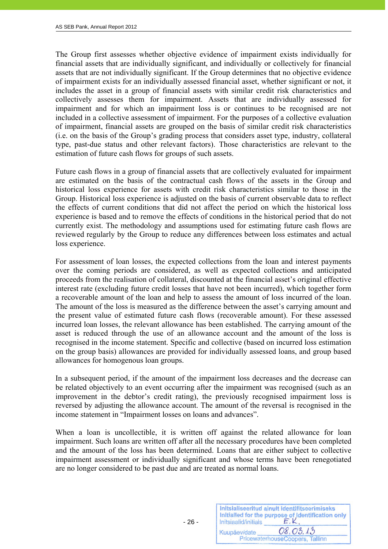The Group first assesses whether objective evidence of impairment exists individually for financial assets that are individually significant, and individually or collectively for financial assets that are not individually significant. If the Group determines that no objective evidence of impairment exists for an individually assessed financial asset, whether significant or not, it includes the asset in a group of financial assets with similar credit risk characteristics and collectively assesses them for impairment. Assets that are individually assessed for impairment and for which an impairment loss is or continues to be recognised are not included in a collective assessment of impairment. For the purposes of a collective evaluation of impairment, financial assets are grouped on the basis of similar credit risk characteristics (i.e. on the basis of the Group's grading process that considers asset type, industry, collateral type, past-due status and other relevant factors). Those characteristics are relevant to the estimation of future cash flows for groups of such assets.

Future cash flows in a group of financial assets that are collectively evaluated for impairment are estimated on the basis of the contractual cash flows of the assets in the Group and historical loss experience for assets with credit risk characteristics similar to those in the Group. Historical loss experience is adjusted on the basis of current observable data to reflect the effects of current conditions that did not affect the period on which the historical loss experience is based and to remove the effects of conditions in the historical period that do not currently exist. The methodology and assumptions used for estimating future cash flows are reviewed regularly by the Group to reduce any differences between loss estimates and actual loss experience.

For assessment of loan losses, the expected collections from the loan and interest payments over the coming periods are considered, as well as expected collections and anticipated proceeds from the realisation of collateral, discounted at the financial asset's original effective interest rate (excluding future credit losses that have not been incurred), which together form a recoverable amount of the loan and help to assess the amount of loss incurred of the loan. The amount of the loss is measured as the difference between the asset's carrying amount and the present value of estimated future cash flows (recoverable amount). For these assessed incurred loan losses, the relevant allowance has been established. The carrying amount of the asset is reduced through the use of an allowance account and the amount of the loss is recognised in the income statement. Specific and collective (based on incurred loss estimation on the group basis) allowances are provided for individually assessed loans, and group based allowances for homogenous loan groups.

In a subsequent period, if the amount of the impairment loss decreases and the decrease can be related objectively to an event occurring after the impairment was recognised (such as an improvement in the debtor's credit rating), the previously recognised impairment loss is reversed by adjusting the allowance account. The amount of the reversal is recognised in the income statement in "Impairment losses on loans and advances".

When a loan is uncollectible, it is written off against the related allowance for loan impairment. Such loans are written off after all the necessary procedures have been completed and the amount of the loss has been determined. Loans that are either subject to collective impairment assessment or individually significant and whose terms have been renegotiated are no longer considered to be past due and are treated as normal loans.

|                      | Initsialiseeritud ainult Identifitseerimiseks<br>Initialled for the purpose of Identification only |
|----------------------|----------------------------------------------------------------------------------------------------|
| Initsiaalid/initials |                                                                                                    |
| Kuupäev/date         | 08.03.13                                                                                           |
|                      | PricewaterhouseCoopers, Tallinn                                                                    |

 $- 26 -$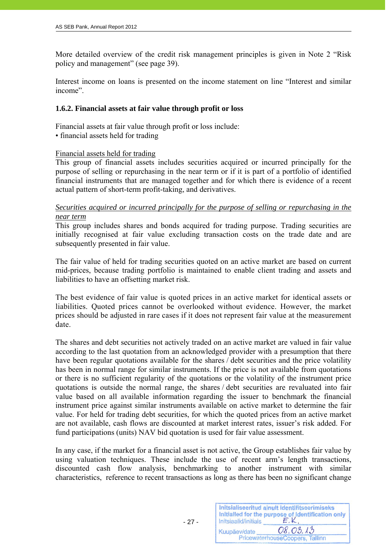More detailed overview of the credit risk management principles is given in Note 2 "Risk policy and management" (see page 39).

Interest income on loans is presented on the income statement on line "Interest and similar income".

#### **1.6.2. Financial assets at fair value through profit or loss**

Financial assets at fair value through profit or loss include:

• financial assets held for trading

#### Financial assets held for trading

This group of financial assets includes securities acquired or incurred principally for the purpose of selling or repurchasing in the near term or if it is part of a portfolio of identified financial instruments that are managed together and for which there is evidence of a recent actual pattern of short-term profit-taking, and derivatives.

#### *Securities acquired or incurred principally for the purpose of selling or repurchasing in the near term*

This group includes shares and bonds acquired for trading purpose. Trading securities are initially recognised at fair value excluding transaction costs on the trade date and are subsequently presented in fair value.

The fair value of held for trading securities quoted on an active market are based on current mid-prices, because trading portfolio is maintained to enable client trading and assets and liabilities to have an offsetting market risk.

The best evidence of fair value is quoted prices in an active market for identical assets or liabilities. Quoted prices cannot be overlooked without evidence. However, the market prices should be adjusted in rare cases if it does not represent fair value at the measurement date.

The shares and debt securities not actively traded on an active market are valued in fair value according to the last quotation from an acknowledged provider with a presumption that there have been regular quotations available for the shares / debt securities and the price volatility has been in normal range for similar instruments. If the price is not available from quotations or there is no sufficient regularity of the quotations or the volatility of the instrument price quotations is outside the normal range, the shares / debt securities are revaluated into fair value based on all available information regarding the issuer to benchmark the financial instrument price against similar instruments available on active market to determine the fair value. For held for trading debt securities, for which the quoted prices from an active market are not available, cash flows are discounted at market interest rates, issuer's risk added. For fund participations (units) NAV bid quotation is used for fair value assessment.

In any case, if the market for a financial asset is not active, the Group establishes fair value by using valuation techniques. These include the use of recent arm's length transactions, discounted cash flow analysis, benchmarking to another instrument with similar characteristics, reference to recent transactions as long as there has been no significant change

- 27 -

| Initsiaalid/initials | Initialled for the purpose of Identification only |
|----------------------|---------------------------------------------------|
| Kuupäev/date         | 08.03.13<br>PricewaterhouseCoopers, Tallinn       |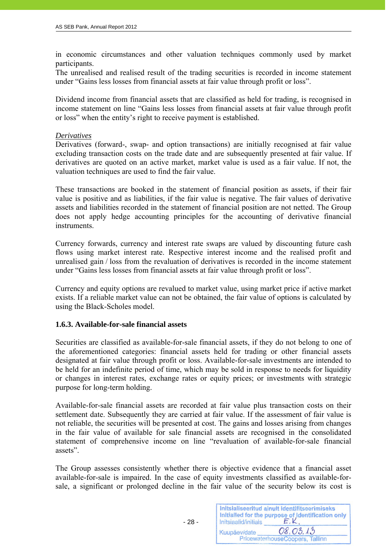in economic circumstances and other valuation techniques commonly used by market participants.

The unrealised and realised result of the trading securities is recorded in income statement under "Gains less losses from financial assets at fair value through profit or loss".

Dividend income from financial assets that are classified as held for trading, is recognised in income statement on line "Gains less losses from financial assets at fair value through profit or loss" when the entity's right to receive payment is established.

#### *Derivatives*

j

Derivatives (forward-, swap- and option transactions) are initially recognised at fair value excluding transaction costs on the trade date and are subsequently presented at fair value. If derivatives are quoted on an active market, market value is used as a fair value. If not, the valuation techniques are used to find the fair value.

These transactions are booked in the statement of financial position as assets, if their fair value is positive and as liabilities, if the fair value is negative. The fair values of derivative assets and liabilities recorded in the statement of financial position are not netted. The Group does not apply hedge accounting principles for the accounting of derivative financial **instruments** 

Currency forwards, currency and interest rate swaps are valued by discounting future cash flows using market interest rate. Respective interest income and the realised profit and unrealised gain / loss from the revaluation of derivatives is recorded in the income statement under "Gains less losses from financial assets at fair value through profit or loss".

Currency and equity options are revalued to market value, using market price if active market exists. If a reliable market value can not be obtained, the fair value of options is calculated by using the Black-Scholes model.

#### **1.6.3. Available-for-sale financial assets**

 $- 28 -$ 

Securities are classified as available-for-sale financial assets, if they do not belong to one of the aforementioned categories: financial assets held for trading or other financial assets designated at fair value through profit or loss. Available-for-sale investments are intended to be held for an indefinite period of time, which may be sold in response to needs for liquidity or changes in interest rates, exchange rates or equity prices; or investments with strategic purpose for long-term holding.

Available-for-sale financial assets are recorded at fair value plus transaction costs on their settlement date. Subsequently they are carried at fair value. If the assessment of fair value is not reliable, the securities will be presented at cost. The gains and losses arising from changes in the fair value of available for sale financial assets are recognised in the consolidated statement of comprehensive income on line "revaluation of available-for-sale financial assets".

The Group assesses consistently whether there is objective evidence that a financial asset available-for-sale is impaired. In the case of equity investments classified as available-forsale, a significant or prolonged decline in the fair value of the security below its cost is

| 08.03.13                        |
|---------------------------------|
| PricewaterhouseCoopers, Tallinn |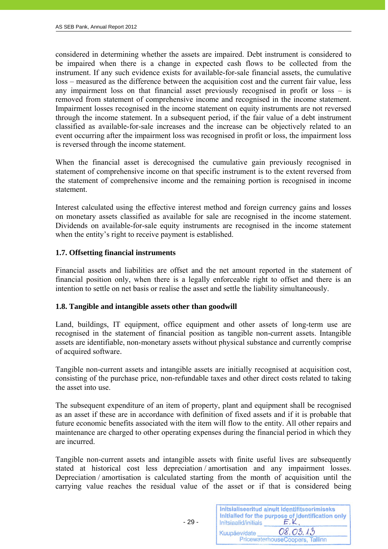considered in determining whether the assets are impaired. Debt instrument is considered to be impaired when there is a change in expected cash flows to be collected from the instrument. If any such evidence exists for available-for-sale financial assets, the cumulative loss – measured as the difference between the acquisition cost and the current fair value, less any impairment loss on that financial asset previously recognised in profit or loss – is removed from statement of comprehensive income and recognised in the income statement. Impairment losses recognised in the income statement on equity instruments are not reversed through the income statement. In a subsequent period, if the fair value of a debt instrument classified as available-for-sale increases and the increase can be objectively related to an event occurring after the impairment loss was recognised in profit or loss, the impairment loss is reversed through the income statement.

When the financial asset is derecognised the cumulative gain previously recognised in statement of comprehensive income on that specific instrument is to the extent reversed from the statement of comprehensive income and the remaining portion is recognised in income statement.

Interest calculated using the effective interest method and foreign currency gains and losses on monetary assets classified as available for sale are recognised in the income statement. Dividends on available-for-sale equity instruments are recognised in the income statement when the entity's right to receive payment is established.

#### **1.7. Offsetting financial instruments**

Financial assets and liabilities are offset and the net amount reported in the statement of financial position only, when there is a legally enforceable right to offset and there is an intention to settle on net basis or realise the asset and settle the liability simultaneously.

#### **1.8. Tangible and intangible assets other than goodwill**

Land, buildings, IT equipment, office equipment and other assets of long-term use are recognised in the statement of financial position as tangible non-current assets. Intangible assets are identifiable, non-monetary assets without physical substance and currently comprise of acquired software.

Tangible non-current assets and intangible assets are initially recognised at acquisition cost, consisting of the purchase price, non-refundable taxes and other direct costs related to taking the asset into use.

The subsequent expenditure of an item of property, plant and equipment shall be recognised as an asset if these are in accordance with definition of fixed assets and if it is probable that future economic benefits associated with the item will flow to the entity. All other repairs and maintenance are charged to other operating expenses during the financial period in which they are incurred.

Tangible non-current assets and intangible assets with finite useful lives are subsequently stated at historical cost less depreciation / amortisation and any impairment losses. Depreciation / amortisation is calculated starting from the month of acquisition until the carrying value reaches the residual value of the asset or if that is considered being

| Initsiaalid/initials | Initsialiseeritud ainult Identifitseerimiseks<br>Initialled for the purpose of Identification only |
|----------------------|----------------------------------------------------------------------------------------------------|
| Kuupäev/date         | 08.03.13                                                                                           |

 $-$  29 -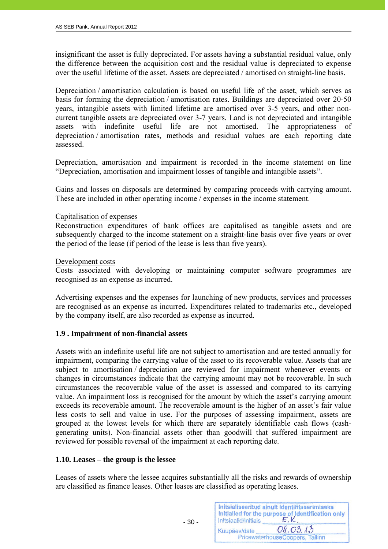insignificant the asset is fully depreciated. For assets having a substantial residual value, only the difference between the acquisition cost and the residual value is depreciated to expense over the useful lifetime of the asset. Assets are depreciated / amortised on straight-line basis.

Depreciation / amortisation calculation is based on useful life of the asset, which serves as basis for forming the depreciation / amortisation rates. Buildings are depreciated over 20-50 years, intangible assets with limited lifetime are amortised over 3-5 years, and other noncurrent tangible assets are depreciated over 3-7 years. Land is not depreciated and intangible assets with indefinite useful life are not amortised. The appropriateness of depreciation / amortisation rates, methods and residual values are each reporting date assessed.

Depreciation, amortisation and impairment is recorded in the income statement on line "Depreciation, amortisation and impairment losses of tangible and intangible assets".

Gains and losses on disposals are determined by comparing proceeds with carrying amount. These are included in other operating income / expenses in the income statement.

#### Capitalisation of expenses

Reconstruction expenditures of bank offices are capitalised as tangible assets and are subsequently charged to the income statement on a straight-line basis over five years or over the period of the lease (if period of the lease is less than five years).

#### Development costs

Costs associated with developing or maintaining computer software programmes are recognised as an expense as incurred.

Advertising expenses and the expenses for launching of new products, services and processes are recognised as an expense as incurred. Expenditures related to trademarks etc., developed by the company itself, are also recorded as expense as incurred.

# **1.9 . Impairment of non-financial assets**

Assets with an indefinite useful life are not subject to amortisation and are tested annually for impairment, comparing the carrying value of the asset to its recoverable value. Assets that are subject to amortisation / depreciation are reviewed for impairment whenever events or changes in circumstances indicate that the carrying amount may not be recoverable. In such circumstances the recoverable value of the asset is assessed and compared to its carrying value. An impairment loss is recognised for the amount by which the asset's carrying amount exceeds its recoverable amount. The recoverable amount is the higher of an asset's fair value less costs to sell and value in use. For the purposes of assessing impairment, assets are grouped at the lowest levels for which there are separately identifiable cash flows (cashgenerating units). Non-financial assets other than goodwill that suffered impairment are reviewed for possible reversal of the impairment at each reporting date.

#### **1.10. Leases – the group is the lessee**

Leases of assets where the lessee acquires substantially all the risks and rewards of ownership are classified as finance leases. Other leases are classified as operating leases.

| $-30-$ | Initsialiseeritud ainult Identifitseerimiseks<br>Initialled for the purpose of identification only<br>Initsiaalid/initials<br>08.03.13<br>Kuupäev/date<br>PricewaterhouseCoopers, Tallinn |
|--------|-------------------------------------------------------------------------------------------------------------------------------------------------------------------------------------------|
|--------|-------------------------------------------------------------------------------------------------------------------------------------------------------------------------------------------|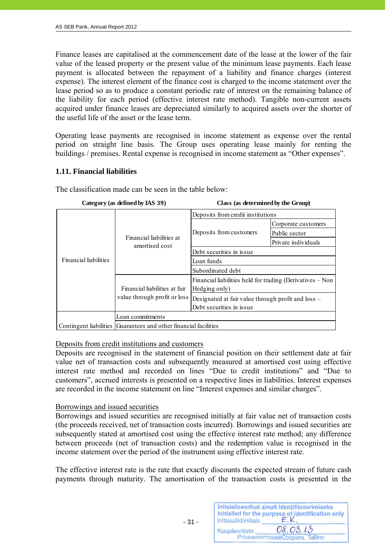Finance leases are capitalised at the commencement date of the lease at the lower of the fair value of the leased property or the present value of the minimum lease payments. Each lease payment is allocated between the repayment of a liability and finance charges (interest expense). The interest element of the finance cost is charged to the income statement over the lease period so as to produce a constant periodic rate of interest on the remaining balance of the liability for each period (effective interest rate method). Tangible non-current assets acquired under finance leases are depreciated similarly to acquired assets over the shorter of the useful life of the asset or the lease term.

Operating lease payments are recognised in income statement as expense over the rental period on straight line basis. The Group uses operating lease mainly for renting the buildings / premises. Rental expense is recognised in income statement as "Other expenses".

#### **1.11. Financial liabilities**

The classification made can be seen in the table below:

#### **Category (as defined by IAS 39) Class (as determined by the Group)**

|                              | Deposits from credit institutions                                |                                                                                |                     |
|------------------------------|------------------------------------------------------------------|--------------------------------------------------------------------------------|---------------------|
|                              | Financial liabilities at<br>amortised cost                       | Deposits from customers                                                        | Corporate customers |
| <b>Financial liabilities</b> |                                                                  |                                                                                | Public sector       |
|                              |                                                                  |                                                                                | Private individuals |
|                              |                                                                  | Debt securities in issue                                                       |                     |
|                              |                                                                  | Loan funds                                                                     |                     |
|                              |                                                                  | Subordinated debt                                                              |                     |
|                              | Financial liabilities at fair<br>value through profit or loss    | Financial liabilities held for trading (Derivatives – Non<br>Hedging only)     |                     |
|                              |                                                                  | Designated at fair value through profit and loss -<br>Debt securities in issue |                     |
|                              | Loan commitments                                                 |                                                                                |                     |
|                              | Contingent liabilities Guarantees and other financial facilities |                                                                                |                     |

#### Deposits from credit institutions and customers

Deposits are recognised in the statement of financial position on their settlement date at fair value net of transaction costs and subsequently measured at amortised cost using effective interest rate method and recorded on lines "Due to credit institutions" and "Due to customers", accrued interests is presented on a respective lines in liabilities. Interest expenses are recorded in the income statement on line "Interest expenses and similar charges".

#### Borrowings and issued securities

Borrowings and issued securities are recognised initially at fair value net of transaction costs (the proceeds received, net of transaction costs incurred). Borrowings and issued securities are subsequently stated at amortised cost using the effective interest rate method; any difference between proceeds (net of transaction costs) and the redemption value is recognised in the income statement over the period of the instrument using effective interest rate.

The effective interest rate is the rate that exactly discounts the expected stream of future cash payments through maturity. The amortisation of the transaction costs is presented in the

- 31 -

| Initsiaalid/initials | Initsialiseeritud ainult Identifitseerimiseks<br>Initialled for the purpose of Identification only |
|----------------------|----------------------------------------------------------------------------------------------------|
| Kuupäev/date         | 08.03.13<br>PricewaterhouseCoopers, Tallinn                                                        |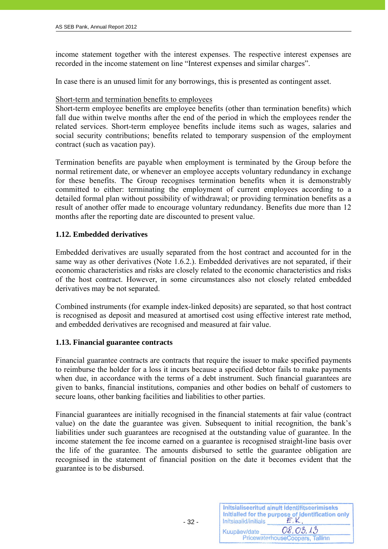income statement together with the interest expenses. The respective interest expenses are recorded in the income statement on line "Interest expenses and similar charges".

In case there is an unused limit for any borrowings, this is presented as contingent asset.

#### Short-term and termination benefits to employees

Short-term employee benefits are employee benefits (other than termination benefits) which fall due within twelve months after the end of the period in which the employees render the related services. Short-term employee benefits include items such as wages, salaries and social security contributions; benefits related to temporary suspension of the employment contract (such as vacation pay).

Termination benefits are payable when employment is terminated by the Group before the normal retirement date, or whenever an employee accepts voluntary redundancy in exchange for these benefits. The Group recognises termination benefits when it is demonstrably committed to either: terminating the employment of current employees according to a detailed formal plan without possibility of withdrawal; or providing termination benefits as a result of another offer made to encourage voluntary redundancy. Benefits due more than 12 months after the reporting date are discounted to present value.

# **1.12. Embedded derivatives**

Embedded derivatives are usually separated from the host contract and accounted for in the same way as other derivatives (Note 1.6.2.). Embedded derivatives are not separated, if their economic characteristics and risks are closely related to the economic characteristics and risks of the host contract. However, in some circumstances also not closely related embedded derivatives may be not separated.

Combined instruments (for example index-linked deposits) are separated, so that host contract is recognised as deposit and measured at amortised cost using effective interest rate method, and embedded derivatives are recognised and measured at fair value.

# **1.13. Financial guarantee contracts**

Financial guarantee contracts are contracts that require the issuer to make specified payments to reimburse the holder for a loss it incurs because a specified debtor fails to make payments when due, in accordance with the terms of a debt instrument. Such financial guarantees are given to banks, financial institutions, companies and other bodies on behalf of customers to secure loans, other banking facilities and liabilities to other parties.

Financial guarantees are initially recognised in the financial statements at fair value (contract value) on the date the guarantee was given. Subsequent to initial recognition, the bank's liabilities under such guarantees are recognised at the outstanding value of guarantee. In the income statement the fee income earned on a guarantee is recognised straight-line basis over the life of the guarantee. The amounts disbursed to settle the guarantee obligation are recognised in the statement of financial position on the date it becomes evident that the guarantee is to be disbursed.

| Initsiaalid/initials | Initsialiseeritud ainult identifitseerimiseks<br>Initialled for the purpose of Identification only |
|----------------------|----------------------------------------------------------------------------------------------------|
| Kuupäev/date         | 08.03.13                                                                                           |
|                      | PricewaterhouseCoopers, Tallinn                                                                    |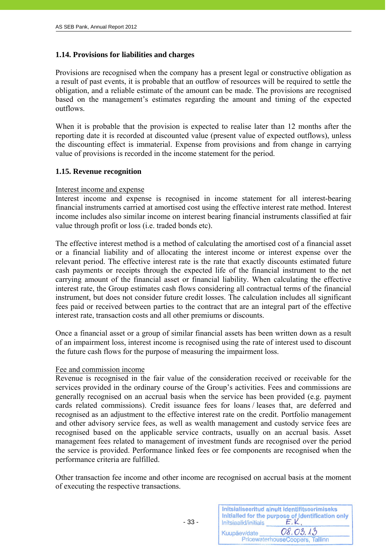#### **1.14. Provisions for liabilities and charges**

Provisions are recognised when the company has a present legal or constructive obligation as a result of past events, it is probable that an outflow of resources will be required to settle the obligation, and a reliable estimate of the amount can be made. The provisions are recognised based on the management's estimates regarding the amount and timing of the expected outflows.

When it is probable that the provision is expected to realise later than 12 months after the reporting date it is recorded at discounted value (present value of expected outflows), unless the discounting effect is immaterial. Expense from provisions and from change in carrying value of provisions is recorded in the income statement for the period.

#### **1.15. Revenue recognition**

#### Interest income and expense

Interest income and expense is recognised in income statement for all interest-bearing financial instruments carried at amortised cost using the effective interest rate method. Interest income includes also similar income on interest bearing financial instruments classified at fair value through profit or loss (i.e. traded bonds etc).

The effective interest method is a method of calculating the amortised cost of a financial asset or a financial liability and of allocating the interest income or interest expense over the relevant period. The effective interest rate is the rate that exactly discounts estimated future cash payments or receipts through the expected life of the financial instrument to the net carrying amount of the financial asset or financial liability. When calculating the effective interest rate, the Group estimates cash flows considering all contractual terms of the financial instrument, but does not consider future credit losses. The calculation includes all significant fees paid or received between parties to the contract that are an integral part of the effective interest rate, transaction costs and all other premiums or discounts.

Once a financial asset or a group of similar financial assets has been written down as a result of an impairment loss, interest income is recognised using the rate of interest used to discount the future cash flows for the purpose of measuring the impairment loss.

#### Fee and commission income

Revenue is recognised in the fair value of the consideration received or receivable for the services provided in the ordinary course of the Group's activities. Fees and commissions are generally recognised on an accrual basis when the service has been provided (e.g. payment cards related commissions). Credit issuance fees for loans / leases that, are deferred and recognised as an adjustment to the effective interest rate on the credit. Portfolio management and other advisory service fees, as well as wealth management and custody service fees are recognised based on the applicable service contracts, usually on an accrual basis. Asset management fees related to management of investment funds are recognised over the period the service is provided. Performance linked fees or fee components are recognised when the performance criteria are fulfilled.

Other transaction fee income and other income are recognised on accrual basis at the moment of executing the respective transactions.

| 08.03.13 |
|----------|
|          |

 $- 33 -$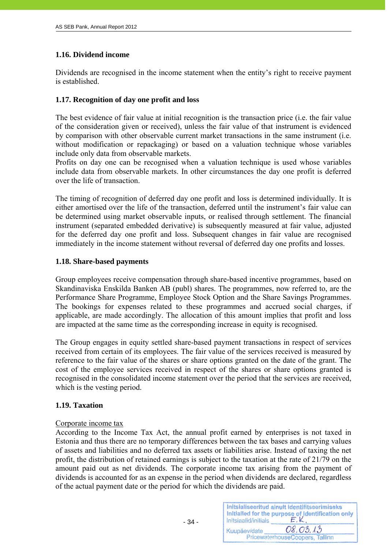# **1.16. Dividend income**

j

Dividends are recognised in the income statement when the entity's right to receive payment is established.

## **1.17. Recognition of day one profit and loss**

The best evidence of fair value at initial recognition is the transaction price (i.e. the fair value of the consideration given or received), unless the fair value of that instrument is evidenced by comparison with other observable current market transactions in the same instrument (i.e. without modification or repackaging) or based on a valuation technique whose variables include only data from observable markets.

Profits on day one can be recognised when a valuation technique is used whose variables include data from observable markets. In other circumstances the day one profit is deferred over the life of transaction.

The timing of recognition of deferred day one profit and loss is determined individually. It is either amortised over the life of the transaction, deferred until the instrument's fair value can be determined using market observable inputs, or realised through settlement. The financial instrument (separated embedded derivative) is subsequently measured at fair value, adjusted for the deferred day one profit and loss. Subsequent changes in fair value are recognised immediately in the income statement without reversal of deferred day one profits and losses.

#### **1.18. Share-based payments**

Group employees receive compensation through share-based incentive programmes, based on Skandinaviska Enskilda Banken AB (publ) shares. The programmes, now referred to, are the Performance Share Programme, Employee Stock Option and the Share Savings Programmes. The bookings for expenses related to these programmes and accrued social charges, if applicable, are made accordingly. The allocation of this amount implies that profit and loss are impacted at the same time as the corresponding increase in equity is recognised.

The Group engages in equity settled share-based payment transactions in respect of services received from certain of its employees. The fair value of the services received is measured by reference to the fair value of the shares or share options granted on the date of the grant. The cost of the employee services received in respect of the shares or share options granted is recognised in the consolidated income statement over the period that the services are received, which is the vesting period.

# **1.19. Taxation**

#### Corporate income tax

- 34 -

According to the Income Tax Act, the annual profit earned by enterprises is not taxed in Estonia and thus there are no temporary differences between the tax bases and carrying values of assets and liabilities and no deferred tax assets or liabilities arise. Instead of taxing the net profit, the distribution of retained earnings is subject to the taxation at the rate of 21/79 on the amount paid out as net dividends. The corporate income tax arising from the payment of dividends is accounted for as an expense in the period when dividends are declared, regardless of the actual payment date or the period for which the dividends are paid.

| Initsiaalid/initials | Initsialiseeritud ainult Identifitseerimiseks<br>Initialled for the purpose of Identification only |
|----------------------|----------------------------------------------------------------------------------------------------|
| Kuupäev/date         | 08.03.13                                                                                           |
|                      | PricewaterhouseCoopers, Tallinn                                                                    |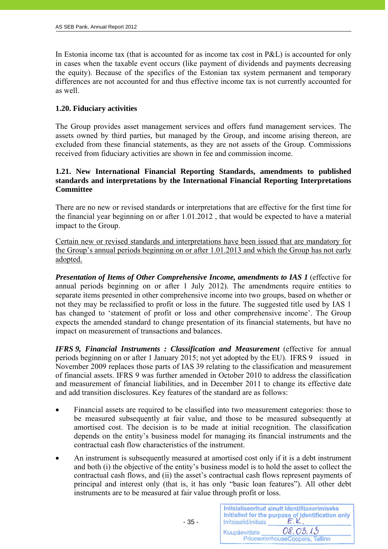In Estonia income tax (that is accounted for as income tax cost in P&L) is accounted for only in cases when the taxable event occurs (like payment of dividends and payments decreasing the equity). Because of the specifics of the Estonian tax system permanent and temporary differences are not accounted for and thus effective income tax is not currently accounted for as well.

#### **1.20. Fiduciary activities**

The Group provides asset management services and offers fund management services. The assets owned by third parties, but managed by the Group, and income arising thereon, are excluded from these financial statements, as they are not assets of the Group. Commissions received from fiduciary activities are shown in fee and commission income.

## **1.21. New International Financial Reporting Standards, amendments to published standards and interpretations by the International Financial Reporting Interpretations Committee**

There are no new or revised standards or interpretations that are effective for the first time for the financial year beginning on or after 1.01.2012 , that would be expected to have a material impact to the Group.

Certain new or revised standards and interpretations have been issued that are mandatory for the Group's annual periods beginning on or after 1.01.2013 and which the Group has not early adopted.

*Presentation of Items of Other Comprehensive Income, amendments to IAS 1* (effective for annual periods beginning on or after 1 July 2012). The amendments require entities to separate items presented in other comprehensive income into two groups, based on whether or not they may be reclassified to profit or loss in the future. The suggested title used by IAS 1 has changed to 'statement of profit or loss and other comprehensive income'. The Group expects the amended standard to change presentation of its financial statements, but have no impact on measurement of transactions and balances.

*IFRS 9, Financial Instruments : Classification and Measurement* (effective for annual periods beginning on or after 1 January 2015; not yet adopted by the EU). IFRS 9 issued in November 2009 replaces those parts of IAS 39 relating to the classification and measurement of financial assets. IFRS 9 was further amended in October 2010 to address the classification and measurement of financial liabilities, and in December 2011 to change its effective date and add transition disclosures. Key features of the standard are as follows:

- Financial assets are required to be classified into two measurement categories: those to be measured subsequently at fair value, and those to be measured subsequently at amortised cost. The decision is to be made at initial recognition. The classification depends on the entity's business model for managing its financial instruments and the contractual cash flow characteristics of the instrument.
- An instrument is subsequently measured at amortised cost only if it is a debt instrument and both (i) the objective of the entity's business model is to hold the asset to collect the contractual cash flows, and (ii) the asset's contractual cash flows represent payments of principal and interest only (that is, it has only "basic loan features"). All other debt instruments are to be measured at fair value through profit or loss.

| Initsiaalid/initials | Initsialiseeritud ainult identifitseerimiseks<br>Initialled for the purpose of Identification only |
|----------------------|----------------------------------------------------------------------------------------------------|
| Kuupäev/date         | 08.03.13                                                                                           |
|                      | PricewaterhouseCoopers, Tallinn                                                                    |

 $- 35 -$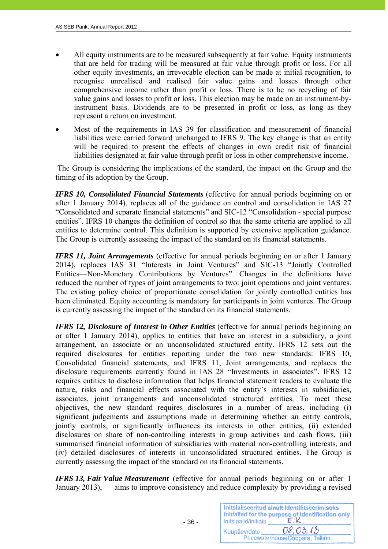- All equity instruments are to be measured subsequently at fair value. Equity instruments that are held for trading will be measured at fair value through profit or loss. For all other equity investments, an irrevocable election can be made at initial recognition, to recognise unrealised and realised fair value gains and losses through other comprehensive income rather than profit or loss. There is to be no recycling of fair value gains and losses to profit or loss. This election may be made on an instrument-byinstrument basis. Dividends are to be presented in profit or loss, as long as they represent a return on investment.
- Most of the requirements in IAS 39 for classification and measurement of financial liabilities were carried forward unchanged to IFRS 9. The key change is that an entity will be required to present the effects of changes in own credit risk of financial liabilities designated at fair value through profit or loss in other comprehensive income.

 The Group is considering the implications of the standard, the impact on the Group and the timing of its adoption by the Group.

*IFRS 10, Consolidated Financial Statements* (effective for annual periods beginning on or after 1 January 2014), replaces all of the guidance on control and consolidation in IAS 27 "Consolidated and separate financial statements" and SIC-12 "Consolidation - special purpose entities". IFRS 10 changes the definition of control so that the same criteria are applied to all entities to determine control. This definition is supported by extensive application guidance. The Group is currently assessing the impact of the standard on its financial statements.

*IFRS 11, Joint Arrangements* (effective for annual periods beginning on or after 1 January 2014), replaces IAS 31 "Interests in Joint Ventures" and SIC-13 "Jointly Controlled Entities—Non-Monetary Contributions by Ventures". Changes in the definitions have reduced the number of types of joint arrangements to two: joint operations and joint ventures. The existing policy choice of proportionate consolidation for jointly controlled entities has been eliminated. Equity accounting is mandatory for participants in joint ventures. The Group is currently assessing the impact of the standard on its financial statements.

*IFRS 12, Disclosure of Interest in Other Entities* (effective for annual periods beginning on or after 1 January 2014), applies to entities that have an interest in a subsidiary, a joint arrangement, an associate or an unconsolidated structured entity. IFRS 12 sets out the required disclosures for entities reporting under the two new standards: IFRS 10, Consolidated financial statements, and IFRS 11, Joint arrangements, and replaces the disclosure requirements currently found in IAS 28 "Investments in associates". IFRS 12 requires entities to disclose information that helps financial statement readers to evaluate the nature, risks and financial effects associated with the entity's interests in subsidiaries, associates, joint arrangements and unconsolidated structured entities. To meet these objectives, the new standard requires disclosures in a number of areas, including (i) significant judgements and assumptions made in determining whether an entity controls, jointly controls, or significantly influences its interests in other entities, (ii) extended disclosures on share of non-controlling interests in group activities and cash flows, (iii) summarised financial information of subsidiaries with material non-controlling interests, and (iv) detailed disclosures of interests in unconsolidated structured entities. The Group is currently assessing the impact of the standard on its financial statements.

*IFRS 13, Fair Value Measurement* (effective for annual periods beginning on or after 1 January 2013), aims to improve consistency and reduce complexity by providing a revised

| - 36 - | Initsialiseeritud ainult Identifitseerimiseks<br>Initialled for the purpose of Identification only<br>Initsiaalid/initials |
|--------|----------------------------------------------------------------------------------------------------------------------------|
|        | O8, O3, 13<br>Kuupäev/date<br>PricewaterhouseCoopers, Tallinn                                                              |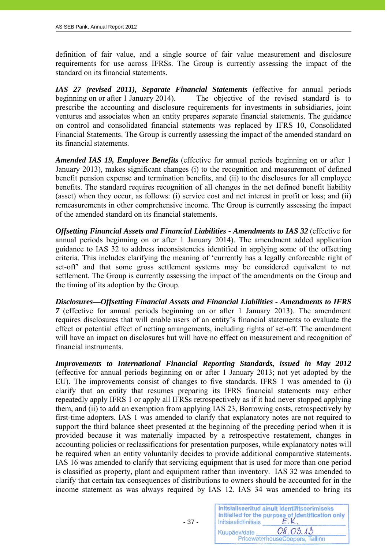definition of fair value, and a single source of fair value measurement and disclosure requirements for use across IFRSs. The Group is currently assessing the impact of the standard on its financial statements.

*IAS 27 (revised 2011), Separate Financial Statements* (effective for annual periods beginning on or after 1 January 2014). The objective of the revised standard is to prescribe the accounting and disclosure requirements for investments in subsidiaries, joint ventures and associates when an entity prepares separate financial statements. The guidance on control and consolidated financial statements was replaced by IFRS 10, Consolidated Financial Statements. The Group is currently assessing the impact of the amended standard on its financial statements.

*Amended IAS 19, Employee Benefits* (effective for annual periods beginning on or after 1 January 2013), makes significant changes (i) to the recognition and measurement of defined benefit pension expense and termination benefits, and (ii) to the disclosures for all employee benefits. The standard requires recognition of all changes in the net defined benefit liability (asset) when they occur, as follows: (i) service cost and net interest in profit or loss; and (ii) remeasurements in other comprehensive income. The Group is currently assessing the impact of the amended standard on its financial statements.

*Offsetting Financial Assets and Financial Liabilities - Amendments to IAS 32* (effective for annual periods beginning on or after 1 January 2014). The amendment added application guidance to IAS 32 to address inconsistencies identified in applying some of the offsetting criteria. This includes clarifying the meaning of 'currently has a legally enforceable right of set-off' and that some gross settlement systems may be considered equivalent to net settlement. The Group is currently assessing the impact of the amendments on the Group and the timing of its adoption by the Group.

*Disclosures—Offsetting Financial Assets and Financial Liabilities - Amendments to IFRS 7* (effective for annual periods beginning on or after 1 January 2013). The amendment requires disclosures that will enable users of an entity's financial statements to evaluate the effect or potential effect of netting arrangements, including rights of set-off. The amendment will have an impact on disclosures but will have no effect on measurement and recognition of financial instruments.

*Improvements to International Financial Reporting Standards, issued in May 2012* (effective for annual periods beginning on or after 1 January 2013; not yet adopted by the EU). The improvements consist of changes to five standards. IFRS 1 was amended to (i) clarify that an entity that resumes preparing its IFRS financial statements may either repeatedly apply IFRS 1 or apply all IFRSs retrospectively as if it had never stopped applying them, and (ii) to add an exemption from applying IAS 23, Borrowing costs, retrospectively by first-time adopters. IAS 1 was amended to clarify that explanatory notes are not required to support the third balance sheet presented at the beginning of the preceding period when it is provided because it was materially impacted by a retrospective restatement, changes in accounting policies or reclassifications for presentation purposes, while explanatory notes will be required when an entity voluntarily decides to provide additional comparative statements. IAS 16 was amended to clarify that servicing equipment that is used for more than one period is classified as property, plant and equipment rather than inventory. IAS 32 was amended to clarify that certain tax consequences of distributions to owners should be accounted for in the income statement as was always required by IAS 12. IAS 34 was amended to bring its

Initsialiseeritud ainult Identifitseerimiseks  $08.03.13$ Kuupäev/date PricewaterhouseCoopers, Tallinn

- 37 -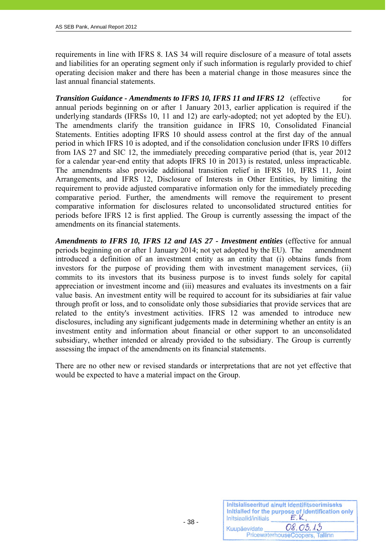requirements in line with IFRS 8. IAS 34 will require disclosure of a measure of total assets and liabilities for an operating segment only if such information is regularly provided to chief operating decision maker and there has been a material change in those measures since the last annual financial statements.

*Transition Guidance - Amendments to IFRS 10, IFRS 11 and IFRS 12* **(effective for** annual periods beginning on or after 1 January 2013, earlier application is required if the underlying standards (IFRSs 10, 11 and 12) are early-adopted; not yet adopted by the EU). The amendments clarify the transition guidance in IFRS 10, Consolidated Financial Statements. Entities adopting IFRS 10 should assess control at the first day of the annual period in which IFRS 10 is adopted, and if the consolidation conclusion under IFRS 10 differs from IAS 27 and SIC 12, the immediately preceding comparative period (that is, year 2012 for a calendar year-end entity that adopts IFRS 10 in 2013) is restated, unless impracticable. The amendments also provide additional transition relief in IFRS 10, IFRS 11, Joint Arrangements, and IFRS 12, Disclosure of Interests in Other Entities, by limiting the requirement to provide adjusted comparative information only for the immediately preceding comparative period. Further, the amendments will remove the requirement to present comparative information for disclosures related to unconsolidated structured entities for periods before IFRS 12 is first applied. The Group is currently assessing the impact of the amendments on its financial statements.

*Amendments to IFRS 10, IFRS 12 and IAS 27 - Investment entities* (effective for annual periods beginning on or after 1 January 2014; not yet adopted by the EU). The amendment introduced a definition of an investment entity as an entity that (i) obtains funds from investors for the purpose of providing them with investment management services, (ii) commits to its investors that its business purpose is to invest funds solely for capital appreciation or investment income and (iii) measures and evaluates its investments on a fair value basis. An investment entity will be required to account for its subsidiaries at fair value through profit or loss, and to consolidate only those subsidiaries that provide services that are related to the entity's investment activities. IFRS 12 was amended to introduce new disclosures, including any significant judgements made in determining whether an entity is an investment entity and information about financial or other support to an unconsolidated subsidiary, whether intended or already provided to the subsidiary. The Group is currently assessing the impact of the amendments on its financial statements.

There are no other new or revised standards or interpretations that are not yet effective that would be expected to have a material impact on the Group.

|                      | Initsialiseeritud ainult identifitseerimiseks<br>Initialled for the purpose of Identification only |
|----------------------|----------------------------------------------------------------------------------------------------|
| Initsiaalid/initials |                                                                                                    |
| Kuupäev/date         | 08.03.13                                                                                           |
|                      | PricewaterhouseCoopers, Tallinn                                                                    |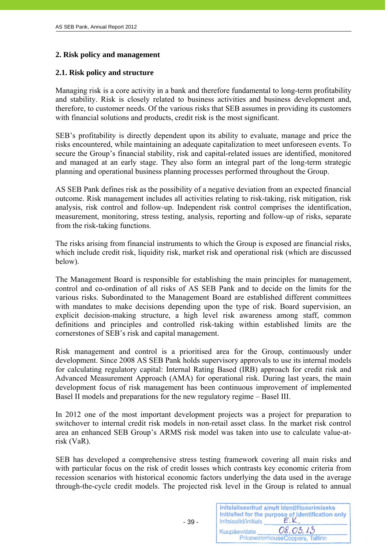#### **2. Risk policy and management**

#### **2.1. Risk policy and structure**

Managing risk is a core activity in a bank and therefore fundamental to long-term profitability and stability. Risk is closely related to business activities and business development and, therefore, to customer needs. Of the various risks that SEB assumes in providing its customers with financial solutions and products, credit risk is the most significant.

SEB's profitability is directly dependent upon its ability to evaluate, manage and price the risks encountered, while maintaining an adequate capitalization to meet unforeseen events. To secure the Group's financial stability, risk and capital-related issues are identified, monitored and managed at an early stage. They also form an integral part of the long-term strategic planning and operational business planning processes performed throughout the Group.

AS SEB Pank defines risk as the possibility of a negative deviation from an expected financial outcome. Risk management includes all activities relating to risk-taking, risk mitigation, risk analysis, risk control and follow-up. Independent risk control comprises the identification, measurement, monitoring, stress testing, analysis, reporting and follow-up of risks, separate from the risk-taking functions.

The risks arising from financial instruments to which the Group is exposed are financial risks, which include credit risk, liquidity risk, market risk and operational risk (which are discussed below).

The Management Board is responsible for establishing the main principles for management, control and co-ordination of all risks of AS SEB Pank and to decide on the limits for the various risks. Subordinated to the Management Board are established different committees with mandates to make decisions depending upon the type of risk. Board supervision, an explicit decision-making structure, a high level risk awareness among staff, common definitions and principles and controlled risk-taking within established limits are the cornerstones of SEB's risk and capital management.

Risk management and control is a prioritised area for the Group, continuously under development. Since 2008 AS SEB Pank holds supervisory approvals to use its internal models for calculating regulatory capital: Internal Rating Based (IRB) approach for credit risk and Advanced Measurement Approach (AMA) for operational risk. During last years, the main development focus of risk management has been continuous improvement of implemented Basel II models and preparations for the new regulatory regime – Basel III.

In 2012 one of the most important development projects was a project for preparation to switchover to internal credit risk models in non-retail asset class. In the market risk control area an enhanced SEB Group's ARMS risk model was taken into use to calculate value-atrisk (VaR).

SEB has developed a comprehensive stress testing framework covering all main risks and with particular focus on the risk of credit losses which contrasts key economic criteria from recession scenarios with historical economic factors underlying the data used in the average through-the-cycle credit models. The projected risk level in the Group is related to annual

| Initialled for the purpose of identification only<br>Initialalid/initials $E.K$ . |
|-----------------------------------------------------------------------------------|
| 08.03.13                                                                          |
| PricewaterhouseCoopers, Tallinn                                                   |

 $- 39 -$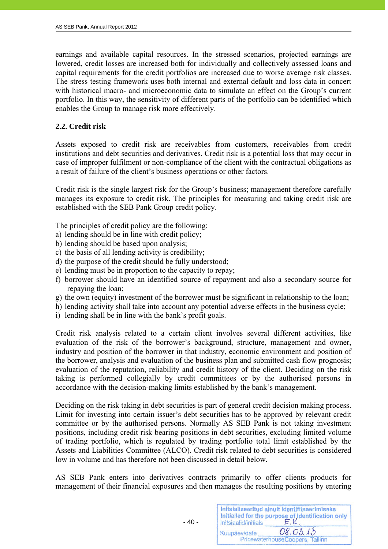earnings and available capital resources. In the stressed scenarios, projected earnings are lowered, credit losses are increased both for individually and collectively assessed loans and capital requirements for the credit portfolios are increased due to worse average risk classes. The stress testing framework uses both internal and external default and loss data in concert with historical macro- and microeconomic data to simulate an effect on the Group's current portfolio. In this way, the sensitivity of different parts of the portfolio can be identified which enables the Group to manage risk more effectively.

### **2.2. Credit risk**

Assets exposed to credit risk are receivables from customers, receivables from credit institutions and debt securities and derivatives. Credit risk is a potential loss that may occur in case of improper fulfilment or non-compliance of the client with the contractual obligations as a result of failure of the client's business operations or other factors.

Credit risk is the single largest risk for the Group's business; management therefore carefully manages its exposure to credit risk. The principles for measuring and taking credit risk are established with the SEB Pank Group credit policy.

The principles of credit policy are the following:

- a) lending should be in line with credit policy;
- b) lending should be based upon analysis;
- c) the basis of all lending activity is credibility;
- d) the purpose of the credit should be fully understood;
- e) lending must be in proportion to the capacity to repay;
- f) borrower should have an identified source of repayment and also a secondary source for repaying the loan;
- g) the own (equity) investment of the borrower must be significant in relationship to the loan;
- h) lending activity shall take into account any potential adverse effects in the business cycle;
- i) lending shall be in line with the bank's profit goals.

Credit risk analysis related to a certain client involves several different activities, like evaluation of the risk of the borrower's background, structure, management and owner, industry and position of the borrower in that industry, economic environment and position of the borrower, analysis and evaluation of the business plan and submitted cash flow prognosis; evaluation of the reputation, reliability and credit history of the client. Deciding on the risk taking is performed collegially by credit committees or by the authorised persons in accordance with the decision-making limits established by the bank's management.

Deciding on the risk taking in debt securities is part of general credit decision making process. Limit for investing into certain issuer's debt securities has to be approved by relevant credit committee or by the authorised persons. Normally AS SEB Pank is not taking investment positions, including credit risk bearing positions in debt securities, excluding limited volume of trading portfolio, which is regulated by trading portfolio total limit established by the Assets and Liabilities Committee (ALCO). Credit risk related to debt securities is considered low in volume and has therefore not been discussed in detail below.

AS SEB Pank enters into derivatives contracts primarily to offer clients products for management of their financial exposures and then manages the resulting positions by entering

| - 40 - | Initsialiseeritud ainult Identifitseerimiseks<br>Initialled for the purpose of Identification only<br>Initsiaalid/initials<br>08.03.13<br>Kuupäev/date<br>PricewaterhouseCoopers, Tallinn |
|--------|-------------------------------------------------------------------------------------------------------------------------------------------------------------------------------------------|
|--------|-------------------------------------------------------------------------------------------------------------------------------------------------------------------------------------------|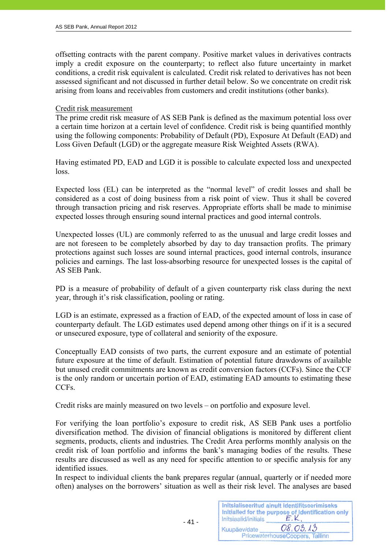offsetting contracts with the parent company. Positive market values in derivatives contracts imply a credit exposure on the counterparty; to reflect also future uncertainty in market conditions, a credit risk equivalent is calculated. Credit risk related to derivatives has not been assessed significant and not discussed in further detail below. So we concentrate on credit risk arising from loans and receivables from customers and credit institutions (other banks).

#### Credit risk measurement

The prime credit risk measure of AS SEB Pank is defined as the maximum potential loss over a certain time horizon at a certain level of confidence. Credit risk is being quantified monthly using the following components: Probability of Default (PD), Exposure At Default (EAD) and Loss Given Default (LGD) or the aggregate measure Risk Weighted Assets (RWA).

Having estimated PD, EAD and LGD it is possible to calculate expected loss and unexpected loss.

Expected loss (EL) can be interpreted as the "normal level" of credit losses and shall be considered as a cost of doing business from a risk point of view. Thus it shall be covered through transaction pricing and risk reserves. Appropriate efforts shall be made to minimise expected losses through ensuring sound internal practices and good internal controls.

Unexpected losses (UL) are commonly referred to as the unusual and large credit losses and are not foreseen to be completely absorbed by day to day transaction profits. The primary protections against such losses are sound internal practices, good internal controls, insurance policies and earnings. The last loss-absorbing resource for unexpected losses is the capital of AS SEB Pank.

PD is a measure of probability of default of a given counterparty risk class during the next year, through it's risk classification, pooling or rating.

LGD is an estimate, expressed as a fraction of EAD, of the expected amount of loss in case of counterparty default. The LGD estimates used depend among other things on if it is a secured or unsecured exposure, type of collateral and seniority of the exposure.

Conceptually EAD consists of two parts, the current exposure and an estimate of potential future exposure at the time of default. Estimation of potential future drawdowns of available but unused credit commitments are known as credit conversion factors (CCFs). Since the CCF is the only random or uncertain portion of EAD, estimating EAD amounts to estimating these CCFs.

Credit risks are mainly measured on two levels – on portfolio and exposure level.

For verifying the loan portfolio's exposure to credit risk, AS SEB Pank uses a portfolio diversification method. The division of financial obligations is monitored by different client segments, products, clients and industries*.* The Credit Area performs monthly analysis on the credit risk of loan portfolio and informs the bank's managing bodies of the results. These results are discussed as well as any need for specific attention to or specific analysis for any identified issues.

In respect to individual clients the bank prepares regular (annual, quarterly or if needed more often) analyses on the borrowers' situation as well as their risk level. The analyses are based

| 08.03.13                        |
|---------------------------------|
| PricewaterhouseCoopers, Tallinn |

- 41 -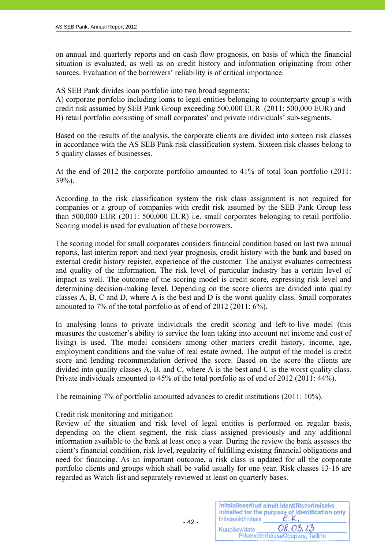on annual and quarterly reports and on cash flow prognosis, on basis of which the financial situation is evaluated, as well as on credit history and information originating from other sources. Evaluation of the borrowers' reliability is of critical importance.

AS SEB Pank divides loan portfolio into two broad segments:

A) corporate portfolio including loans to legal entities belonging to counterparty group's with credit risk assumed by SEB Pank Group exceeding 500,000 EUR (2011: 500,000 EUR) and B) retail portfolio consisting of small corporates' and private individuals' sub-segments.

Based on the results of the analysis, the corporate clients are divided into sixteen risk classes in accordance with the AS SEB Pank risk classification system. Sixteen risk classes belong to 5 quality classes of businesses.

At the end of 2012 the corporate portfolio amounted to 41% of total loan portfolio (2011: 39%).

According to the risk classification system the risk class assignment is not required for companies or a group of companies with credit risk assumed by the SEB Pank Group less than 500,000 EUR (2011: 500,000 EUR) i.e. small corporates belonging to retail portfolio. Scoring model is used for evaluation of these borrowers.

The scoring model for small corporates considers financial condition based on last two annual reports, last interim report and next year prognosis, credit history with the bank and based on external credit history register, experience of the customer. The analyst evaluates correctness and quality of the information. The risk level of particular industry has a certain level of impact as well. The outcome of the scoring model is credit score, expressing risk level and determining decision-making level. Depending on the score clients are divided into quality classes A, B, C and D, where A is the best and D is the worst quality class. Small corporates amounted to 7% of the total portfolio as of end of 2012 (2011: 6%).

In analysing loans to private individuals the credit scoring and left-to-live model (this measures the customer's ability to service the loan taking into account net income and cost of living) is used. The model considers among other matters credit history, income, age, employment conditions and the value of real estate owned. The output of the model is credit score and lending recommendation derived the score. Based on the score the clients are divided into quality classes A, B, and C, where A is the best and C is the worst quality class. Private individuals amounted to 45% of the total portfolio as of end of 2012 (2011: 44%).

The remaining 7% of portfolio amounted advances to credit institutions (2011: 10%).

#### Credit risk monitoring and mitigation

- 42 -

Review of the situation and risk level of legal entities is performed on regular basis, depending on the client segment, the risk class assigned previously and any additional information available to the bank at least once a year. During the review the bank assesses the client's financial condition, risk level, regularity of fulfilling existing financial obligations and need for financing. As an important outcome, a risk class is updated for all the corporate portfolio clients and groups which shall be valid usually for one year. Risk classes 13-16 are regarded as Watch-list and separately reviewed at least on quarterly bases.

|                      | Initsialiseeritud ainult identifitseerimiseks<br>Initialled for the purpose of Identification only |
|----------------------|----------------------------------------------------------------------------------------------------|
| Initsiaalid/initials |                                                                                                    |
| Kuupäev/date         | 08.03.13                                                                                           |
|                      | PricewaterhouseCoopers, Tallinn                                                                    |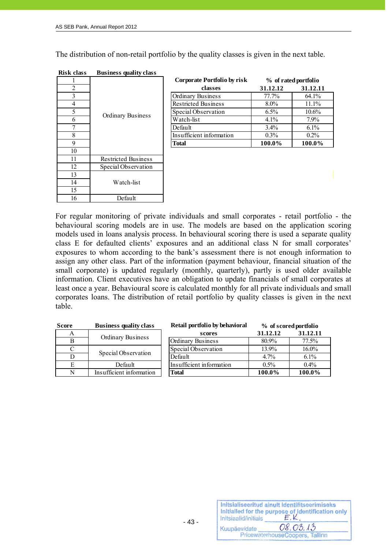The distribution of non-retail portfolio by the quality classes is given in the next table.

| 1              |                            |  |  |  |  |
|----------------|----------------------------|--|--|--|--|
| 2              |                            |  |  |  |  |
| 3              |                            |  |  |  |  |
| 4              |                            |  |  |  |  |
| 5              |                            |  |  |  |  |
| $\overline{6}$ | <b>Ordinary Business</b>   |  |  |  |  |
|                |                            |  |  |  |  |
| 8              |                            |  |  |  |  |
| 9              |                            |  |  |  |  |
| 10             |                            |  |  |  |  |
| 11             | <b>Restricted Business</b> |  |  |  |  |
| 12             | Special Observation        |  |  |  |  |
| 13             |                            |  |  |  |  |
| 14             | Watch-list                 |  |  |  |  |
| 15             |                            |  |  |  |  |
| 16             | Default                    |  |  |  |  |

| Risk class | <b>Business quality class</b> |
|------------|-------------------------------|
|            |                               |

|                |                   | <b>Corporate Portfolio by risk</b> |          | % of rated portfolio |
|----------------|-------------------|------------------------------------|----------|----------------------|
| $\overline{c}$ |                   | classes                            | 31.12.12 | 31.12.11             |
|                |                   | <b>Ordinary Business</b>           | 77.7%    | 64.1%                |
| 4              |                   | <b>Restricted Business</b>         | $8.0\%$  | 11.1%                |
| 5              |                   | Special Observation                | $6.5\%$  | $10.6\%$             |
| 6              | Ordinary Business | Watch-list                         | $4.1\%$  | $7.9\%$              |
|                |                   | Default                            | $3.4\%$  | $6.1\%$              |
| 8              |                   | Insufficient information           | $0.3\%$  | $0.2\%$              |
| 9              |                   | <b>Total</b>                       | 100.0%   | 100.0%               |

For regular monitoring of private individuals and small corporates - retail portfolio - the behavioural scoring models are in use. The models are based on the application scoring models used in loans analysis process. In behavioural scoring there is used a separate quality class E for defaulted clients' exposures and an additional class N for small corporates' exposures to whom according to the bank's assessment there is not enough information to assign any other class. Part of the information (payment behaviour, financial situation of the small corporate) is updated regularly (monthly, quarterly), partly is used older available information. Client executives have an obligation to update financials of small corporates at least once a year. Behavioural score is calculated monthly for all private individuals and small corporates loans. The distribution of retail portfolio by quality classes is given in the next table.

| <b>Score</b> | <b>Business quality class</b> | Retail portfolio by behavioral<br>% of scored portfolio |          |          |
|--------------|-------------------------------|---------------------------------------------------------|----------|----------|
| А            | <b>Ordinary Business</b>      | scores                                                  | 31.12.12 | 31.12.11 |
| B            |                               | <b>Ordinary Business</b>                                | $80.9\%$ | 77.5%    |
| C            | Special Observation           | Special Observation                                     | 13.9%    | $16.0\%$ |
|              |                               | Default                                                 | $4.7\%$  | $6.1\%$  |
| E            | Default                       | Insufficient information                                | $0.5\%$  | $0.4\%$  |
| N            | Insufficient information      | <b>Total</b>                                            | 100.0%   | 100.0%   |

| Initsiaalid/initials | Initsialiseeritud ainult Identifitseerimiseks<br>Initialled for the purpose of Identification only |
|----------------------|----------------------------------------------------------------------------------------------------|
| Kuupäev/date         | 08.03.13                                                                                           |
|                      | PricewaterhouseCoopers, Tallinn                                                                    |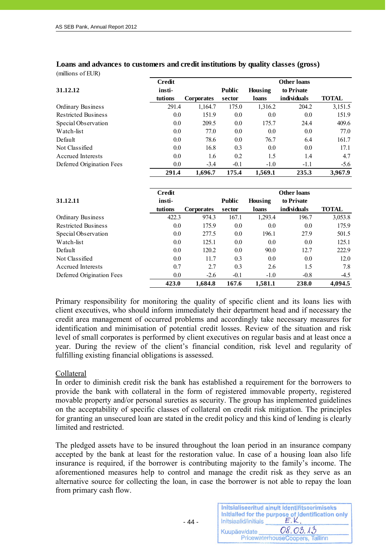#### **Loans and advances to customers and credit institutions by quality classes (gross)**

(millions of EUR)

j

|                            | Credit  |                   |               |         | <b>Other loans</b> |              |
|----------------------------|---------|-------------------|---------------|---------|--------------------|--------------|
| 31.12.12                   | insti-  |                   | <b>Public</b> | Housing | to Private         |              |
|                            | tutions | <b>Corporates</b> | sector        | loans   | individuals        | <b>TOTAL</b> |
| Ordinary Business          | 291.4   | 1,164.7           | 175.0         | 1,316.2 | 204.2              | 3,151.5      |
| <b>Restricted Business</b> | 0.0     | 151.9             | 0.0           | 0.0     | 0.0                | 151.9        |
| Special Observation        | 0.0     | 209.5             | 0.0           | 175.7   | 24.4               | 409.6        |
| Watch-list                 | 0.0     | 77.0              | 0.0           | 0.0     | 0.0                | 77.0         |
| Default                    | 0.0     | 78.6              | 0.0           | 76.7    | 6.4                | 161.7        |
| Not Classified             | 0.0     | 16.8              | 0.3           | 0.0     | 0.0                | 17.1         |
| <b>Accrued Interests</b>   | 0.0     | 1.6               | 0.2           | 1.5     | 1.4                | 4.7          |
| Deferred Origination Fees  | 0.0     | $-3.4$            | $-0.1$        | $-1.0$  | $-1.1$             | $-5.6$       |
|                            | 291.4   | 1.696.7           | 175.4         | 1.569.1 | 235.3              | 3.967.9      |

|                            | <b>Credit</b> |                   |               |         | <b>Other loans</b> |              |
|----------------------------|---------------|-------------------|---------------|---------|--------------------|--------------|
| 31.12.11                   | insti-        |                   | <b>Public</b> | Housing | to Private         |              |
|                            | tutions       | <b>Corporates</b> | sector        | loans   | individuals        | <b>TOTAL</b> |
| Ordinary Business          | 422.3         | 974.3             | 167.1         | 1,293.4 | 196.7              | 3,053.8      |
| <b>Restricted Business</b> | 0.0           | 175.9             | 0.0           | 0.0     | 0.0                | 175.9        |
| Special Observation        | 0.0           | 277.5             | 0.0           | 196.1   | 27.9               | 501.5        |
| Watch-list                 | 0.0           | 125.1             | 0.0           | 0.0     | 0.0                | 125.1        |
| Default                    | 0.0           | 120.2             | 0.0           | 90.0    | 12.7               | 222.9        |
| Not Classified             | 0.0           | 11.7              | 0.3           | 0.0     | 0.0                | 12.0         |
| Accrued Interests          | 0.7           | 2.7               | 0.3           | 2.6     | 1.5                | 7.8          |
| Deferred Origination Fees  | 0.0           | $-2.6$            | $-0.1$        | $-1.0$  | $-0.8$             | $-4.5$       |
|                            | 423.0         | 1.684.8           | 167.6         | 1.581.1 | 238.0              | 4.094.5      |

Primary responsibility for monitoring the quality of specific client and its loans lies with client executives, who should inform immediately their department head and if necessary the credit area management of occurred problems and accordingly take necessary measures for identification and minimisation of potential credit losses. Review of the situation and risk level of small corporates is performed by client executives on regular basis and at least once a year. During the review of the client's financial condition, risk level and regularity of fulfilling existing financial obligations is assessed.

#### Collateral

- 44 -

In order to diminish credit risk the bank has established a requirement for the borrowers to provide the bank with collateral in the form of registered immovable property, registered movable property and/or personal sureties as security. The group has implemented guidelines on the acceptability of specific classes of collateral on credit risk mitigation. The principles for granting an unsecured loan are stated in the credit policy and this kind of lending is clearly limited and restricted.

The pledged assets have to be insured throughout the loan period in an insurance company accepted by the bank at least for the restoration value. In case of a housing loan also life insurance is required, if the borrower is contributing majority to the family's income. The aforementioned measures help to control and manage the credit risk as they serve as an alternative source for collecting the loan, in case the borrower is not able to repay the loan from primary cash flow.

| Initsiaalid/initials | Initsialiseeritud ainult identifitseerimiseks<br>Initialled for the purpose of identification only |
|----------------------|----------------------------------------------------------------------------------------------------|
| Kuupäev/date         | 08.03.13                                                                                           |
|                      | PricewaterhouseCoopers, Tallinn                                                                    |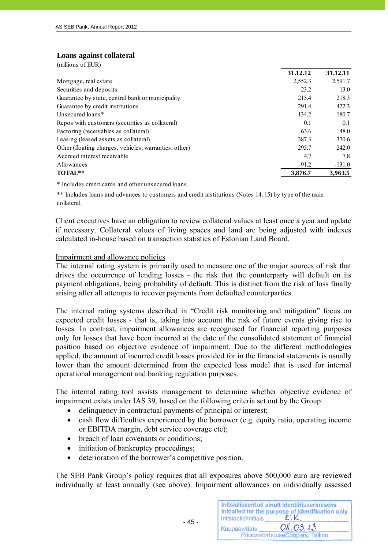#### **Loans against collateral**

 $\mathcal{L}$  EUD)

|                                                       | 31.12.12 | 31.12.11 |
|-------------------------------------------------------|----------|----------|
| Mortgage, real estate                                 | 2,552.3  | 2,591.7  |
| Securities and deposits                               | 23.2     | 13.0     |
| Guarantee by state, central bank or municipality      | 215.4    | 218.3    |
| Guarantee by credit institutions                      | 291.4    | 422.3    |
| Unsecured loans*                                      | 134.2    | 180.7    |
| Repos with customers (securities as collateral)       | 0.1      | 0.1      |
| Factoring (receivables as collateral)                 | 63.6     | 48.0     |
| Leasing (leased assets as collateral)                 | 387.3    | 370.6    |
| Other (floating charges, vehicles, warranties, other) | 295.7    | 242.0    |
| Accrued interest receivable                           | 4.7      | 7.8      |
| Allowances                                            | $-91.2$  | $-131.0$ |
| TOTAL**                                               | 3.876.7  | 3,963.5  |

\* Includes credit cards and other unsecured loans.

\*\* Includes loans and advances to customers and credit institutions (Notes 14, 15) by type of the main collateral.

Client executives have an obligation to review collateral values at least once a year and update if necessary. Collateral values of living spaces and land are being adjusted with indexes calculated in-house based on transaction statistics of Estonian Land Board.

#### Impairment and allowance policies

The internal rating system is primarily used to measure one of the major sources of risk that drives the occurrence of lending losses - the risk that the counterparty will default on its payment obligations, being probability of default. This is distinct from the risk of loss finally arising after all attempts to recover payments from defaulted counterparties.

The internal rating systems described in "Credit risk monitoring and mitigation" focus on expected credit losses - that is, taking into account the risk of future events giving rise to losses. In contrast, impairment allowances are recognised for financial reporting purposes only for losses that have been incurred at the date of the consolidated statement of financial position based on objective evidence of impairment. Due to the different methodologies applied, the amount of incurred credit losses provided for in the financial statements is usually lower than the amount determined from the expected loss model that is used for internal operational management and banking regulation purposes.

The internal rating tool assists management to determine whether objective evidence of impairment exists under IAS 39, based on the following criteria set out by the Group:

- delinquency in contractual payments of principal or interest;
- cash flow difficulties experienced by the borrower (e.g. equity ratio, operating income or EBITDA margin, debt service coverage etc);
- breach of loan covenants or conditions:
- initiation of bankruptcy proceedings;
- deterioration of the borrower's competitive position.

The SEB Pank Group's policy requires that all exposures above 500,000 euro are reviewed individually at least annually (see above). Impairment allowances on individually assessed

**Initsialiseeritud ainult Identifitseerimiseks** Initialled for the purpose of Identification only  $E.K$ Initsiaalid/initials 08.03.13 Kuupäev/date PricewaterhouseCoopers, Tallinn

 $-45$  -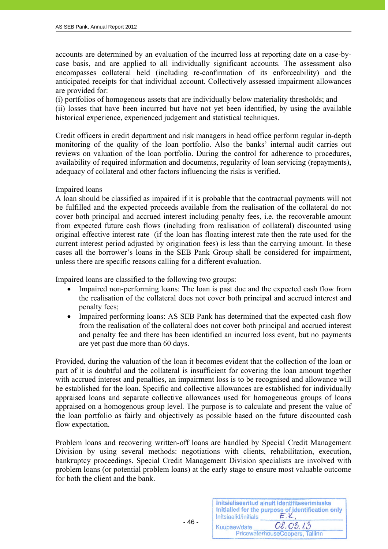accounts are determined by an evaluation of the incurred loss at reporting date on a case-bycase basis, and are applied to all individually significant accounts. The assessment also encompasses collateral held (including re-confirmation of its enforceability) and the anticipated receipts for that individual account. Collectively assessed impairment allowances are provided for:

(i) portfolios of homogenous assets that are individually below materiality thresholds; and (ii) losses that have been incurred but have not yet been identified, by using the available historical experience, experienced judgement and statistical techniques.

Credit officers in credit department and risk managers in head office perform regular in-depth monitoring of the quality of the loan portfolio. Also the banks' internal audit carries out reviews on valuation of the loan portfolio. During the control for adherence to procedures, availability of required information and documents, regularity of loan servicing (repayments), adequacy of collateral and other factors influencing the risks is verified.

Impaired loans

A loan should be classified as impaired if it is probable that the contractual payments will not be fulfilled and the expected proceeds available from the realisation of the collateral do not cover both principal and accrued interest including penalty fees, i.e. the recoverable amount from expected future cash flows (including from realisation of collateral) discounted using original effective interest rate (if the loan has floating interest rate then the rate used for the current interest period adjusted by origination fees) is less than the carrying amount. In these cases all the borrower's loans in the SEB Pank Group shall be considered for impairment, unless there are specific reasons calling for a different evaluation.

Impaired loans are classified to the following two groups:

- Impaired non-performing loans: The loan is past due and the expected cash flow from the realisation of the collateral does not cover both principal and accrued interest and penalty fees;
- Impaired performing loans: AS SEB Pank has determined that the expected cash flow from the realisation of the collateral does not cover both principal and accrued interest and penalty fee and there has been identified an incurred loss event, but no payments are yet past due more than 60 days.

Provided, during the valuation of the loan it becomes evident that the collection of the loan or part of it is doubtful and the collateral is insufficient for covering the loan amount together with accrued interest and penalties, an impairment loss is to be recognised and allowance will be established for the loan. Specific and collective allowances are established for individually appraised loans and separate collective allowances used for homogeneous groups of loans appraised on a homogenous group level. The purpose is to calculate and present the value of the loan portfolio as fairly and objectively as possible based on the future discounted cash flow expectation.

Problem loans and recovering written-off loans are handled by Special Credit Management Division by using several methods: negotiations with clients, rehabilitation, execution, bankruptcy proceedings. Special Credit Management Division specialists are involved with problem loans (or potential problem loans) at the early stage to ensure most valuable outcome for both the client and the bank.

Initsialiseeritud ainult Identifitseerimiseks Initialled for the purpose of Identification only<br>Initialialid/initials  $E.K$ 08.03.13 Kuupäev/date PricewaterhouseCoopers, Tallinn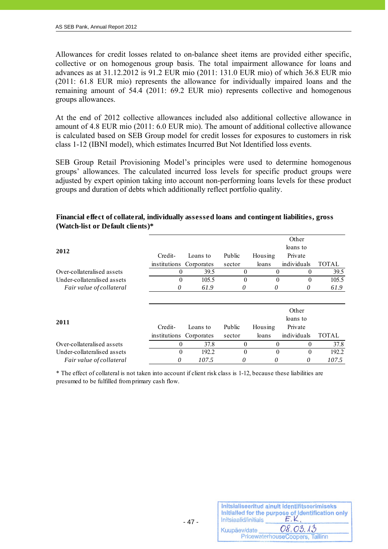Allowances for credit losses related to on-balance sheet items are provided either specific, collective or on homogenous group basis. The total impairment allowance for loans and advances as at 31.12.2012 is 91.2 EUR mio (2011: 131.0 EUR mio) of which 36.8 EUR mio (2011: 61.8 EUR mio) represents the allowance for individually impaired loans and the remaining amount of 54.4 (2011: 69.2 EUR mio) represents collective and homogenous groups allowances.

At the end of 2012 collective allowances included also additional collective allowance in amount of 4.8 EUR mio (2011: 6.0 EUR mio). The amount of additional collective allowance is calculated based on SEB Group model for credit losses for exposures to customers in risk class 1-12 (IBNI model), which estimates Incurred But Not Identified loss events.

SEB Group Retail Provisioning Model's principles were used to determine homogenous groups' allowances. The calculated incurred loss levels for specific product groups were adjusted by expert opinion taking into account non-performing loans levels for these product groups and duration of debts which additionally reflect portfolio quality.

|                             |                         |                        |                  |                  | Other                              |              |
|-----------------------------|-------------------------|------------------------|------------------|------------------|------------------------------------|--------------|
|                             |                         |                        |                  |                  | loans to                           |              |
| 2012                        | Credit-                 | Loans to               | Public           | Housing          | Private                            |              |
|                             | institutions            | Corporates             | sector           | loans            | individuals                        | <b>TOTAL</b> |
| Over-collateralised assets  | 0                       | 39.5                   | $\theta$         | $\Omega$         | 0                                  | 39.5         |
| Under-collateralised assets | $\theta$                | 105.5                  | $\theta$         | $\Omega$         | $\Omega$                           | 105.5        |
| Fair value of collateral    | 0                       | 61.9                   | 0                | 0                | 0                                  | 61.9         |
|                             |                         |                        |                  |                  | Other                              |              |
| 2011                        | Credit-<br>institutions | Loans to<br>Corporates | Public<br>sector | Housing<br>loans | loans to<br>Private<br>individuals | <b>TOTAL</b> |
| Over-collateralised assets  | 0                       | 37.8                   | $\theta$         | 0                | $^{(1)}$                           | 37.8         |
| Under-collateralised assets | $\theta$                | 192.2                  | $\Omega$         | $\Omega$         | $\Omega$                           | 192.2        |
| Fair value of collateral    | 0                       | 107.5                  | 0                | 0                | 0                                  | 107.5        |

**Financial effect of collateral, individually assessed loans and contingent liabilities, gross (Watch-list or Default clients)\***

\* The effect of collateral is not taken into account if client risk class is 1-12, because these liabilities are presumed to be fulfilled from primary cash flow.

|                      | Initsialiseeritud ainult identifitseerimiseks<br>Initialled for the purpose of Identification only |
|----------------------|----------------------------------------------------------------------------------------------------|
| Initsiaalid/initials |                                                                                                    |
| Kuupäev/date         | 08.03.13                                                                                           |
|                      | PricewaterhouseCoopers, Tallinn                                                                    |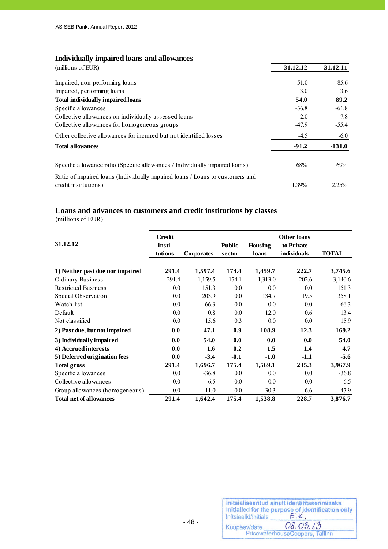## **Individually impaired loans and allowances**

| (millions of EUR)                                                                                     | 31.12.12 | 31.12.11 |
|-------------------------------------------------------------------------------------------------------|----------|----------|
| Impaired, non-performing loans                                                                        | 51.0     | 85.6     |
| Impaired, performing loans                                                                            | 3.0      | 3.6      |
| Total individually impaired loans                                                                     | 54.0     | 89.2     |
| Specific allowances                                                                                   | $-36.8$  | $-61.8$  |
| Collective allowances on individually assessed loans                                                  | $-2.0$   | $-7.8$   |
| Collective allowances for homogeneous groups                                                          | $-47.9$  | $-55.4$  |
| Other collective allowances for incurred but not identified losses                                    | $-4.5$   | $-6.0$   |
| <b>Total allowances</b>                                                                               | $-91.2$  | $-131.0$ |
| Specific allowance ratio (Specific allowances / Individually impaired loans)                          | 68%      | 69%      |
| Ratio of impaired loans (Individually impaired loans / Loans to customers and<br>credit institutions) | 1.39%    | 2.25%    |

## **Loans and advances to customers and credit institutions by classes**

(millions of EUR)

| 31.12.12                         | <b>Credit</b><br>insti-<br>tutions | <b>Corporates</b> | <b>Public</b><br>sector | <b>Housing</b><br>loans | <b>Other loans</b><br>to Private<br>individuals | <b>TOTAL</b> |
|----------------------------------|------------------------------------|-------------------|-------------------------|-------------------------|-------------------------------------------------|--------------|
| 1) Neither past due nor impaired | 291.4                              | 1,597.4           | 174.4                   | 1,459.7                 | 222.7                                           | 3,745.6      |
| Ordinary Business                | 291.4                              | 1,159.5           | 174.1                   | 1,313.0                 | 202.6                                           | 3,140.6      |
| <b>Restricted Business</b>       | 0.0                                | 151.3             | 0.0                     | 0.0                     | 0.0                                             | 151.3        |
| Special Observation              | 0.0                                | 203.9             | 0.0                     | 134.7                   | 19.5                                            | 358.1        |
| Watch-list                       | 0.0                                | 66.3              | 0.0                     | $0.0\,$                 | 0.0                                             | 66.3         |
| Default                          | 0.0                                | 0.8               | 0.0                     | 12.0                    | 0.6                                             | 13.4         |
| Not classified                   | 0.0                                | 15.6              | 0.3                     | 0.0                     | 0.0                                             | 15.9         |
| 2) Past due, but not impaired    | 0.0                                | 47.1              | 0.9                     | 108.9                   | 12.3                                            | 169.2        |
| 3) Individually impaired         | 0.0                                | 54.0              | 0.0                     | 0.0                     | 0.0                                             | 54.0         |
| 4) Accrued interests             | 0.0                                | 1.6               | 0.2                     | 1.5                     | 1.4                                             | 4.7          |
| 5) Deferred origination fees     | 0.0                                | $-3.4$            | $-0.1$                  | $-1.0$                  | $-1.1$                                          | $-5.6$       |
| <b>Total gross</b>               | 291.4                              | 1,696.7           | 175.4                   | 1,569.1                 | 235.3                                           | 3,967.9      |
| Specific allowances              | 0.0                                | $-36.8$           | 0.0                     | 0.0                     | 0.0                                             | $-36.8$      |
| Collective allowances            | 0.0                                | $-6.5$            | 0.0                     | 0.0                     | 0.0                                             | $-6.5$       |
| Group allowances (homogeneous)   | $0.0\,$                            | $-11.0$           | 0.0                     | $-30.3$                 | $-6.6$                                          | $-47.9$      |
| <b>Total net of allowances</b>   | 291.4                              | 1,642.4           | 175.4                   | 1,538.8                 | 228.7                                           | 3,876.7      |

|                      | Initsialiseeritud ainult identifitseerimiseks                                      |
|----------------------|------------------------------------------------------------------------------------|
|                      | Initialled for the purpose of identification only<br>Initsiaalid/initials $E$ , K, |
| Initsiaalid/initials |                                                                                    |
| Kuupäev/date         | 08.03.13                                                                           |
|                      | PricewaterhouseCoopers, Tallinn                                                    |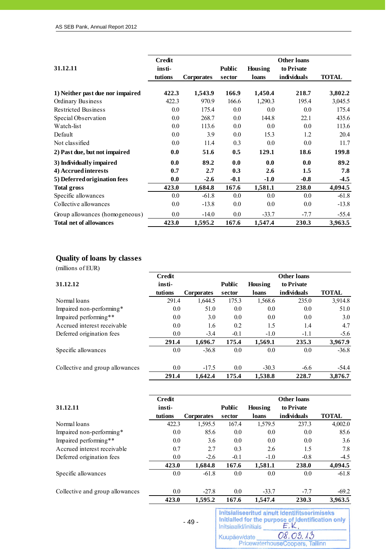| 31.12.11                         | <b>Credit</b><br>insti-<br>tutions | <b>Corporates</b> | <b>Public</b><br>sector | Housing<br>loans | <b>Other loans</b><br>to Private<br>individuals | <b>TOTAL</b> |
|----------------------------------|------------------------------------|-------------------|-------------------------|------------------|-------------------------------------------------|--------------|
| 1) Neither past due nor impaired | 422.3                              | 1,543.9           | 166.9                   | 1,450.4          | 218.7                                           | 3,802.2      |
| Ordinary Business                | 422.3                              | 970.9             | 166.6                   | 1,290.3          | 195.4                                           | 3,045.5      |
| <b>Restricted Business</b>       | 0.0                                | 175.4             | 0.0                     | 0.0              | 0.0                                             | 175.4        |
| Special Observation              | 0.0                                | 268.7             | 0.0                     | 144.8            | 22.1                                            | 435.6        |
| Watch-list                       | 0.0                                | 113.6             | 0.0                     | 0.0              | 0.0                                             | 113.6        |
| Default                          | 0.0                                | 3.9               | 0.0                     | 15.3             | 1.2                                             | 20.4         |
| Not classified                   | 0.0                                | 11.4              | 0.3                     | 0.0              | 0.0                                             | 11.7         |
| 2) Past due, but not impaired    | 0.0                                | 51.6              | 0.5                     | 129.1            | 18.6                                            | 199.8        |
| 3) Individually impaired         | 0.0                                | 89.2              | 0.0                     | 0.0              | 0.0                                             | 89.2         |
| 4) Accrued interests             | 0.7                                | 2.7               | 0.3                     | 2.6              | 1.5                                             | 7.8          |
| 5) Deferred origination fees     | 0.0                                | $-2.6$            | $-0.1$                  | $-1.0$           | $-0.8$                                          | $-4.5$       |
| <b>Total gross</b>               | 423.0                              | 1,684.8           | 167.6                   | 1,581.1          | 238.0                                           | 4,094.5      |
| Specific allowances              | 0.0                                | $-61.8$           | 0.0                     | 0.0              | 0.0                                             | $-61.8$      |
| Collective allowances            | 0.0                                | $-13.8$           | 0.0                     | 0.0              | 0.0                                             | $-13.8$      |
| Group allowances (homogeneous)   | 0.0                                | $-14.0$           | 0.0                     | $-33.7$          | $-7.7$                                          | $-55.4$      |
| <b>Total net of allowances</b>   | 423.0                              | 1,595.2           | 167.6                   | 1,547.4          | 230.3                                           | 3,963.5      |

### **Quality of loans by classes**

(millions of EUR)

| <b>Credit</b> |                   |               | <b>Other loans</b> |             |              |  |  |
|---------------|-------------------|---------------|--------------------|-------------|--------------|--|--|
| insti-        |                   | <b>Public</b> | Housing            | to Private  |              |  |  |
| tutions       | <b>Corporates</b> | sector        | loans              | individuals | <b>TOTAL</b> |  |  |
| 291.4         | 1,644.5           | 175.3         | 1,568.6            | 235.0       | 3,914.8      |  |  |
| 0.0           | 51.0              | 0.0           | 0.0                | 0.0         | 51.0         |  |  |
| 0.0           | 3.0               | 0.0           | 0.0                | 0.0         | 3.0          |  |  |
| 0.0           | 1.6               | 0.2           | 1.5                | 1.4         | 4.7          |  |  |
| 0.0           | $-3.4$            | $-0.1$        | $-1.0$             | $-1.1$      | $-5.6$       |  |  |
| 291.4         | 1,696.7           | 175.4         | 1.569.1            | 235.3       | 3,967.9      |  |  |
| 0.0           | $-36.8$           | 0.0           | 0.0                | 0.0         | $-36.8$      |  |  |
| 0.0           | $-17.5$           | 0.0           | $-30.3$            | $-6.6$      | $-54.4$      |  |  |
| 291.4         | 1,642.4           | 175.4         | 1,538.8            | 228.7       | 3,876.7      |  |  |
|               |                   |               |                    |             |              |  |  |

|                                 | Credit  |                   |                      |         | <b>Other loans</b>                                                                                             |              |
|---------------------------------|---------|-------------------|----------------------|---------|----------------------------------------------------------------------------------------------------------------|--------------|
| 31.12.11                        | insti-  |                   | <b>Public</b>        | Housing | to Private                                                                                                     |              |
|                                 | tutions | <b>Corporates</b> | sector               | loans   | individuals                                                                                                    | <b>TOTAL</b> |
| Normal loans                    | 422.3   | 1,595.5           | 167.4                | 1,579.5 | 237.3                                                                                                          | 4,002.0      |
| Impaired non-performing*        | 0.0     | 85.6              | 0.0                  | 0.0     | 0.0                                                                                                            | 85.6         |
| Impaired performing**           | 0.0     | 3.6               | $0.0\,$              | 0.0     | 0.0                                                                                                            | 3.6          |
| Accrued interest receivable     | 0.7     | 2.7               | 0.3                  | 2.6     | 1.5                                                                                                            | 7.8          |
| Deferred origination fees       | 0.0     | $-2.6$            | $-0.1$               | $-1.0$  | $-0.8$                                                                                                         | $-4.5$       |
|                                 | 423.0   | 1,684.8           | 167.6                | 1,581.1 | 238.0                                                                                                          | 4,094.5      |
| Specific allowances             | 0.0     | $-61.8$           | 0.0                  | 0.0     | 0.0                                                                                                            | $-61.8$      |
| Collective and group allowances | 0.0     | $-27.8$           | $0.0\,$              | $-33.7$ | $-7.7$                                                                                                         | $-69.2$      |
|                                 | 423.0   | 1,595.2           | 167.6                | 1.547.4 | 230.3                                                                                                          | 3,963.5      |
|                                 |         | $-49-$            | Initsiaalid/initials |         | Initsialiseeritud ainult Identifitseerimiseks<br>Initialled for the purpose of Identification only<br>$E$ , K. |              |

Kuupäev/date 08.03.13<br>PricewaterhouseCoopers, Tallinn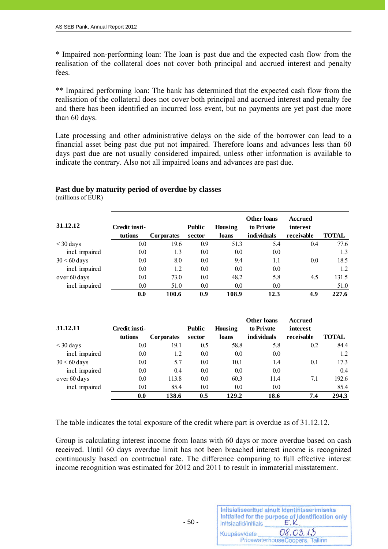\* Impaired non-performing loan: The loan is past due and the expected cash flow from the realisation of the collateral does not cover both principal and accrued interest and penalty fees.

\*\* Impaired performing loan: The bank has determined that the expected cash flow from the realisation of the collateral does not cover both principal and accrued interest and penalty fee and there has been identified an incurred loss event, but no payments are yet past due more than 60 days.

Late processing and other administrative delays on the side of the borrower can lead to a financial asset being past due put not impaired. Therefore loans and advances less than 60 days past due are not usually considered impaired, unless other information is available to indicate the contrary. Also not all impaired loans and advances are past due.

#### **Past due by maturity period of overdue by classes**

(millions of EUR)

| 31.12.12       | Credit insti- |                   | <b>Public</b> | Housing | Other loans<br>to Private | Accrued<br>interest |              |
|----------------|---------------|-------------------|---------------|---------|---------------------------|---------------------|--------------|
|                | tutions       | <b>Corporates</b> | sector        | loans   | individuals               | receivable          | <b>TOTAL</b> |
| $\leq$ 30 days | 0.0           | 19.6              | 0.9           | 51.3    | 5.4                       | 0.4                 | 77.6         |
| incl. impaired | 0.0           | 1.3               | 0.0           | 0.0     | 0.0                       |                     | 1.3          |
| $30 < 60$ days | 0.0           | 8.0               | 0.0           | 9.4     | 1.1                       | 0.0                 | 18.5         |
| incl. impaired | 0.0           | 1.2               | 0.0           | 0.0     | 0.0                       |                     | 1.2          |
| over 60 days   | 0.0           | 73.0              | 0.0           | 48.2    | 5.8                       | 4.5                 | 131.5        |
| incl. impaired | 0.0           | 51.0              | 0.0           | 0.0     | 0.0                       |                     | 51.0         |
|                | 0.0           | 100.6             | 0.9           | 108.9   | 12.3                      | 4.9                 | 227.6        |

|                |               |                   |               |         | <b>Other loans</b> | Accrued    |       |
|----------------|---------------|-------------------|---------------|---------|--------------------|------------|-------|
| 31.12.11       | Credit insti- |                   | <b>Public</b> | Housing | to Private         | interest   |       |
|                | tutions       | <b>Corporates</b> | sector        | loans   | individuals        | receivable | TOTAL |
| $<$ 30 days    | 0.0           | 19.1              | 0.5           | 58.8    | 5.8                | 0.2        | 84.4  |
| incl. impaired | 0.0           | 1.2               | 0.0           | 0.0     | 0.0                |            | 1.2   |
| $30 < 60$ days | 0.0           | 5.7               | 0.0           | 10.1    | 1.4                | 0.1        | 17.3  |
| incl. impaired | 0.0           | 0.4               | 0.0           | 0.0     | 0.0                |            | 0.4   |
| over 60 days   | 0.0           | 113.8             | 0.0           | 60.3    | 11.4               | 7.1        | 192.6 |
| incl. impaired | 0.0           | 85.4              | 0.0           | 0.0     | 0.0                |            | 85.4  |
|                | 0.0           | 138.6             | 0.5           | 129.2   | 18.6               | 7.4        | 294.3 |

The table indicates the total exposure of the credit where part is overdue as of 31.12.12.

Group is calculating interest income from loans with 60 days or more overdue based on cash received. Until 60 days overdue limit has not been breached interest income is recognized continuously based on contractual rate. The difference comparing to full effective interest income recognition was estimated for 2012 and 2011 to result in immaterial misstatement.

| Initialled for the purpose of Identification only |
|---------------------------------------------------|
|                                                   |
| 08.03.13<br>PricewaterhouseCoopers, Tallinn       |
|                                                   |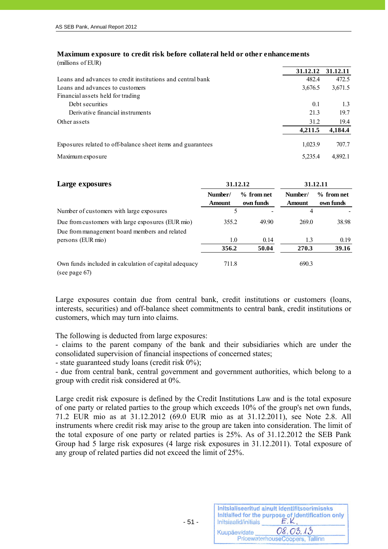| Maximum exposure to credit risk before collateral held or other enhancements |  |  |  |  |
|------------------------------------------------------------------------------|--|--|--|--|
| (millions of $FIR$ )                                                         |  |  |  |  |

| THE OT SUPPORT                                              |          |          |
|-------------------------------------------------------------|----------|----------|
|                                                             | 31.12.12 | 31.12.11 |
| Loans and advances to credit institutions and central bank  | 482.4    | 472.5    |
| Loans and advances to customers                             | 3,676.5  | 3,671.5  |
| Financial assets held for trading                           |          |          |
| Debt securities                                             | 0.1      | 1.3      |
| Derivative financial instruments                            | 21.3     | 19.7     |
| Other assets                                                | 31.2     | 19.4     |
|                                                             | 4,211.5  | 4,184.4  |
| Exposures related to off-balance sheet items and guarantees | 1,023.9  | 707.7    |
| Maximum exposure                                            | 5,235.4  | 4.892.1  |

| Large exposures                                       | 31.12.12                 |                           | 31.12.11                 |                           |  |
|-------------------------------------------------------|--------------------------|---------------------------|--------------------------|---------------------------|--|
|                                                       | Number/<br><b>Amount</b> | $%$ from net<br>own funds | Number/<br><b>Amount</b> | $%$ from net<br>own funds |  |
| Number of customers with large exposures              |                          |                           | 4                        |                           |  |
| Due from customers with large exposures (EUR mio)     | 355.2                    | 49.90                     | 269.0                    | 38.98                     |  |
| Due from management board members and related         |                          |                           |                          |                           |  |
| persons (EUR mio)                                     | 1.0                      | 0.14                      | 1.3                      | 0.19                      |  |
|                                                       | 356.2                    | 50.04                     | 270.3                    | 39.16                     |  |
| Own funds included in calculation of capital adequacy | 711.8                    |                           | 690.3                    |                           |  |

(see page 67)

Large exposures contain due from central bank, credit institutions or customers (loans, interests, securities) and off-balance sheet commitments to central bank, credit institutions or customers, which may turn into claims.

The following is deducted from large exposures:

- claims to the parent company of the bank and their subsidiaries which are under the consolidated supervision of financial inspections of concerned states;

- state guaranteed study loans (credit risk 0%);

- due from central bank, central government and government authorities, which belong to a group with credit risk considered at 0%.

Large credit risk exposure is defined by the Credit Institutions Law and is the total exposure of one party or related parties to the group which exceeds 10% of the group's net own funds, 71.2 EUR mio as at 31.12.2012 (69.0 EUR mio as at 31.12.2011), see Note 2.8. All instruments where credit risk may arise to the group are taken into consideration. The limit of the total exposure of one party or related parties is 25%. As of 31.12.2012 the SEB Pank Group had 5 large risk exposures (4 large risk exposures in 31.12.2011). Total exposure of any group of related parties did not exceed the limit of 25%.

|                      | Initsialiseeritud ainult identifitseerimiseks<br>Initialled for the purpose of Identification only |
|----------------------|----------------------------------------------------------------------------------------------------|
| Initsiaalid/initials |                                                                                                    |
| Kuupäev/date         | 08.03.13                                                                                           |
|                      | PricewaterhouseCoopers, Tallinn                                                                    |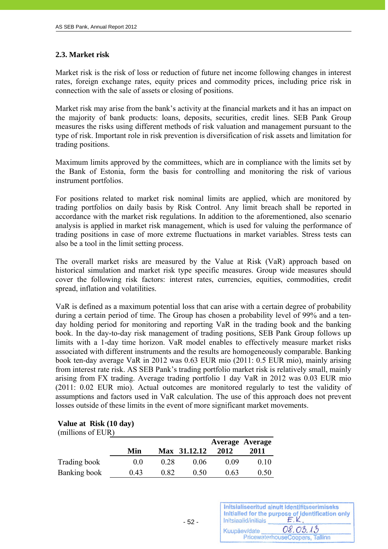### **2.3. Market risk**

j

Market risk is the risk of loss or reduction of future net income following changes in interest rates, foreign exchange rates, equity prices and commodity prices, including price risk in connection with the sale of assets or closing of positions.

Market risk may arise from the bank's activity at the financial markets and it has an impact on the majority of bank products: loans, deposits, securities, credit lines. SEB Pank Group measures the risks using different methods of risk valuation and management pursuant to the type of risk. Important role in risk prevention is diversification of risk assets and limitation for trading positions.

Maximum limits approved by the committees, which are in compliance with the limits set by the Bank of Estonia, form the basis for controlling and monitoring the risk of various instrument portfolios.

For positions related to market risk nominal limits are applied, which are monitored by trading portfolios on daily basis by Risk Control. Any limit breach shall be reported in accordance with the market risk regulations. In addition to the aforementioned, also scenario analysis is applied in market risk management, which is used for valuing the performance of trading positions in case of more extreme fluctuations in market variables. Stress tests can also be a tool in the limit setting process.

The overall market risks are measured by the Value at Risk (VaR) approach based on historical simulation and market risk type specific measures. Group wide measures should cover the following risk factors: interest rates, currencies, equities, commodities, credit spread, inflation and volatilities.

VaR is defined as a maximum potential loss that can arise with a certain degree of probability during a certain period of time. The Group has chosen a probability level of 99% and a tenday holding period for monitoring and reporting VaR in the trading book and the banking book. In the day-to-day risk management of trading positions, SEB Pank Group follows up limits with a 1-day time horizon. VaR model enables to effectively measure market risks associated with different instruments and the results are homogeneously comparable. Banking book ten-day average VaR in 2012 was 0.63 EUR mio (2011: 0.5 EUR mio), mainly arising from interest rate risk. AS SEB Pank's trading portfolio market risk is relatively small, mainly arising from FX trading. Average trading portfolio 1 day VaR in 2012 was 0.03 EUR mio (2011: 0.02 EUR mio). Actual outcomes are monitored regularly to test the validity of assumptions and factors used in VaR calculation. The use of this approach does not prevent losses outside of these limits in the event of more significant market movements.

#### **Value at Risk (10 day)**

| (millions of EUR) |  |
|-------------------|--|
|                   |  |

|              | Min  |       | Max 31.12.12 | <b>Average Average</b><br>2012 | 2011 |
|--------------|------|-------|--------------|--------------------------------|------|
| Trading book | (0)  | (128) | 0.06         | 0.09                           | 010  |
| Banking book | 0.43 | 0.82  | 0,50         | 0.63                           | 0.50 |

| Initsiaalid/initials | Initsialiseeritud ainult Identifitseerimiseks<br>Initialled for the purpose of Identification only |
|----------------------|----------------------------------------------------------------------------------------------------|
| Kuupäev/date         | 08.03.13                                                                                           |
|                      | PricewaterhouseCoopers, Tallinn                                                                    |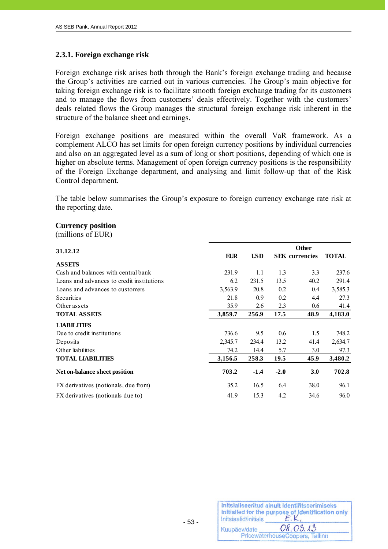#### **2.3.1. Foreign exchange risk**

Foreign exchange risk arises both through the Bank's foreign exchange trading and because the Group's activities are carried out in various currencies. The Group's main objective for taking foreign exchange risk is to facilitate smooth foreign exchange trading for its customers and to manage the flows from customers' deals effectively. Together with the customers' deals related flows the Group manages the structural foreign exchange risk inherent in the structure of the balance sheet and earnings.

Foreign exchange positions are measured within the overall VaR framework. As a complement ALCO has set limits for open foreign currency positions by individual currencies and also on an aggregated level as a sum of long or short positions, depending of which one is higher on absolute terms. Management of open foreign currency positions is the responsibility of the Foreign Exchange department, and analysing and limit follow-up that of the Risk Control department.

The table below summarises the Group's exposure to foreign currency exchange rate risk at the reporting date.

#### **Currency position**

(millions of EUR)

| 31.12.12                                  | Other      |            |        |                       |              |  |
|-------------------------------------------|------------|------------|--------|-----------------------|--------------|--|
|                                           | <b>EUR</b> | <b>USD</b> |        | <b>SEK</b> currencies | <b>TOTAL</b> |  |
| <b>ASSETS</b>                             |            |            |        |                       |              |  |
| Cash and balances with central bank       | 231.9      | 1.1        | 1.3    | 3.3                   | 237.6        |  |
| Loans and advances to credit institutions | 6.2        | 231.5      | 13.5   | 40.2                  | 291.4        |  |
| Loans and advances to customers           | 3,563.9    | 20.8       | 0.2    | 0.4                   | 3,585.3      |  |
| Securities                                | 21.8       | 0.9        | 0.2    | 4.4                   | 27.3         |  |
| Other assets                              | 35.9       | 2.6        | 2.3    | 0.6                   | 41.4         |  |
| <b>TOTAL ASSETS</b>                       | 3,859.7    | 256.9      | 17.5   | 48.9                  | 4,183.0      |  |
| <b>LIABILITIES</b>                        |            |            |        |                       |              |  |
| Due to credit institutions                | 736.6      | 9.5        | 0.6    | 1.5                   | 748.2        |  |
| Deposits                                  | 2,345.7    | 234.4      | 13.2   | 41.4                  | 2,634.7      |  |
| Other liabilities                         | 74.2       | 14.4       | 5.7    | 3.0                   | 97.3         |  |
| <b>TOTAL LIABILITIES</b>                  | 3,156.5    | 258.3      | 19.5   | 45.9                  | 3,480.2      |  |
| Net on-balance sheet position             | 703.2      | $-1.4$     | $-2.0$ | <b>3.0</b>            | 702.8        |  |
| FX derivatives (notionals, due from)      | 35.2       | 16.5       | 6.4    | 38.0                  | 96.1         |  |
| FX derivatives (notionals due to)         | 41.9       | 15.3       | 4.2    | 34.6                  | 96.0         |  |

| Initsiaalid/initials | Initsialiseeritud ainult Identifitseerimiseks<br>Initialled for the purpose of identification only<br>Initsiaalid/initials E.K. |
|----------------------|---------------------------------------------------------------------------------------------------------------------------------|
| Kuupäev/date         | 08.03.13                                                                                                                        |
|                      | PricewaterhouseCoopers, Tallinn                                                                                                 |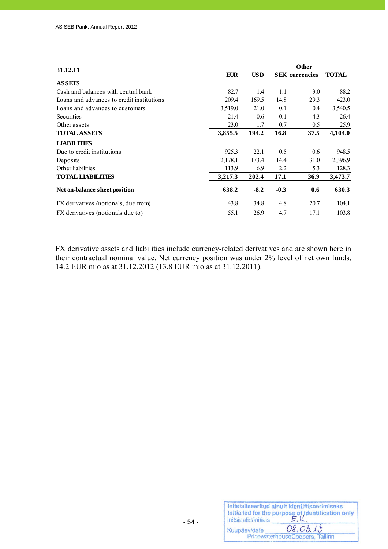| 31.12.11                                  | <b>Other</b> |            |        |                       |              |  |  |
|-------------------------------------------|--------------|------------|--------|-----------------------|--------------|--|--|
|                                           | EUR          | <b>USD</b> |        | <b>SEK</b> currencies | <b>TOTAL</b> |  |  |
| <b>ASSETS</b>                             |              |            |        |                       |              |  |  |
| Cash and balances with central bank       | 82.7         | 1.4        | 1.1    | 3.0                   | 88.2         |  |  |
| Loans and advances to credit institutions | 209.4        | 169.5      | 14.8   | 29.3                  | 423.0        |  |  |
| Loans and advances to customers           | 3,519.0      | 21.0       | 0.1    | 0.4                   | 3,540.5      |  |  |
| Securities                                | 21.4         | 0.6        | 0.1    | 4.3                   | 26.4         |  |  |
| Other assets                              | 23.0         | 1.7        | 0.7    | 0.5                   | 25.9         |  |  |
| <b>TOTAL ASSETS</b>                       | 3,855.5      | 194.2      | 16.8   | 37.5                  | 4,104.0      |  |  |
| <b>LIABILITIES</b>                        |              |            |        |                       |              |  |  |
| Due to credit institutions                | 925.3        | 22.1       | 0.5    | 0.6                   | 948.5        |  |  |
| Deposits                                  | 2,178.1      | 173.4      | 14.4   | 31.0                  | 2,396.9      |  |  |
| Other liabilities                         | 113.9        | 6.9        | 2.2    | 5.3                   | 128.3        |  |  |
| <b>TOTAL LIABILITIES</b>                  | 3,217.3      | 202.4      | 17.1   | <b>36.9</b>           | 3,473.7      |  |  |
| Net on-balance sheet position             | 638.2        | $-8.2$     | $-0.3$ | 0.6                   | 630.3        |  |  |
| FX derivatives (notionals, due from)      | 43.8         | 34.8       | 4.8    | 20.7                  | 104.1        |  |  |
| FX derivatives (notionals due to)         | 55.1         | 26.9       | 4.7    | 17.1                  | 103.8        |  |  |

FX derivative assets and liabilities include currency-related derivatives and are shown here in their contractual nominal value. Net currency position was under 2% level of net own funds, 14.2 EUR mio as at 31.12.2012 (13.8 EUR mio as at 31.12.2011).

| Initsiaalid/initials | Initsialiseeritud ainult Identifitseerimiseks<br>Initialled for the purpose of Identification only |
|----------------------|----------------------------------------------------------------------------------------------------|
| Kuupäev/date         | 08.03.13                                                                                           |
|                      | PricewaterhouseCoopers, Tallinn                                                                    |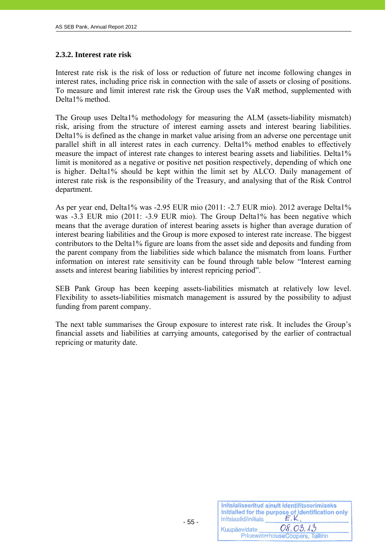### **2.3.2. Interest rate risk**

Interest rate risk is the risk of loss or reduction of future net income following changes in interest rates, including price risk in connection with the sale of assets or closing of positions. To measure and limit interest rate risk the Group uses the VaR method, supplemented with Delta1% method.

The Group uses Delta1% methodology for measuring the ALM (assets-liability mismatch) risk, arising from the structure of interest earning assets and interest bearing liabilities. Delta1% is defined as the change in market value arising from an adverse one percentage unit parallel shift in all interest rates in each currency. Delta1% method enables to effectively measure the impact of interest rate changes to interest bearing assets and liabilities. Delta1% limit is monitored as a negative or positive net position respectively, depending of which one is higher. Delta1% should be kept within the limit set by ALCO. Daily management of interest rate risk is the responsibility of the Treasury, and analysing that of the Risk Control department.

As per year end, Delta1% was -2.95 EUR mio (2011: -2.7 EUR mio). 2012 average Delta1% was -3.3 EUR mio (2011: -3.9 EUR mio). The Group Delta1% has been negative which means that the average duration of interest bearing assets is higher than average duration of interest bearing liabilities and the Group is more exposed to interest rate increase. The biggest contributors to the Delta1% figure are loans from the asset side and deposits and funding from the parent company from the liabilities side which balance the mismatch from loans. Further information on interest rate sensitivity can be found through table below "Interest earning assets and interest bearing liabilities by interest repricing period".

SEB Pank Group has been keeping assets-liabilities mismatch at relatively low level. Flexibility to assets-liabilities mismatch management is assured by the possibility to adjust funding from parent company.

The next table summarises the Group exposure to interest rate risk. It includes the Group's financial assets and liabilities at carrying amounts, categorised by the earlier of contractual repricing or maturity date.

| Initsiaalid/initials | Initsialiseeritud ainult identifitseerimiseks<br>Initialled for the purpose of identification only<br>Initsiaalid/initials $E$ , $K$ , |
|----------------------|----------------------------------------------------------------------------------------------------------------------------------------|
| Kuupäev/date         | 08.03.13                                                                                                                               |
|                      | PricewaterhouseCoopers, Tallinn                                                                                                        |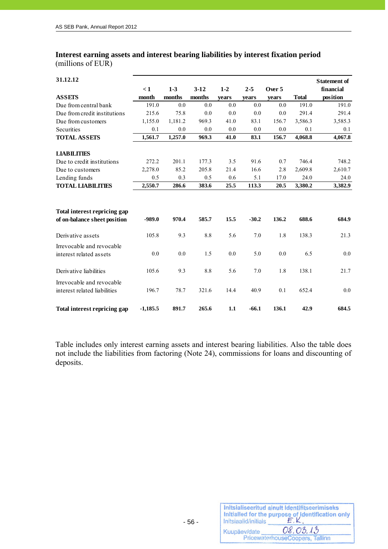### **Interest earning assets and interest bearing liabilities by interest fixation period**  (millions of EUR)

| 31.12.12                                                  |            |         |        |         |         |        |              | <b>Statement of</b> |
|-----------------------------------------------------------|------------|---------|--------|---------|---------|--------|--------------|---------------------|
|                                                           | $\leq 1$   | $1-3$   | $3-12$ | $1 - 2$ | $2 - 5$ | Over 5 |              | financial           |
| <b>ASSETS</b>                                             | month      | months  | months | vears   | vears   | vears  | <b>Total</b> | position            |
| Due from central bank                                     | 191.0      | 0.0     | 0.0    | 0.0     | 0.0     | 0.0    | 191.0        | 191.0               |
| Due from credit institutions                              | 215.6      | 75.8    | 0.0    | 0.0     | 0.0     | 0.0    | 291.4        | 291.4               |
| Due from customers                                        | 1,155.0    | 1,181.2 | 969.3  | 41.0    | 83.1    | 156.7  | 3,586.3      | 3,585.3             |
| Securities                                                | 0.1        | 0.0     | 0.0    | 0.0     | 0.0     | 0.0    | 0.1          | 0.1                 |
| <b>TOTAL ASSETS</b>                                       | 1,561.7    | 1,257.0 | 969.3  | 41.0    | 83.1    | 156.7  | 4,068.8      | 4,067.8             |
| <b>LIABILITIES</b>                                        |            |         |        |         |         |        |              |                     |
| Due to credit institutions                                | 272.2      | 201.1   | 177.3  | 3.5     | 91.6    | 0.7    | 746.4        | 748.2               |
| Due to customers                                          | 2,278.0    | 85.2    | 205.8  | 21.4    | 16.6    | 2.8    | 2,609.8      | 2,610.7             |
| Lending funds                                             | 0.5        | 0.3     | 0.5    | 0.6     | 5.1     | 17.0   | 24.0         | 24.0                |
| <b>TOTAL LIABILITIES</b>                                  | 2,550.7    | 286.6   | 383.6  | 25.5    | 113.3   | 20.5   | 3,380.2      | 3,382.9             |
| Total interest repricing gap                              |            |         |        |         |         |        |              |                     |
| of on-balance sheet position                              | $-989.0$   | 970.4   | 585.7  | 15.5    | $-30.2$ | 136.2  | 688.6        | 684.9               |
| Derivative assets                                         | 105.8      | 9.3     | 8.8    | 5.6     | 7.0     | 1.8    | 138.3        | 21.3                |
| Irrevocable and revocable<br>interest related assets      | 0.0        | 0.0     | 1.5    | 0.0     | 5.0     | 0.0    | 6.5          | 0.0                 |
|                                                           |            |         |        |         |         |        |              |                     |
| Derivative liabilities                                    | 105.6      | 9.3     | 8.8    | 5.6     | 7.0     | 1.8    | 138.1        | 21.7                |
| Irrevocable and revocable<br>interest related liabilities | 196.7      | 78.7    | 321.6  | 14.4    | 40.9    | 0.1    | 652.4        | 0.0                 |
| Total interest repricing gap                              | $-1,185.5$ | 891.7   | 265.6  | 1.1     | $-66.1$ | 136.1  | 42.9         | 684.5               |

Table includes only interest earning assets and interest bearing liabilities. Also the table does not include the liabilities from factoring (Note 24), commissions for loans and discounting of deposits.

| Initsiaalid/initials | Initsialiseeritud ainult identifitseerimiseks<br>Initialled for the purpose of identification only<br>Initsiaalid/initials $E$ , K |
|----------------------|------------------------------------------------------------------------------------------------------------------------------------|
| Kuupäev/date         | 08.03.13                                                                                                                           |
|                      | PricewaterhouseCoopers, Tallinn                                                                                                    |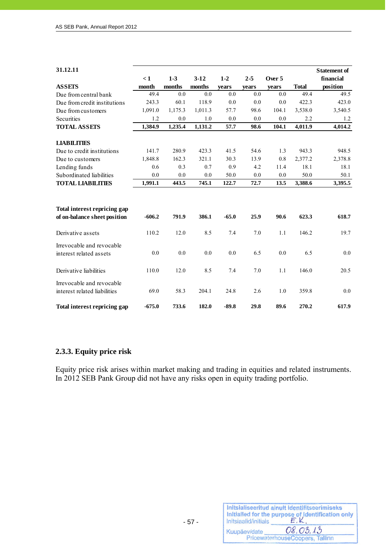| 31.12.11                                                  |          |         |         |         |         |        |              | <b>Statement of</b> |
|-----------------------------------------------------------|----------|---------|---------|---------|---------|--------|--------------|---------------------|
|                                                           | $\leq 1$ | $1-3$   | $3-12$  | $1 - 2$ | $2 - 5$ | Over 5 |              | financial           |
| <b>ASSETS</b>                                             | month    | months  | months  | years   | years   | years  | <b>Total</b> | position            |
| Due from central bank                                     | 49.4     | 0.0     | 0.0     | 0.0     | 0.0     | 0.0    | 49.4         | 49.5                |
| Due from credit institutions                              | 243.3    | 60.1    | 118.9   | 0.0     | 0.0     | 0.0    | 422.3        | 423.0               |
| Due from customers                                        | 1,091.0  | 1,175.3 | 1,011.3 | 57.7    | 98.6    | 104.1  | 3,538.0      | 3,540.5             |
| <b>Securities</b>                                         | 1.2      | 0.0     | 1.0     | 0.0     | 0.0     | 0.0    | 2.2          | 1.2                 |
| <b>TOTAL ASSETS</b>                                       | 1,384.9  | 1,235.4 | 1,131.2 | 57.7    | 98.6    | 104.1  | 4,011.9      | 4,014.2             |
| <b>LIABILITIES</b>                                        |          |         |         |         |         |        |              |                     |
| Due to credit institutions                                | 141.7    | 280.9   | 423.3   | 41.5    | 54.6    | 1.3    | 943.3        | 948.5               |
| Due to customers                                          | 1,848.8  | 162.3   | 321.1   | 30.3    | 13.9    | 0.8    | 2,377.2      | 2,378.8             |
| Lending funds                                             | 0.6      | 0.3     | 0.7     | 0.9     | 4.2     | 11.4   | 18.1         | 18.1                |
| Subordinated liabilities                                  | 0.0      | 0.0     | 0.0     | 50.0    | 0.0     | 0.0    | 50.0         | 50.1                |
| <b>TOTAL LIABILITIES</b>                                  | 1,991.1  | 443.5   | 745.1   | 122.7   | 72.7    | 13.5   | 3,388.6      | 3,395.5             |
| Total interest repricing gap                              |          |         |         |         |         |        |              |                     |
| of on-balance sheet position                              | $-606.2$ | 791.9   | 386.1   | $-65.0$ | 25.9    | 90.6   | 623.3        | 618.7               |
| Derivative assets                                         | 110.2    | 12.0    | 8.5     | 7.4     | 7.0     | 1.1    | 146.2        | 19.7                |
| Irrevocable and revocable                                 |          |         |         |         |         |        |              |                     |
| interest related assets                                   | 0.0      | 0.0     | 0.0     | 0.0     | 6.5     | 0.0    | 6.5          | 0.0                 |
| Derivative liabilities                                    | 110.0    | 12.0    | 8.5     | 7.4     | 7.0     | 1.1    | 146.0        | 20.5                |
| Irrevocable and revocable<br>interest related liabilities | 69.0     | 58.3    | 204.1   | 24.8    | 2.6     | 1.0    | 359.8        | 0.0                 |
| Total interest repricing gap                              | $-675.0$ | 733.6   | 182.0   | $-89.8$ | 29.8    | 89.6   | 270.2        | 617.9               |

### **2.3.3. Equity price risk**

Equity price risk arises within market making and trading in equities and related instruments. In 2012 SEB Pank Group did not have any risks open in equity trading portfolio.

| Initsiaalid/initials | Initsialiseeritud ainult identifitseerimiseks<br>Initialled for the purpose of Identification only |
|----------------------|----------------------------------------------------------------------------------------------------|
| Kuupäev/date         | 08.03.13                                                                                           |
|                      | PricewaterhouseCoopers, Tallinn                                                                    |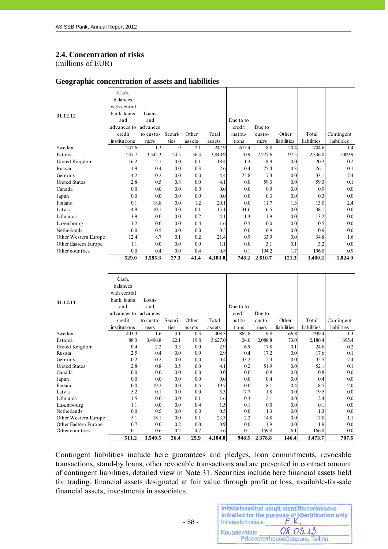#### **2.4. Concentration of risks**

(millions of EUR)

j

#### **Geographic concentration of assets and liabilities**

|                      | 529.0                 | 3,585.3               | 27.3    | 41.4   | 4,183.0 | 748.2              | 2,610.7          | 121.3       | 3,480.2     | 1,024.0                   |
|----------------------|-----------------------|-----------------------|---------|--------|---------|--------------------|------------------|-------------|-------------|---------------------------|
| Other countries      | 0.0                   | 0.4                   | 0.0     | 0.4    | 0.8     | 0.1                | 194.2            | 1.7         | 196.0       | 0.9                       |
| Other Eastern Europe | 1.1                   | 0.0                   | 0.0     | 0.0    | 1.1     | 0.0                | 3.1              | 0.1         | 3.2         | 0.0                       |
| Other Western Europe | 12.4                  | 8.7                   | 0.1     | 0.2    | 21.4    | 0.9                | 33.9             | 0.0         | 34.8        | 1.6                       |
| Netherlands          | 0.0                   | 0.5                   | 0.0     | 0.0    | 0.5     | 0.0                | 0.9              | 0.0         | 0.9         | 0.0                       |
| Luxembourg           | 1.2                   | 0.0                   | 0.0     | 0.4    | 1.6     | 0.5                | 0.0              | 0.0         | 0.5         | 0.0                       |
| Lithuania            | 3.9                   | 0.0                   | 0.0     | 0.2    | 4.1     | 1.3                | 11.9             | 0.0         | 13.2        | 0.0                       |
| Latvia               | 4.9                   | 10.1                  | 0.0     | 0.1    | 15.1    | 31.6               | 6.5              | 0.0         | 38.1        | 0.0                       |
| Finland              | 0.1                   | 18.8                  | 0.0     | 1.2    | 20.1    | 0.0                | 11.7             | 1.3         | 13.0        | 2.4                       |
| Japan                | 0.0                   | 0.0                   | 0.0     | 0.0    | 0.0     | 0.0                | 0.3              | 0.0         | 0.3         | 0.0                       |
| Canada               | 0.0                   | 0.0                   | 0.0     | 0.0    | 0.0     | 0.0                | 0.9              | 0.0         | 0.9         | 0.0                       |
| <b>United States</b> | 2.8                   | 0.5                   | 0.8     | 0.0    | 4.1     | 0.0                | 59.3             | 0.0         | 59.3        | 0.1                       |
| Germany              | 4.2                   | 0.2                   | 0.0     | 0.0    | 4.4     | 25.8               | 7.3              | 0.0         | 33.1        | 7.4                       |
| Russia               | 1.9                   | 0.4                   | 0.0     | 0.3    | 2.6     | 0.4                | 25.4             | 0.3         | 26.1        | 0.1                       |
| United Kingdom       | 16.2                  | 2.1                   | 0.0     | 0.1    | 18.4    | 1.3                | 18.9             | 0.0         | 20.2        | 0.2                       |
| Estonia              | 237.7                 | 3,542.3               | 24.5    | 36.4   | 3,840.9 | 10.9               | 2,227.6          | 97.5        | 2,336.0     | 1,009.9                   |
| Sweden               | 242.6                 | 1.3                   | 1.9     | 2.1    | 247.9   | 675.4              | 8.8              | 20.4        | 704.6       | 1.4                       |
|                      | institutions          | mers                  | ties    | assets | assets  | tions              | mers             | liabilities | liabilities | Contingent<br>liabilities |
|                      | advances to<br>credit | advances<br>to custo- | Securi- | Other  | Total   | credit<br>institu- | Due to<br>custo- | Other       | Total       |                           |
|                      | and                   | and                   |         |        |         | Due to to          |                  |             |             |                           |
| 31.12.12             | bank, loans           | Loans                 |         |        |         |                    |                  |             |             |                           |
|                      | with central          |                       |         |        |         |                    |                  |             |             |                           |
|                      | balances              |                       |         |        |         |                    |                  |             |             |                           |
|                      | Cash,                 |                       |         |        |         |                    |                  |             |             |                           |
|                      |                       |                       |         |        |         |                    |                  |             |             |                           |

| 31.12.11             | Cash,<br>balances<br>with central<br>bank, loans<br>and<br>advances to<br>credit<br>institutions | Loans<br>and<br>advances<br>to custo- | Securi-<br>ties | Other<br>assets  | Total<br>assets | Due to to<br>credit<br>institu-<br>tions | Due to<br>custo- | Other<br>liabilities | Total<br>liabilities | Contingent<br>liabilities |
|----------------------|--------------------------------------------------------------------------------------------------|---------------------------------------|-----------------|------------------|-----------------|------------------------------------------|------------------|----------------------|----------------------|---------------------------|
| Sweden               | 403.3                                                                                            | mers<br>1.6                           | 3.1             | 0.3              | 408.3           | 862.8                                    | mers<br>9.8      | 66.8                 | 939.4                | 1.3                       |
| Estonia              | 88.3                                                                                             | 3,496.8                               | 22.1            | 19.8             | 3,627.0         | 24.6                                     | 2,088.8          | 73.0                 | 2,186.4              | 695.4                     |
| United Kingdom       | 0.4                                                                                              | 2.2                                   | 0.3             | 0.0              | 2.9             | 6.9                                      | 17.8             | 0.1                  | 24.8                 | 0.2                       |
| Russia               | 2.5                                                                                              | 0.4                                   | 0.0             | 0.0              | 2.9             | 0.4                                      | 17.2             | 0.0                  | 17.6                 | 0.1                       |
| Germany              | 0.2                                                                                              | 0.2                                   | 0.0             | 0.0              | 0.4             | 33.2                                     | 2.3              | 0.0                  | 35.5                 | 7.4                       |
| <b>United States</b> | 2.8                                                                                              | 0.8                                   | 0.5             | 0.0 <sub>1</sub> | 4.1             | 0.2                                      | 51.9             | 0.0                  | 52.1                 | 0.1                       |
| Canada               | 0.0                                                                                              | 0.0                                   | $0.0\,$         | 0.0              | 0.0             | 0.0                                      | 0.8              | 0.0                  | 0.8                  | 0.0                       |
| Japan                | 0.0                                                                                              | 0.0                                   | $0.0\,$         | 0.0 <sub>1</sub> | 0.0             | 0.0                                      | 0.4              | 0.0                  | 0.4                  | 0.0                       |
| Finland              | 0.0                                                                                              | 19.2                                  | $0.0\,$         | 0.5              | 19.7            | 0.0                                      | 8.1              | 0.4                  | 8.5                  | 2.0                       |
| Latvia               | 5.2                                                                                              | 0.1                                   | 0.0             | 0.0              | 5.3             | 17.7                                     | 1.8              | 0.0                  | 19.5                 | 0.0                       |
| Lithuania            | 1.5                                                                                              | 0.0                                   | 0.0             | 0.1              | 1.6             | 0.3                                      | 2.1              | 0.0                  | 2.4                  | 0.0                       |
| Luxembourg           | 1.1                                                                                              | 0.0                                   | 0.0             | 0.4              | 1.5             | 0.1                                      | $0.0\,$          | 0.0                  | 0.1                  | 0.0                       |
| Netherlands          | 0.0                                                                                              | 0.5                                   | 0.0             | 0.0 <sub>1</sub> | 0.5             | 0.0                                      | 1.3              | 0.0                  | 1.3                  | 0.0                       |
| Other Western Europe | 5.1                                                                                              | 18.1                                  | $0.0\,$         | 0.1              | 23.3            | 2.2                                      | 14.8             | 0.0                  | 17.0                 | 1.1                       |
| Other Eastern Europe | 0.7                                                                                              | 0.0                                   | 0.2             | 0.0              | 0.9             | 0.0                                      | 1.9              | 0.0                  | 1.9                  | 0.0                       |
| Other countries      | 0.1                                                                                              | 0.6                                   | 0.2             | 4.7              | 5.6             | 0.1                                      | 159.8            | 6.1                  | 166.0                | 0.0                       |
|                      | 511.2                                                                                            | 3,540.5                               | 26.4            | 25.9             | 4,104.0         | 948.5                                    | 2,378.8          | 146.4                | 3,473.7              | 707.6                     |

Contingent liabilities include here guarantees and pledges, loan commitments, revocable transactions, stand-by loans, other revocable transactions and are presented in contract amount of contingent liabilities, detailed view in Note 31. Securities include here financial assets held for trading, financial assets designated at fair value through profit or loss, available-for-sale financial assets, investments in associates.

| Initsiaalid/initials | Initsialiseeritud ainult Identifitseerimiseks<br>Initialled for the purpose of Identification only |
|----------------------|----------------------------------------------------------------------------------------------------|
| Kuupäev/date         | 08.03.13                                                                                           |
|                      | PricewaterhouseCoopers, Tallinn                                                                    |

- 58 -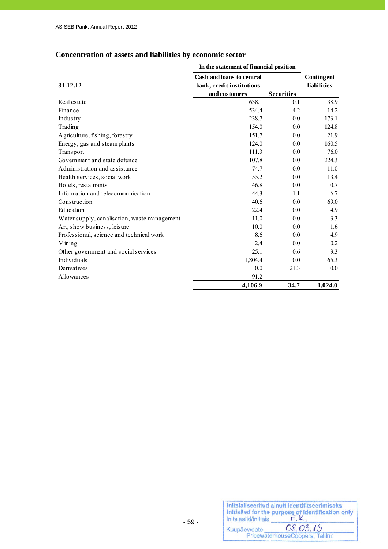|                                              | In the statement of financial position                 |                   |                           |
|----------------------------------------------|--------------------------------------------------------|-------------------|---------------------------|
| 31.12.12                                     | Cash and loans to central<br>bank, credit institutions |                   | Contingent<br>liabilities |
|                                              | and customers                                          | <b>Securities</b> |                           |
| Real estate                                  | 638.1                                                  | 0.1               | 38.9                      |
| Finance                                      | 534.4                                                  | 4.2               | 14.2                      |
| Industry                                     | 238.7                                                  | 0.0               | 173.1                     |
| Trading                                      | 154.0                                                  | 0.0               | 124.8                     |
| Agriculture, fishing, forestry               | 151.7                                                  | 0.0               | 21.9                      |
| Energy, gas and steam plants                 | 124.0                                                  | 0.0               | 160.5                     |
| Transport                                    | 111.3                                                  | 0.0               | 76.0                      |
| Government and state defence                 | 107.8                                                  | 0.0               | 224.3                     |
| Administration and assistance                | 74.7                                                   | 0.0               | 11.0                      |
| Health services, social work                 | 55.2                                                   | 0.0               | 13.4                      |
| Hotels, restaurants                          | 46.8                                                   | 0.0               | 0.7                       |
| Information and telecommunication            | 44.3                                                   | 1.1               | 6.7                       |
| Construction                                 | 40.6                                                   | 0.0               | 69.0                      |
| Education                                    | 22.4                                                   | 0.0               | 4.9                       |
| Water supply, canalisation, waste management | 11.0                                                   | 0.0               | 3.3                       |
| Art, show business, leisure                  | 10.0                                                   | 0.0               | 1.6                       |
| Professional, science and technical work     | 8.6                                                    | 0.0               | 4.9                       |
| Mining                                       | 2.4                                                    | 0.0               | 0.2                       |
| Other government and social services         | 25.1                                                   | 0.6               | 9.3                       |
| Individuals                                  | 1,804.4                                                | 0.0               | 65.3                      |
| Derivatives                                  | 0.0                                                    | 21.3              | 0.0                       |
| Allowances                                   | $-91.2$                                                |                   |                           |
|                                              | 4.106.9                                                | 34.7              | 1,024.0                   |

# **Concentration of assets and liabilities by economic sector**

|                                 | Initsialiseeritud ainult identifitseerimiseks                                      |  |  |  |  |
|---------------------------------|------------------------------------------------------------------------------------|--|--|--|--|
| Initsiaalid/initials            | Initialled for the purpose of identification only<br>Initsiaalid/initials $E$ , K. |  |  |  |  |
| Kuupäev/date                    | 08.03.13                                                                           |  |  |  |  |
| PricewaterhouseCoopers, Tallinn |                                                                                    |  |  |  |  |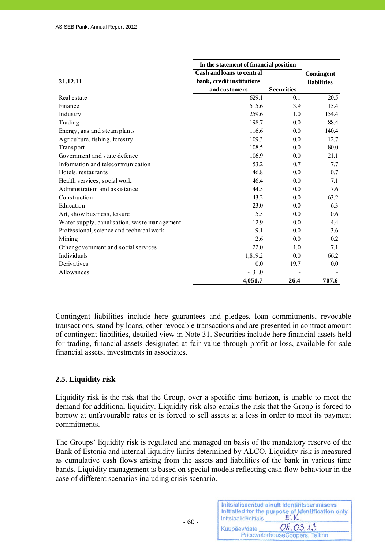|                                              | In the statement of financial position |                   |             |
|----------------------------------------------|----------------------------------------|-------------------|-------------|
|                                              | Cash and loans to central              |                   | Contingent  |
| 31.12.11                                     | bank, credit institutions              |                   | liabilities |
|                                              | and customers                          | <b>Securities</b> |             |
| Real estate                                  | 629.1                                  | 0.1               | 20.5        |
| Finance                                      | 515.6                                  | 3.9               | 15.4        |
| Industry                                     | 259.6                                  | 1.0               | 154.4       |
| Trading                                      | 198.7                                  | 0.0               | 88.4        |
| Energy, gas and steam plants                 | 116.6                                  | 0.0               | 140.4       |
| Agriculture, fishing, forestry               | 109.3                                  | 0.0               | 12.7        |
| Transport                                    | 108.5                                  | 0.0               | 80.0        |
| Government and state defence                 | 106.9                                  | 0.0               | 21.1        |
| Information and telecommunication            | 53.2                                   | 0.7               | 7.7         |
| Hotels, restaurants                          | 46.8                                   | 0.0               | 0.7         |
| Health services, social work                 | 46.4                                   | 0.0               | 7.1         |
| Administration and assistance                | 44.5                                   | 0.0               | 7.6         |
| Construction                                 | 43.2                                   | 0.0               | 63.2        |
| Education                                    | 23.0                                   | 0.0               | 6.3         |
| Art, show business, leisure                  | 15.5                                   | 0.0               | 0.6         |
| Water supply, canalisation, waste management | 12.9                                   | 0.0               | 4.4         |
| Professional, science and technical work     | 9.1                                    | 0.0               | 3.6         |
| Mining                                       | 2.6                                    | 0.0               | 0.2         |
| Other government and social services         | 22.0                                   | 1.0               | 7.1         |
| Individuals                                  | 1,819.2                                | 0.0               | 66.2        |
| Derivatives                                  | 0.0                                    | 19.7              | 0.0         |
| Allowances                                   | $-131.0$                               |                   |             |
|                                              | 4,051.7                                | 26.4              | 707.6       |

Contingent liabilities include here guarantees and pledges, loan commitments, revocable transactions, stand-by loans, other revocable transactions and are presented in contract amount of contingent liabilities, detailed view in Note 31. Securities include here financial assets held for trading, financial assets designated at fair value through profit or loss, available-for-sale financial assets, investments in associates.

### **2.5. Liquidity risk**

 $- 60 -$ 

Liquidity risk is the risk that the Group, over a specific time horizon, is unable to meet the demand for additional liquidity. Liquidity risk also entails the risk that the Group is forced to borrow at unfavourable rates or is forced to sell assets at a loss in order to meet its payment commitments.

The Groups' liquidity risk is regulated and managed on basis of the mandatory reserve of the Bank of Estonia and internal liquidity limits determined by ALCO. Liquidity risk is measured as cumulative cash flows arising from the assets and liabilities of the bank in various time bands. Liquidity management is based on special models reflecting cash flow behaviour in the case of different scenarios including crisis scenario.

| Initsiaalid/initials | Initsialiseeritud ainult identifitseerimiseks<br>Initialled for the purpose of identification only<br>Initsiaalid/initials $E$ . |
|----------------------|----------------------------------------------------------------------------------------------------------------------------------|
| Kuupäev/date         | 08.03.13                                                                                                                         |
|                      | PricewaterhouseCoopers, Tallinn                                                                                                  |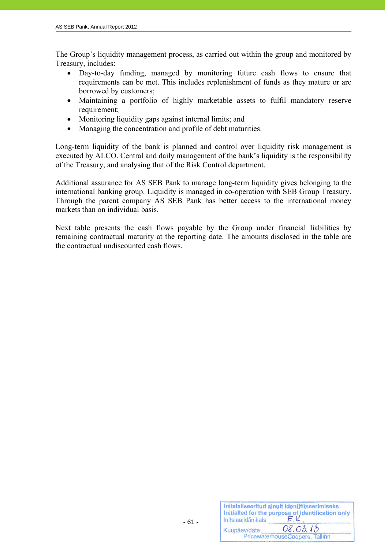The Group's liquidity management process, as carried out within the group and monitored by Treasury, includes:

- Day-to-day funding, managed by monitoring future cash flows to ensure that requirements can be met. This includes replenishment of funds as they mature or are borrowed by customers;
- Maintaining a portfolio of highly marketable assets to fulfil mandatory reserve requirement;
- Monitoring liquidity gaps against internal limits; and
- Managing the concentration and profile of debt maturities.

Long-term liquidity of the bank is planned and control over liquidity risk management is executed by ALCO. Central and daily management of the bank's liquidity is the responsibility of the Treasury, and analysing that of the Risk Control department.

Additional assurance for AS SEB Pank to manage long-term liquidity gives belonging to the international banking group. Liquidity is managed in co-operation with SEB Group Treasury. Through the parent company AS SEB Pank has better access to the international money markets than on individual basis.

Next table presents the cash flows payable by the Group under financial liabilities by remaining contractual maturity at the reporting date. The amounts disclosed in the table are the contractual undiscounted cash flows.

| Initsiaalid/initials | Initsialiseeritud ainult Identifitseerimiseks<br>Initialled for the purpose of identification only<br>Initsiaalid/initials $E$ , K, |
|----------------------|-------------------------------------------------------------------------------------------------------------------------------------|
| Kuupäev/date         | 08.03.13                                                                                                                            |
|                      | PricewaterhouseCoopers, Tallinn                                                                                                     |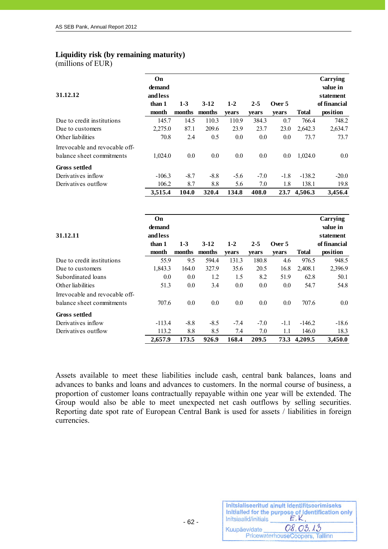#### **Liquidity risk (by remaining maturity)**

(millions of EUR)

j

| 31.12.12                       | On<br>demand<br>and less<br>than 1<br>month | $1-3$<br>months | $3-12$<br>months | $1 - 2$<br>years | $2 - 5$<br>years | Over 5<br>years | <b>Total</b> | Carrying<br>value in<br>statement<br>of financial<br>position |
|--------------------------------|---------------------------------------------|-----------------|------------------|------------------|------------------|-----------------|--------------|---------------------------------------------------------------|
| Due to credit institutions     | 145.7                                       | 14.5            | 110.3            | 110.9            | 384.3            | 0.7             | 766.4        | 748.2                                                         |
| Due to customers               | 2,275.0                                     | 87.1            | 209.6            | 23.9             | 23.7             | 23.0            | 2,642.3      | 2,634.7                                                       |
| Other liabilities              | 70.8                                        | 2.4             | 0.5              | 0.0              | 0.0              | 0.0             | 73.7         | 73.7                                                          |
| Irrevocable and revocable off- |                                             |                 |                  |                  |                  |                 |              |                                                               |
| balance sheet commitments      | 1,024.0                                     | 0.0             | 0.0              | 0.0              | 0.0              | 0.0             | 1,024.0      | $0.0\,$                                                       |
| <b>Gross settled</b>           |                                             |                 |                  |                  |                  |                 |              |                                                               |
| Derivatives inflow             | $-106.3$                                    | $-8.7$          | $-8.8$           | $-5.6$           | $-7.0$           | $-1.8$          | $-138.2$     | $-20.0$                                                       |
| Derivatives outflow            | 106.2                                       | 8.7             | 8.8              | 5.6              | 7.0              | 1.8             | 138.1        | 19.8                                                          |
|                                | 3.515.4                                     | 104.0           | 320.4            | 134.8            | 408.0            | 23.7            | 4.506.3      | 3,456.4                                                       |

| 31.12.11                                                    | <b>On</b><br>demand<br>and less<br>than 1<br>month | $1-3$<br>months | $3-12$<br>months | $1 - 2$<br>vears | $2 - 5$<br>years | Over 5<br>years | <b>Total</b> | Carrying<br>value in<br>statement<br>of financial<br>position |
|-------------------------------------------------------------|----------------------------------------------------|-----------------|------------------|------------------|------------------|-----------------|--------------|---------------------------------------------------------------|
| Due to credit institutions                                  | 55.9                                               | 9.5             | 594.4            | 131.3            | 180.8            | 4.6             | 976.5        | 948.5                                                         |
| Due to customers                                            | 1,843.3                                            | 164.0           | 327.9            | 35.6             | 20.5             | 16.8            | 2,408.1      | 2,396.9                                                       |
| Subordinated loans                                          | 0.0                                                | 0.0             | 1.2              | 1.5              | 8.2              | 51.9            | 62.8         | 50.1                                                          |
| Other liabilities                                           | 51.3                                               | 0.0             | 3.4              | 0.0              | 0.0              | 0.0             | 54.7         | 54.8                                                          |
| Irrevocable and revocable off-<br>balance sheet commitments | 707.6                                              | 0.0             | 0.0              | 0.0              | 0.0              | 0.0             | 707.6        | $0.0\,$                                                       |
| <b>Gross settled</b>                                        |                                                    |                 |                  |                  |                  |                 |              |                                                               |
| Derivatives inflow                                          | $-113.4$                                           | $-8.8$          | $-8.5$           | $-7.4$           | $-7.0$           | $-1.1$          | $-146.2$     | $-18.6$                                                       |
| Derivatives outflow                                         | 113.2                                              | 8.8             | 8.5              | 7.4              | 7.0              | 1.1             | 146.0        | 18.3                                                          |
|                                                             | 2,657.9                                            | 173.5           | 926.9            | 168.4            | 209.5            | 73.3            | 4.209.5      | 3,450.0                                                       |

Assets available to meet these liabilities include cash, central bank balances, loans and advances to banks and loans and advances to customers. In the normal course of business, a proportion of customer loans contractually repayable within one year will be extended. The Group would also be able to meet unexpected net cash outflows by selling securities. Reporting date spot rate of European Central Bank is used for assets / liabilities in foreign currencies.

| Initsiaalid/initials | Initsialiseeritud ainult identifitseerimiseks<br>Initialled for the purpose of Identification only |
|----------------------|----------------------------------------------------------------------------------------------------|
| Kuupäev/date         | 08.03.13                                                                                           |
|                      | PricewaterhouseCoopers, Tallinn                                                                    |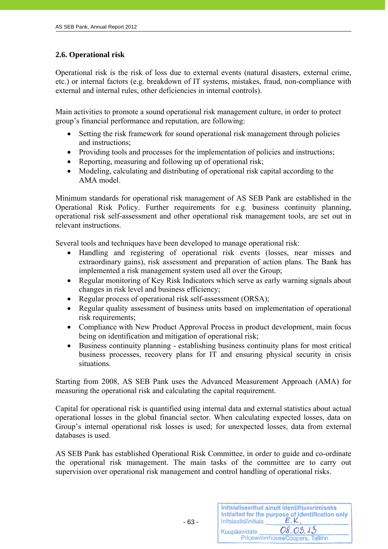### **2.6. Operational risk**

j

Operational risk is the risk of loss due to external events (natural disasters, external crime, etc.) or internal factors (e.g. breakdown of IT systems, mistakes, fraud, non-compliance with external and internal rules, other deficiencies in internal controls).

Main activities to promote a sound operational risk management culture, in order to protect group's financial performance and reputation, are following:

- Setting the risk framework for sound operational risk management through policies and instructions;
- Providing tools and processes for the implementation of policies and instructions;
- Reporting, measuring and following up of operational risk;
- Modeling, calculating and distributing of operational risk capital according to the AMA model.

Minimum standards for operational risk management of AS SEB Pank are established in the Operational Risk Policy. Further requirements for e.g. business continuity planning, operational risk self-assessment and other operational risk management tools, are set out in relevant instructions.

Several tools and techniques have been developed to manage operational risk:

- Handling and registering of operational risk events (losses, near misses and extraordinary gains), risk assessment and preparation of action plans. The Bank has implemented a risk management system used all over the Group;
- Regular monitoring of Key Risk Indicators which serve as early warning signals about changes in risk level and business efficiency;
- Regular process of operational risk self-assessment (ORSA);
- Regular quality assessment of business units based on implementation of operational risk requirements;
- Compliance with New Product Approval Process in product development, main focus being on identification and mitigation of operational risk;
- Business continuity planning establishing business continuity plans for most critical business processes, recovery plans for IT and ensuring physical security in crisis situations.

Starting from 2008, AS SEB Pank uses the Advanced Measurement Approach (AMA) for measuring the operational risk and calculating the capital requirement.

Capital for operational risk is quantified using internal data and external statistics about actual operational losses in the global financial sector. When calculating expected losses, data on Group's internal operational risk losses is used; for unexpected losses, data from external databases is used.

AS SEB Pank has established Operational Risk Committee, in order to guide and co-ordinate the operational risk management. The main tasks of the committee are to carry out supervision over operational risk management and control handling of operational risks.

|                      | Initsialiseeritud ainult identifitseerimiseks     |
|----------------------|---------------------------------------------------|
|                      | Initialled for the purpose of Identification only |
| Initsiaalid/initials |                                                   |
| Kuupäev/date         | 08.03.13                                          |
|                      | PricewaterhouseCoopers, Tallinn                   |

 $- 63 -$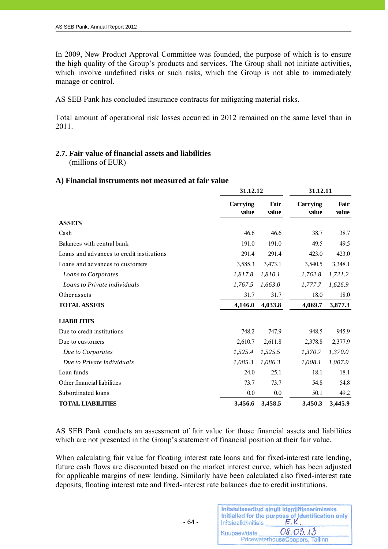In 2009, New Product Approval Committee was founded, the purpose of which is to ensure the high quality of the Group's products and services. The Group shall not initiate activities, which involve undefined risks or such risks, which the Group is not able to immediately manage or control.

AS SEB Pank has concluded insurance contracts for mitigating material risks.

Total amount of operational risk losses occurred in 2012 remained on the same level than in 2011.

### **2.7. Fair value of financial assets and liabilities**

(millions of EUR)

#### **A) Financial instruments not measured at fair value**

|                                           | 31.12.12          |               | 31.12.11          |               |
|-------------------------------------------|-------------------|---------------|-------------------|---------------|
|                                           | Carrying<br>value | Fair<br>value | Carrying<br>value | Fair<br>value |
| <b>ASSETS</b>                             |                   |               |                   |               |
| Cash                                      | 46.6              | 46.6          | 38.7              | 38.7          |
| Balances with central bank                | 191.0             | 191.0         | 49.5              | 49.5          |
| Loans and advances to credit institutions | 291.4             | 291.4         | 423.0             | 423.0         |
| Loans and advances to customers           | 3,585.3           | 3,473.1       | 3,540.5           | 3,348.1       |
| Loans to Corporates                       | 1,817.8           | 1,810.1       | 1,762.8           | 1,721.2       |
| Loans to Private individuals              | 1,767.5           | 1,663.0       | 1,777.7           | 1,626.9       |
| Other assets                              | 31.7              | 31.7          | 18.0              | 18.0          |
| <b>TOTAL ASSETS</b>                       | 4,146.0           | 4,033.8       | 4,069.7           | 3,877.3       |
| <b>LIABILITIES</b>                        |                   |               |                   |               |
| Due to credit institutions                | 748.2             | 747.9         | 948.5             | 945.9         |
| Due to customers                          | 2,610.7           | 2,611.8       | 2,378.8           | 2,377.9       |
| Due to Corporates                         | 1,525.4           | 1,525.5       | 1,370.7           | 1,370.0       |
| Due to Private Individuals                | 1,085.3           | 1,086.3       | 1,008.1           | 1,007.9       |
| Loan funds                                | 24.0              | 25.1          | 18.1              | 18.1          |
| Other financial liabilities               | 73.7              | 73.7          | 54.8              | 54.8          |
| Subordinated loans                        | 0.0               | 0.0           | 50.1              | 49.2          |
| <b>TOTAL LIABILITIES</b>                  | 3,456.6           | 3,458.5       | 3,450.3           | 3,445.9       |

AS SEB Pank conducts an assessment of fair value for those financial assets and liabilities which are not presented in the Group's statement of financial position at their fair value.

When calculating fair value for floating interest rate loans and for fixed-interest rate lending, future cash flows are discounted based on the market interest curve, which has been adjusted for applicable margins of new lending. Similarly have been calculated also fixed-interest rate deposits, floating interest rate and fixed-interest rate balances due to credit institutions.

| Initsiaalid/initials | Initsialiseeritud ainult Identifitseerimiseks<br>Initialled for the purpose of Identification only |
|----------------------|----------------------------------------------------------------------------------------------------|
| Kuupäev/date         | 08.03.13                                                                                           |
|                      | PricewaterhouseCoopers, Tallinn                                                                    |

- 64 -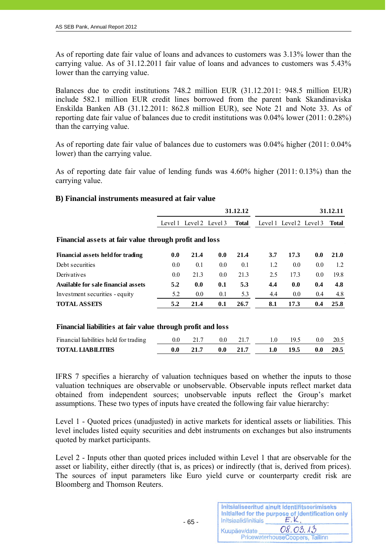As of reporting date fair value of loans and advances to customers was 3.13% lower than the carrying value. As of 31.12.2011 fair value of loans and advances to customers was 5.43% lower than the carrying value.

Balances due to credit institutions 748.2 million EUR (31.12.2011: 948.5 million EUR) include 582.1 million EUR credit lines borrowed from the parent bank Skandinaviska Enskilda Banken AB (31.12.2011: 862.8 million EUR), see Note 21 and Note 33. As of reporting date fair value of balances due to credit institutions was 0.04% lower (2011: 0.28%) than the carrying value.

As of reporting date fair value of balances due to customers was 0.04% higher (2011: 0.04% lower) than the carrying value.

As of reporting date fair value of lending funds was 4.60% higher (2011: 0.13%) than the carrying value.

#### **B) Financial instruments measured at fair value**

- 65 -

|                                                             |     |                         |         | 31.12.12     |     |                         |     | 31.12.11     |
|-------------------------------------------------------------|-----|-------------------------|---------|--------------|-----|-------------------------|-----|--------------|
|                                                             |     | Level 1 Level 2 Level 3 |         | <b>Total</b> |     | Level 1 Level 2 Level 3 |     | <b>Total</b> |
| Financial assets at fair value through profit and loss      |     |                         |         |              |     |                         |     |              |
| Financial assets held for trading                           | 0.0 | 21.4                    | 0.0     | 21.4         | 3.7 | 17.3                    | 0.0 | 21.0         |
| Debt securities                                             | 0.0 | 0.1                     | $0.0\,$ | 0.1          | 1.2 | 0.0                     | 0.0 | 1.2          |
| Derivatives                                                 | 0.0 | 21.3                    | 0.0     | 21.3         | 2.5 | 17.3                    | 0.0 | 19.8         |
| Available for sale financial assets                         | 5.2 | 0.0                     | 0.1     | 5.3          | 4.4 | 0.0                     | 0.4 | 4.8          |
| Investment securities - equity                              | 5.2 | 0.0                     | 0.1     | 5.3          | 4.4 | 0.0                     | 0.4 | 4.8          |
| <b>TOTAL ASSETS</b>                                         | 5.2 | 21.4                    | 0.1     | 26.7         | 8.1 | 17.3                    | 0.4 | 25.8         |
| Financial liabilities at fair value through profit and loss |     |                         |         |              |     |                         |     |              |
| Financial liabilities held for trading                      | 0.0 | 21.7                    | 0.0     | 21.7         | 1.0 | 19.5                    | 0.0 | 20.5         |
| <b>TOTAL LIABILITIES</b>                                    | 0.0 | 21.7                    | 0.0     | 21.7         | 1.0 | 19.5                    | 0.0 | 20.5         |

IFRS 7 specifies a hierarchy of valuation techniques based on whether the inputs to those valuation techniques are observable or unobservable. Observable inputs reflect market data obtained from independent sources; unobservable inputs reflect the Group's market assumptions. These two types of inputs have created the following fair value hierarchy:

Level 1 - Quoted prices (unadjusted) in active markets for identical assets or liabilities. This level includes listed equity securities and debt instruments on exchanges but also instruments quoted by market participants.

Level 2 - Inputs other than quoted prices included within Level 1 that are observable for the asset or liability, either directly (that is, as prices) or indirectly (that is, derived from prices). The sources of input parameters like Euro yield curve or counterparty credit risk are Bloomberg and Thomson Reuters.

| Initsiaalid/initials | Initsialiseeritud ainult identifitseerimiseks<br>Initialled for the purpose of Identification only |
|----------------------|----------------------------------------------------------------------------------------------------|
| Kuupäev/date         | 08.03.13                                                                                           |
|                      | PricewaterhouseCoopers, Tallinn                                                                    |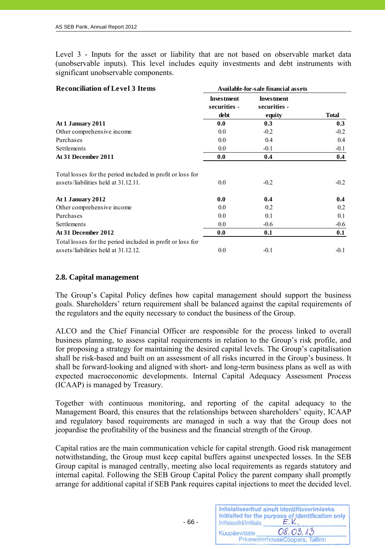Level 3 - Inputs for the asset or liability that are not based on observable market data (unobservable inputs). This level includes equity investments and debt instruments with significant unobservable components.

| <b>Reconciliation of Level 3 Items</b>                     |                                           | Available-for-sale financial assets         |              |
|------------------------------------------------------------|-------------------------------------------|---------------------------------------------|--------------|
|                                                            | <b>Investment</b><br>securities -<br>debt | <b>Investment</b><br>securities -<br>equity | <b>Total</b> |
| At 1 January 2011                                          | 0.0                                       | 0.3                                         | 0.3          |
| Other comprehensive income                                 | 0.0                                       | $-0.2$                                      | $-0.2$       |
| Purchases                                                  | 0.0                                       | 0.4                                         | 0.4          |
| Settlements                                                | $0.0\,$                                   | $-0.1$                                      | $-0.1$       |
| At 31 December 2011                                        | 0.0                                       | 0.4                                         | 0.4          |
| Total losses for the period included in profit or loss for |                                           |                                             |              |
| assets/liabilities held at 31.12.11.                       | 0.0                                       | $-0.2$                                      | $-0.2$       |
| At 1 January 2012                                          | 0.0                                       | 0.4                                         | 0.4          |
| Other comprehensive income                                 | 0.0                                       | 0.2                                         | 0.2          |
| Purchases                                                  | 0.0                                       | 0.1                                         | 0.1          |
| Settlements                                                | 0.0                                       | $-0.6$                                      | $-0.6$       |
| At 31 December 2012                                        | 0.0                                       | 0.1                                         | 0.1          |
| Total losses for the period included in profit or loss for |                                           |                                             |              |
| assets/liabilities held at 31.12.12.                       | 0.0                                       | $-0.1$                                      | $-0.1$       |

#### **2.8. Capital management**

 $- 66 -$ 

The Group's Capital Policy defines how capital management should support the business goals. Shareholders' return requirement shall be balanced against the capital requirements of the regulators and the equity necessary to conduct the business of the Group.

ALCO and the Chief Financial Officer are responsible for the process linked to overall business planning, to assess capital requirements in relation to the Group's risk profile, and for proposing a strategy for maintaining the desired capital levels. The Group's capitalisation shall be risk-based and built on an assessment of all risks incurred in the Group's business. It shall be forward-looking and aligned with short- and long-term business plans as well as with expected macroeconomic developments. Internal Capital Adequacy Assessment Process (ICAAP) is managed by Treasury.

Together with continuous monitoring, and reporting of the capital adequacy to the Management Board, this ensures that the relationships between shareholders' equity, ICAAP and regulatory based requirements are managed in such a way that the Group does not jeopardise the profitability of the business and the financial strength of the Group.

Capital ratios are the main communication vehicle for capital strength. Good risk management notwithstanding, the Group must keep capital buffers against unexpected losses. In the SEB Group capital is managed centrally, meeting also local requirements as regards statutory and internal capital. Following the SEB Group Capital Policy the parent company shall promptly arrange for additional capital if SEB Pank requires capital injections to meet the decided level.

| Initsiaalid/initials |                                             |
|----------------------|---------------------------------------------|
| Kuupäev/date         | 08.03.13<br>PricewaterhouseCoopers, Tallinn |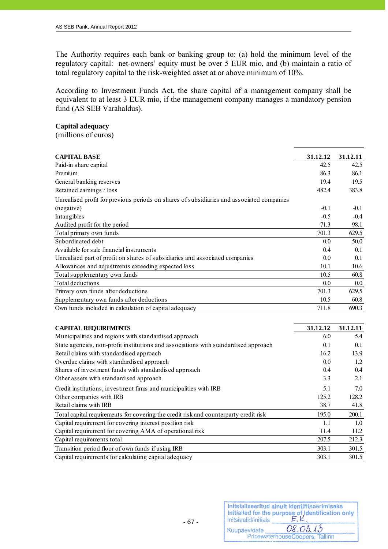The Authority requires each bank or banking group to: (a) hold the minimum level of the regulatory capital: net-owners' equity must be over 5 EUR mio, and (b) maintain a ratio of total regulatory capital to the risk-weighted asset at or above minimum of 10%.

According to Investment Funds Act, the share capital of a management company shall be equivalent to at least 3 EUR mio, if the management company manages a mandatory pension fund (AS SEB Varahaldus).

#### **Capital adequacy**

(millions of euros)

| <b>CAPITAL BASE</b>                                                                       | 31.12.12 | 31.12.11 |
|-------------------------------------------------------------------------------------------|----------|----------|
| Paid-in share capital                                                                     | 42.5     | 42.5     |
| Premium                                                                                   | 86.3     | 86.1     |
| General banking reserves                                                                  | 19.4     | 19.5     |
| Retained earnings / loss                                                                  | 482.4    | 383.8    |
| Unrealised profit for previous periods on shares of subsidiaries and associated companies |          |          |
| (negative)                                                                                | $-0.1$   | $-0.1$   |
| Intangibles                                                                               | $-0.5$   | $-0.4$   |
| Audited profit for the period                                                             | 71.3     | 98.1     |
| Total primary own funds                                                                   | 701.3    | 629.5    |
| Subordinated debt                                                                         | 0.0      | 50.0     |
| Available for sale financial instruments                                                  | 0.4      | 0.1      |
| Unrealised part of profit on shares of subsidiaries and associated companies              | 0.0      | 0.1      |
| Allowances and adjustments exceeding expected loss                                        | 10.1     | 10.6     |
| Total supplementary own funds                                                             | 10.5     | 60.8     |
| <b>Total deductions</b>                                                                   | 0.0      | $0.0\,$  |
| Primary own funds after deductions                                                        | 701.3    | 629.5    |
| Supplementary own funds after deductions                                                  | 10.5     | 60.8     |
| Own funds included in calculation of capital adequacy                                     | 711.8    | 690.3    |
|                                                                                           |          |          |
| <b>CAPITAL REQUIREMENTS</b>                                                               | 31.12.12 | 31.12.11 |
| Municipalities and regions with standardised approach                                     | 6.0      | 5.4      |
| State agencies, non-profit institutions and associations with standardised approach       | 0.1      | 0.1      |
| Retail claims with standardised approach                                                  | 16.2     | 13.9     |
| Overdue claims with standardised approach                                                 | 0.0      | 1.2      |
| Shares of investment funds with standardised approach                                     | 0.4      | 0.4      |
| Other assets with standardised approach                                                   | 3.3      | 2.1      |
| Credit institutions, investment firms and municipalities with IRB                         | 5.1      | 7.0      |
| Other companies with IRB                                                                  | 125.2    | 128.2    |
| Retail claims with IRB                                                                    | 38.7     | 41.8     |
| Total capital requirements for covering the credit risk and counterparty credit risk      | 195.0    | 200.1    |
| Capital requirement for covering interest position risk                                   | 1.1      | 1.0      |
| Capital requirement for covering AMA of operational risk                                  | 11.4     | 11.2     |
| Capital requirements total                                                                | 207.5    | 212.3    |
| Transition period floor of own funds if using IRB                                         | 303.1    | 301.5    |
| Capital requirements for calculating capital adequacy                                     | 303.1    | 301.5    |

| Initsialiseeritud ainult Identifitseerimiseks<br>Initialled for the purpose of identification only<br>Initsiaalid/initials $E$ , K |
|------------------------------------------------------------------------------------------------------------------------------------|
| 08.03.13<br>PricewaterhouseCoopers, Tallinn                                                                                        |
|                                                                                                                                    |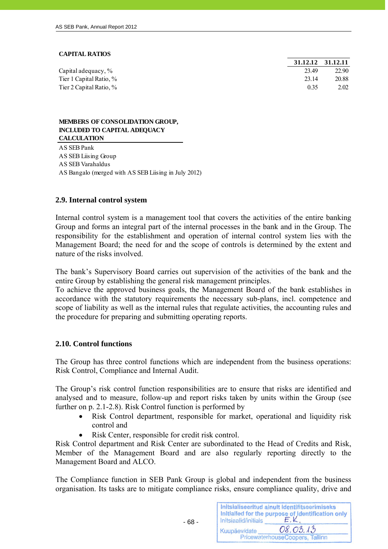#### **CAPITAL RATIOS**

j

|                         | 31.12.12 31.12.11 |       |
|-------------------------|-------------------|-------|
| Capital adequacy, $\%$  | 23.49             | 22.90 |
| Tier 1 Capital Ratio, % | 23.14             | 20.88 |
| Tier 2 Capital Ratio, % | 0.35              | 2.02  |

**MEMBERS OF CONSOLIDATION GROUP, INCLUDED TO CAPITAL ADEQUACY CALCULATION**

AS SEB Pank AS SEB Liising Group AS SEB Varahaldus AS Bangalo (merged with AS SEB Liising in July 2012)

#### **2.9. Internal control system**

Internal control system is a management tool that covers the activities of the entire banking Group and forms an integral part of the internal processes in the bank and in the Group. The responsibility for the establishment and operation of internal control system lies with the Management Board; the need for and the scope of controls is determined by the extent and nature of the risks involved.

The bank's Supervisory Board carries out supervision of the activities of the bank and the entire Group by establishing the general risk management principles.

To achieve the approved business goals, the Management Board of the bank establishes in accordance with the statutory requirements the necessary sub-plans, incl. competence and scope of liability as well as the internal rules that regulate activities, the accounting rules and the procedure for preparing and submitting operating reports.

#### **2.10. Control functions**

The Group has three control functions which are independent from the business operations: Risk Control, Compliance and Internal Audit.

The Group's risk control function responsibilities are to ensure that risks are identified and analysed and to measure, follow-up and report risks taken by units within the Group (see further on p. 2.1-2.8). Risk Control function is performed by

- Risk Control department, responsible for market, operational and liquidity risk control and
- Risk Center, responsible for credit risk control.

Risk Control department and Risk Center are subordinated to the Head of Credits and Risk, Member of the Management Board and are also regularly reporting directly to the Management Board and ALCO.

The Compliance function in SEB Pank Group is global and independent from the business organisation. Its tasks are to mitigate compliance risks, ensure compliance quality, drive and

| Initsiaalid/initials | Initsialiseeritud ainult identifitseerimiseks<br>Initialled for the purpose of Identification only |
|----------------------|----------------------------------------------------------------------------------------------------|
| Kuupäev/date         | 08.03.13                                                                                           |
|                      | PricewaterhouseCoopers, Tallinn                                                                    |

 $- 68 - 68$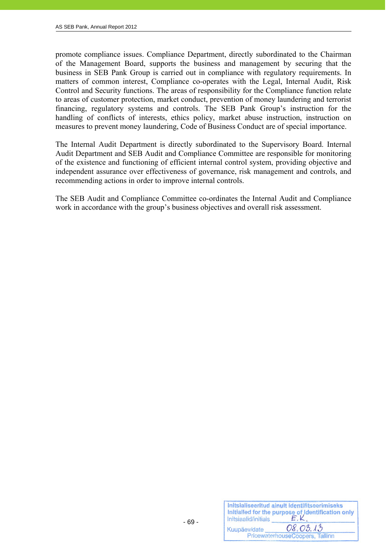promote compliance issues. Compliance Department, directly subordinated to the Chairman of the Management Board, supports the business and management by securing that the business in SEB Pank Group is carried out in compliance with regulatory requirements. In matters of common interest, Compliance co-operates with the Legal, Internal Audit, Risk Control and Security functions. The areas of responsibility for the Compliance function relate to areas of customer protection, market conduct, prevention of money laundering and terrorist financing, regulatory systems and controls. The SEB Pank Group's instruction for the handling of conflicts of interests, ethics policy, market abuse instruction, instruction on measures to prevent money laundering, Code of Business Conduct are of special importance.

The Internal Audit Department is directly subordinated to the Supervisory Board. Internal Audit Department and SEB Audit and Compliance Committee are responsible for monitoring of the existence and functioning of efficient internal control system, providing objective and independent assurance over effectiveness of governance, risk management and controls, and recommending actions in order to improve internal controls.

The SEB Audit and Compliance Committee co-ordinates the Internal Audit and Compliance work in accordance with the group's business objectives and overall risk assessment.

| Initsiaalid/initials | Initsialiseeritud ainult identifitseerimiseks<br>Initialled for the purpose of Identification only |
|----------------------|----------------------------------------------------------------------------------------------------|
| Kuupäev/date         | 08.03.13                                                                                           |
|                      | PricewaterhouseCoopers, Tallinn                                                                    |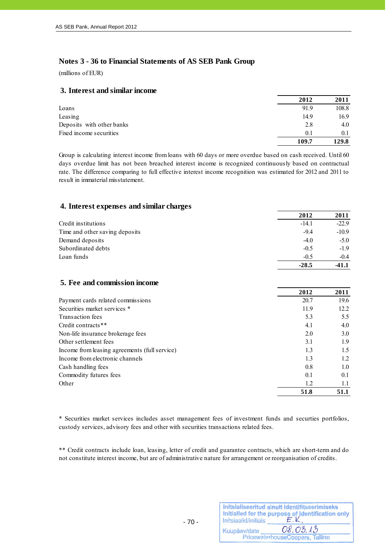#### **Notes 3 - 36 to Financial Statements of AS SEB Pank Group**

(millions of EUR)

j

#### **3. Interest and similar income**

|                           | 2012  | 2011  |
|---------------------------|-------|-------|
| Loans                     | 91.9  | 108.8 |
| Leasing                   | 14.9  | 16.9  |
| Deposits with other banks | 2.8   | 4.0   |
| Fixed income securities   | 0.1   | 0.1   |
|                           | 109.7 | 129.8 |

Group is calculating interest income from loans with 60 days or more overdue based on cash received. Until 60 days overdue limit has not been breached interest income is recognized continuously based on contractual rate. The difference comparing to full effective interest income recognition was estimated for 2012 and 2011 to result in immaterial misstatement.

#### **4. Interest expenses and similar charges**

|                                | 2012    | 2011    |
|--------------------------------|---------|---------|
| Credit institutions            | $-14.1$ | $-22.9$ |
| Time and other saving deposits | $-9.4$  | $-10.9$ |
| Demand deposits                | $-4.0$  | $-5.0$  |
| Subordinated debts             | $-0.5$  | $-1.9$  |
| Loan funds                     | $-0.5$  | $-0.4$  |
|                                | $-28.5$ | $-41.1$ |
| 5. Fee and commission income   |         |         |

|                                               | 40 I 4 | 40 L L |
|-----------------------------------------------|--------|--------|
| Payment cards related commissions             | 20.7   | 19.6   |
| Securities market services *                  | 11.9   | 12.2   |
| Transaction fees                              | 5.3    | 5.5    |
| Credit contracts**                            | 4.1    | 4.0    |
| Non-life insurance brokerage fees             | 2.0    | 3.0    |
| Other settlement fees                         | 3.1    | 1.9    |
| Income from leasing agreements (full service) | 1.3    | 1.5    |
| Income from electronic channels               | 1.3    | 1.2    |
| Cash handling fees                            | 0.8    | 1.0    |
| Commodity futures fees                        | 0.1    | 0.1    |
| Other                                         | 1.2    | 1.1    |
|                                               | 51.8   | 51.1   |

\* Securities market services includes asset management fees of investment funds and securties portfolios, custody services, advisory fees and other with securities transactions related fees.

\*\* Credit contracts include loan, leasing, letter of credit and guarantee contracts, which are short-term and do not constitute interest income, but are of administrative nature for arrangement or reorganisation of credits.

| 08.03.13<br>PricewaterhouseCoopers, Tallinn |
|---------------------------------------------|
|                                             |

**2012 2011**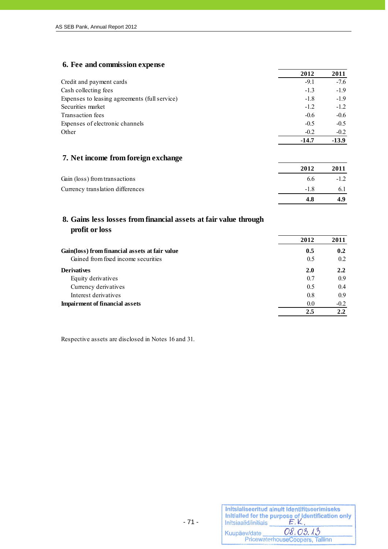### **6. Fee and commission expense**

|                                               | 2012    | 2011    |
|-----------------------------------------------|---------|---------|
| Credit and payment cards                      | $-9.1$  | $-7.6$  |
| Cash collecting fees                          | $-1.3$  | $-1.9$  |
| Expenses to leasing agreements (full service) | $-1.8$  | $-1.9$  |
| Securities market                             | $-1.2$  | $-1.2$  |
| Transaction fees                              | $-0.6$  | $-0.6$  |
| Expenses of electronic channels               | $-0.5$  | $-0.5$  |
| Other                                         | $-0.2$  | $-0.2$  |
|                                               | $-14.7$ | $-13.9$ |

# **7. Net income from foreign exchange**

|                                  | 2012  | 2011   |
|----------------------------------|-------|--------|
| Gain (loss) from transactions    | 6.6   | $-1.2$ |
| Currency translation differences | $-18$ | 6.1    |
|                                  | 4.8   | 4.9    |

### **8. Gains less losses from financial assets at fair value through profit or loss**

|                                                | 2012 | 2011   |
|------------------------------------------------|------|--------|
| Gain(loss) from financial assets at fair value | 0.5  | 0.2    |
| Gained from fixed income securities            | 0.5  | 0.2    |
| <b>Derivatives</b>                             | 2.0  | 2.2    |
| Equity derivatives                             | 0.7  | 0.9    |
| Currency derivatives                           | 0.5  | 0.4    |
| Interest derivatives                           | 0.8  | 0.9    |
| <b>Impairment of financial assets</b>          | 0.0  | $-0.2$ |
|                                                | 2.5  | 2.2    |

Respective assets are disclosed in Notes 16 and 31.

| Initsiaalid/initials | Initsialiseeritud ainult Identifitseerimiseks<br>Initialled for the purpose of Identification only |
|----------------------|----------------------------------------------------------------------------------------------------|
| Kuupäev/date         | 08.03.13                                                                                           |
|                      | PricewaterhouseCoopers, Tallinn                                                                    |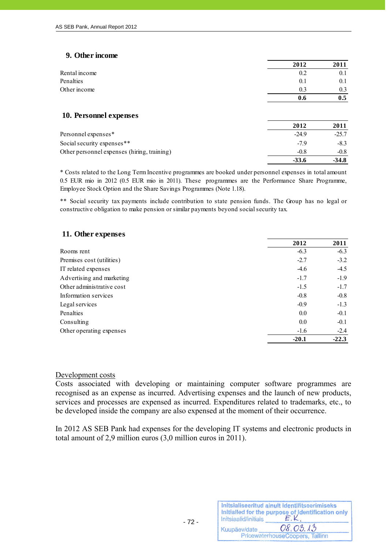# **9. Other income**

j

|                                             | 2012    | 2011    |
|---------------------------------------------|---------|---------|
| Rental income                               | 0.2     | 0.1     |
| Penalties                                   | 0.1     | 0.1     |
| Other income                                | 0.3     | 0.3     |
|                                             | 0.6     | 0.5     |
| 10. Personnel expenses                      |         |         |
|                                             | 2012    | 2011    |
| Personnel expenses*                         | $-24.9$ | $-25.7$ |
| Social security expenses**                  | $-7.9$  | $-8.3$  |
| Other personnel expenses (hiring, training) | $-0.8$  | $-0.8$  |
|                                             | $-33.6$ | $-34.8$ |

\* Costs related to the Long Term Incentive programmes are booked under personnel expenses in total amount 0.5 EUR mio in 2012 (0.5 EUR mio in 2011). These programmes are the Performance Share Programme, Employee Stock Option and the Share Savings Programmes (Note 1.18).

\*\* Social security tax payments include contribution to state pension funds. The Group has no legal or constructive obligation to make pension or similar payments beyond social security tax.

#### **11. Other expenses**

|                           | 2012    | 2011    |
|---------------------------|---------|---------|
| Rooms rent                | $-6.3$  | $-6.3$  |
| Premises cost (utilities) | $-2.7$  | $-3.2$  |
| IT related expenses       | $-4.6$  | $-4.5$  |
| Advertising and marketing | $-1.7$  | $-1.9$  |
| Other administrative cost | $-1.5$  | $-1.7$  |
| Information services      | $-0.8$  | $-0.8$  |
| Legal services            | $-0.9$  | $-1.3$  |
| Penalties                 | 0.0     | $-0.1$  |
| Consulting                | 0.0     | $-0.1$  |
| Other operating expenses  | $-1.6$  | $-2.4$  |
|                           | $-20.1$ | $-22.3$ |

#### Development costs

Costs associated with developing or maintaining computer software programmes are recognised as an expense as incurred. Advertising expenses and the launch of new products, services and processes are expensed as incurred. Expenditures related to trademarks, etc., to be developed inside the company are also expensed at the moment of their occurrence.

In 2012 AS SEB Pank had expenses for the developing IT systems and electronic products in total amount of 2,9 million euros (3,0 million euros in 2011).

| Initsiaalid/initials | Initsialiseeritud ainult identifitseerimiseks<br>Initialled for the purpose of Identification only |
|----------------------|----------------------------------------------------------------------------------------------------|
| Kuupäev/date         | 08.03.13                                                                                           |
|                      | PricewaterhouseCoopers, Tallinn                                                                    |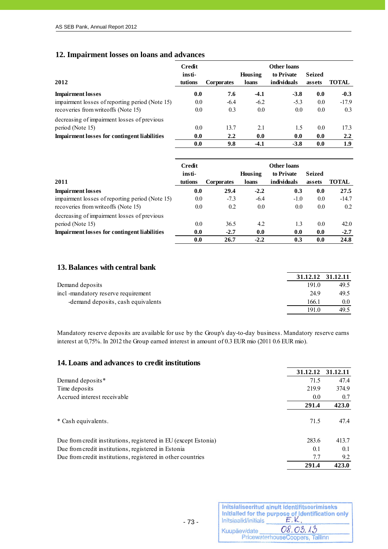# **12. Impairment losses on loans and advances**

| 2012                                                | Credit<br>insti-<br>tutions | <b>Corporates</b> | Housing<br>loans | <b>Other loans</b><br>to Private<br>individuals | <b>Seized</b><br>assets | <b>TOTAL</b> |
|-----------------------------------------------------|-----------------------------|-------------------|------------------|-------------------------------------------------|-------------------------|--------------|
| <b>Impairment losses</b>                            | 0.0                         | 7.6               | $-4.1$           | $-3.8$                                          | 0.0                     | $-0.3$       |
| impairment losses of reporting period (Note 15)     | 0.0                         | $-6.4$            | $-6.2$           | $-5.3$                                          | 0.0                     | $-17.9$      |
| recoveries from writeoffs (Note 15)                 | 0.0                         | 0.3               | 0.0              | 0.0                                             | 0.0                     | 0.3          |
| decreasing of impairment losses of previous         |                             |                   |                  |                                                 |                         |              |
| period (Note 15)                                    | 0.0                         | 13.7              | 2.1              | 1.5                                             | 0.0                     | 17.3         |
| <b>Impairment losses for contingent liabilities</b> | 0.0                         | 2.2               | 0.0              | 0.0                                             | 0.0                     | 2.2          |
|                                                     | 0.0                         | 9.8               | $-4.1$           | $-3.8$                                          | 0.0                     | 1.9          |

| 2011                                                | Credit<br>insti-<br>tutions | <b>Corporates</b> | Housing<br>loans | <b>Other loans</b><br>to Private<br>individuals | <b>Seized</b><br>assets | TOTAL   |
|-----------------------------------------------------|-----------------------------|-------------------|------------------|-------------------------------------------------|-------------------------|---------|
| <b>Impairment losses</b>                            | 0.0                         | 29.4              | $-2.2$           | 0.3                                             | 0.0                     | 27.5    |
| impairment losses of reporting period (Note 15)     | 0.0                         | $-7.3$            | $-6.4$           | $-1.0$                                          | 0.0                     | $-14.7$ |
| recoveries from writeoffs (Note 15)                 | 0.0                         | 0.2               | 0.0              | 0.0                                             | 0.0                     | 0.2     |
| decreasing of impairment losses of previous         |                             |                   |                  |                                                 |                         |         |
| period (Note 15)                                    | 0.0                         | 36.5              | 4.2              | 1.3                                             | 0.0                     | 42.0    |
| <b>Impairment losses for contingent liabilities</b> | 0.0                         | $-2.7$            | 0.0              | 0.0                                             | 0.0                     | $-2.7$  |
|                                                     | 0.0                         | 26.7              | $-2.2$           | 0.3                                             | 0.0                     | 24.8    |

| 13. Balances with central bank      |       |                   |
|-------------------------------------|-------|-------------------|
|                                     |       | 31.12.12 31.12.11 |
| Demand deposits                     | 191.0 | 49.5              |
| incl -mandatory reserve requirement | 249   | 49.5              |
| -demand deposits, cash equivalents  | 166.1 | $0.0\,$           |
|                                     | 1910  | 49.5              |

Mandatory reserve deposits are available for use by the Group's day-to-day business. Mandatory reserve earns interest at 0,75%. In 2012 the Group earned interest in amount of 0.3 EUR mio (2011 0.6 EUR mio).

#### **14. Loans and advances to credit institutions**

|                                                                 | 31.12.12 | 31.12.11 |
|-----------------------------------------------------------------|----------|----------|
| Demand deposits*                                                | 71.5     | 47.4     |
| Time deposits                                                   | 219.9    | 374.9    |
| Accrued interest receivable                                     | 0.0      | 0.7      |
|                                                                 | 291.4    | 423.0    |
| * Cash equivalents.                                             | 71.5     | 47.4     |
| Due from credit institutions, registered in EU (except Estonia) | 283.6    | 413.7    |
| Due from credit institutions, registered in Estonia             | 0.1      | 0.1      |
| Due from credit institutions, registered in other countries     | 7.7      | 9.2      |
|                                                                 | 291.4    | 423.0    |

| Initsiaalid/initials | Initsialiseeritud ainult identifitseerimiseks<br>Initialled for the purpose of Identification only |
|----------------------|----------------------------------------------------------------------------------------------------|
| Kuupäev/date         | 08.03.13                                                                                           |
|                      | PricewaterhouseCoopers, Tallinn                                                                    |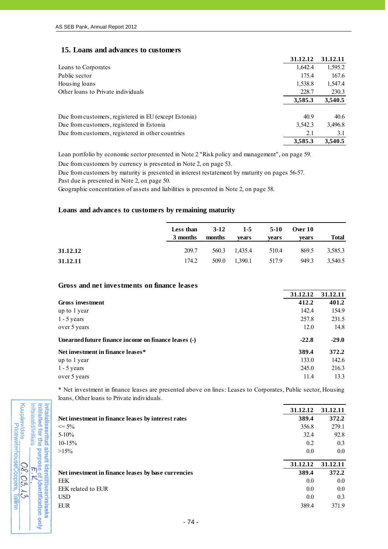# **15. Loans and advances to customers**

|                                                       | 31.12.12 | 31.12.11 |
|-------------------------------------------------------|----------|----------|
| Loans to Corporates                                   | 1,642.4  | 1,595.2  |
| Public sector                                         | 175.4    | 167.6    |
| Housing loans                                         | 1,538.8  | 1,547.4  |
| Other loans to Private individuals                    | 228.7    | 230.3    |
|                                                       | 3,585.3  | 3,540.5  |
| Due from customers, registered in EU (except Estonia) | 40.9     | 40.6     |
| Due from customers, registered in Estonia             | 3,542.3  | 3,496.8  |
| Due from customers, registered in other countries     | 2.1      | 3.1      |
|                                                       | 3,585.3  | 3.540.5  |

Loan portfolio by economic sector presented in Note 2 "Risk policy and management", on page 59.

Due from customers by currency is presented in Note 2, on page 53.

Due from customers by maturity is presented in interest restatement by maturity on pages 56-57.

Past due is presented in Note 2, on page 50.

Geographic concentration of assets and liabilities is presented in Note 2, on page 58.

#### **Loans and advances to customers by remaining maturity**

|          | Less than<br>3 months | $3-12$<br>months | $1-5$<br>years | $5-10$<br>vears     | Over 10<br>vears | <b>Total</b>  |
|----------|-----------------------|------------------|----------------|---------------------|------------------|---------------|
| 31.12.12 | 209.7                 |                  | 560.3 1,435.4  | 510.4               |                  | 869.5 3,585.3 |
| 31.12.11 | 174.2                 |                  |                | 509.0 1,390.1 517.9 | 949.3            | 3,540.5       |

#### **Gross and net investments on finance leases**

|                                                      | 31.12.12 | 31.12.11 |
|------------------------------------------------------|----------|----------|
| <b>Gross investment</b>                              | 412.2    | 401.2    |
| up to 1 year                                         | 142.4    | 154.9    |
| $1 - 5$ years                                        | 257.8    | 231.5    |
| over 5 years                                         | 12.0     | 14.8     |
| Unearned future finance income on finance leases (-) | $-22.8$  | $-29.0$  |
| Net investment in finance leases*                    | 389.4    | 372.2    |
| up to 1 year                                         | 133.0    | 142.6    |
| $1 - 5$ years                                        | 245.0    | 216.3    |
| over 5 years                                         | 11.4     | 13.3     |

\* Net investment in finance leases are presented above on lines: Leases to Corporates, Public sector, Housing loans, Other loans to Private individuals.

|                                                     | 31.12.12 | 31.12.11 |
|-----------------------------------------------------|----------|----------|
| Net investment in finance leases by interest rates  | 389.4    | 372.2    |
| $\leq$ 5%                                           | 356.8    | 279.1    |
| $5 - 10\%$                                          | 32.4     | 92.8     |
| $10-15%$                                            | 0.2      | 0.3      |
| $>15\%$                                             | 0.0      | 0.0      |
|                                                     |          |          |
|                                                     | 31.12.12 | 31.12.11 |
| Net investment in finance leases by base currencies | 389.4    | 372.2    |
| EEK                                                 | 0.0      | 0.0      |
| EEK related to EUR                                  | 0.0      | 0.0      |
| <b>USD</b>                                          | 0.0      | 0.3      |
| <b>EUR</b>                                          | 389.4    | 371.9    |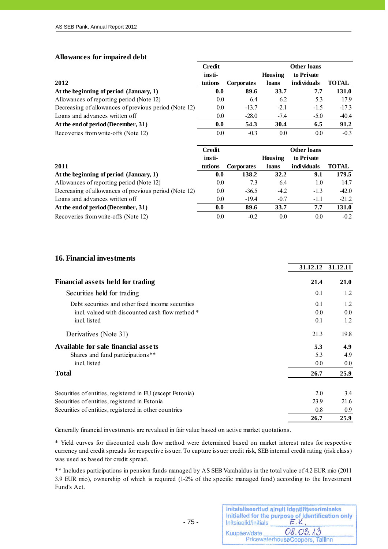#### **Allowances for impaired debt**

|                                                       | Credit  |                   |         | <b>Other loans</b> |              |
|-------------------------------------------------------|---------|-------------------|---------|--------------------|--------------|
|                                                       | insti-  |                   | Housing | to Private         |              |
| 2012                                                  | tutions | <b>Corporates</b> | loans   | individuals        | <b>TOTAL</b> |
| At the beginning of period (January, 1)               | 0.0     | 89.6              | 33.7    | 7.7                | 131.0        |
| Allowances of reporting period (Note 12)              | 0.0     | 6.4               | 6.2     | 5.3                | 17.9         |
| Decreasing of allowances of previous period (Note 12) | 0.0     | $-13.7$           | $-2.1$  | $-1.5$             | $-17.3$      |
| Loans and advances written off                        | $0.0\,$ | $-28.0$           | $-7.4$  | $-5.0$             | $-40.4$      |
| At the end of period (December, 31)                   | 0.0     | 54.3              | 30.4    | 6.5                | 91.2         |
| Recoveries from write-offs (Note 12)                  | 0.0     | $-0.3$            | 0.0     | 0.0                | $-0.3$       |

|                                                       | Credit  |                   |         | <b>Other loans</b> |         |
|-------------------------------------------------------|---------|-------------------|---------|--------------------|---------|
|                                                       | insti-  |                   | Housing | to Private         |         |
| 2011                                                  | tutions | <b>Corporates</b> | loans   | individuals        | TOTAL   |
| At the beginning of period (January, 1)               | 0.0     | 138.2             | 32.2    | 9.1                | 179.5   |
| Allowances of reporting period (Note 12)              | 0.0     | 7.3               | 6.4     | 1.0                | 14.7    |
| Decreasing of allowances of previous period (Note 12) | 0.0     | $-36.5$           | $-4.2$  | $-1.3$             | $-42.0$ |
| Loans and advances written off                        | 0.0     | $-19.4$           | $-0.7$  | $-1.1$             | $-21.2$ |
| At the end of period (December, 31)                   | 0.0     | 89.6              | 33.7    | 7.7                | 131.0   |
| Recoveries from write-offs (Note 12)                  | 0.0     | $-0.2$            | 0.0     | 0.0                | $-0.2$  |

#### **16. Financial investments**

|                                                           | 31.12.12 | 31.12.11 |
|-----------------------------------------------------------|----------|----------|
| <b>Financial assets held for trading</b>                  | 21.4     | 21.0     |
| Securities held for trading                               | 0.1      | 1.2      |
| Debt securities and other fixed income securities         | 0.1      | 1.2      |
| incl. valued with discounted cash flow method *           | 0.0      | 0.0      |
| incl. listed                                              | 0.1      | 1.2      |
| Derivatives (Note 31)                                     | 21.3     | 19.8     |
| Available for sale financial assets                       | 5.3      | 4.9      |
| Shares and fund participations**                          | 5.3      | 4.9      |
| incl. listed                                              | 0.0      | 0.0      |
| <b>Total</b>                                              | 26.7     | 25.9     |
| Securities of entities, registered in EU (except Estonia) | 2.0      | 3.4      |
| Securities of entities, registered in Estonia             | 23.9     | 21.6     |
| Securities of entities, registered in other countries     | 0.8      | 0.9      |
|                                                           | 26.7     | 25.9     |

Generally financial investments are revalued in fair value based on active market quotations.

\* Yield curves for discounted cash flow method were determined based on market interest rates for respective currency and credit spreads for respective issuer. To capture issuer credit risk, SEB internal credit rating (risk class) was used as based for credit spread.

\*\* Includes participations in pension funds managed by AS SEB Varahaldus in the total value of 4.2 EUR mio (2011 3.9 EUR mio), ownership of which is required (1-2% of the specific managed fund) according to the Investment Fund's Act.

| Initsiaalid/initials | Initsialiseeritud ainult Identifitseerimiseks<br>Initialled for the purpose of Identification only |
|----------------------|----------------------------------------------------------------------------------------------------|
| Kuupäev/date         | 08.03.13                                                                                           |
|                      | PricewaterhouseCoopers, Tallinn                                                                    |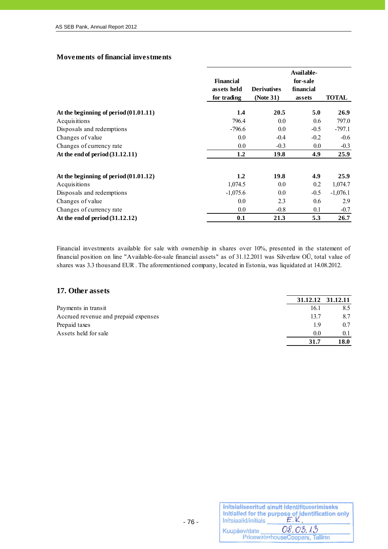# **Movements of financial investments**

|                                         | <b>Financial</b><br>assets held<br>for trading | <b>Derivatives</b><br>(Note 31) | Available-<br>for-sale<br>financial<br>assets | <b>TOTAL</b> |
|-----------------------------------------|------------------------------------------------|---------------------------------|-----------------------------------------------|--------------|
| At the beginning of period $(01.01.11)$ | 1.4                                            | 20.5                            | 5.0                                           | 26.9         |
| Acquisitions                            | 796.4                                          | 0.0                             | 0.6                                           | 797.0        |
| Disposals and redemptions               | $-796.6$                                       | 0.0                             | $-0.5$                                        | $-797.1$     |
| Changes of value                        | 0.0                                            | $-0.4$                          | $-0.2$                                        | $-0.6$       |
| Changes of currency rate                | 0.0                                            | $-0.3$                          | 0.0                                           | $-0.3$       |
| At the end of period $(31.12.11)$       | 1.2                                            | 19.8                            | 4.9                                           | 25.9         |
| At the beginning of period $(01.01.12)$ | 1.2                                            | 19.8                            | 4.9                                           | 25.9         |
| Acquisitions                            | 1,074.5                                        | 0.0                             | 0.2                                           | 1,074.7      |
| Disposals and redemptions               | $-1,075.6$                                     | 0.0                             | $-0.5$                                        | $-1,076.1$   |
| Changes of value                        | 0.0                                            | 2.3                             | 0.6                                           | 2.9          |
| Changes of currency rate                | 0.0                                            | $-0.8$                          | 0.1                                           | $-0.7$       |
| At the end of period (31.12.12)         | 0.1                                            | 21.3                            | 5.3                                           | 26.7         |

Financial investments available for sale with ownership in shares over 10%, presented in the statement of financial position on line "Available-for-sale financial assets" as of 31.12.2011 was Silverlaw OÜ, total value of shares was 3.3 thousand EUR . The aforementioned company, located in Estonia, was liquidated at 14.08.2012.

# **17. Other assets**

|                                      |      | 31.12.12 31.12.11 |
|--------------------------------------|------|-------------------|
| Payments in transit                  | 16.1 |                   |
| Accrued revenue and prepaid expenses | 13.7 |                   |
| Prepaid taxes                        | 19   | 07                |
| Assets held for sale                 | 0.0  | 01                |
|                                      | 31.7 | 18.0              |

| Initsiaalid/initials | Initsialiseeritud ainult Identifitseerimiseks<br>Initialled for the purpose of Identification only |
|----------------------|----------------------------------------------------------------------------------------------------|
| Kuupäev/date         | 08.03.13                                                                                           |
|                      | PricewaterhouseCoopers, Tallinn                                                                    |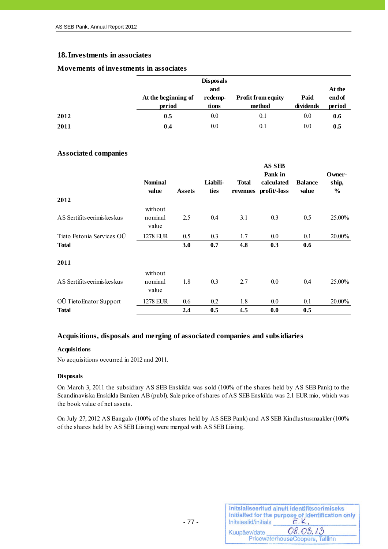#### **18.Investments in associates**

#### **Movements of investments in associates**

|      |                               | <b>Disposals</b><br>and |                                     |                   | At the           |
|------|-------------------------------|-------------------------|-------------------------------------|-------------------|------------------|
|      | At the beginning of<br>period | redemp-<br>tions        | <b>Profit from equity</b><br>method | Paid<br>dividends | end of<br>period |
| 2012 | 0.5                           | 0.0                     | 0.1                                 | 0.0               | 0.6              |
| 2011 | 0.4                           | 0.0                     | 0.1                                 | 0.0               | 0.5              |

#### **Associated companies**

|                              |                             |               |                  |                          | <b>AS SEB</b><br>Pank in   |                         | Owner-        |
|------------------------------|-----------------------------|---------------|------------------|--------------------------|----------------------------|-------------------------|---------------|
|                              | <b>Nominal</b><br>value     | <b>Assets</b> | Liabili-<br>ties | <b>Total</b><br>revenues | calculated<br>profit/-loss | <b>Balance</b><br>value | ship,<br>$\%$ |
| 2012                         |                             |               |                  |                          |                            |                         |               |
| AS Sertifits eerimis kes kus | without<br>nominal<br>value | 2.5           | 0.4              | 3.1                      | 0.3                        | 0.5                     | 25.00%        |
| Tieto Estonia Services OÜ    | <b>1278 EUR</b>             | 0.5           | 0.3              | 1.7                      | 0.0                        | 0.1                     | 20.00%        |
| <b>Total</b>                 |                             | <b>3.0</b>    | 0.7              | 4.8                      | 0.3                        | 0.6                     |               |
| 2011                         |                             |               |                  |                          |                            |                         |               |
| AS Sertifits eerimis kes kus | without<br>nominal<br>value | 1.8           | 0.3              | 2.7                      | 0.0                        | 0.4                     | 25.00%        |
| OÜ TietoEnator Support       | <b>1278 EUR</b>             | 0.6           | 0.2              | 1.8                      | 0.0                        | 0.1                     | 20.00%        |
| <b>Total</b>                 |                             | 2.4           | 0.5              | 4.5                      | 0.0                        | 0.5                     |               |

#### **Acquisitions, disposals and merging of associated companies and subsidiaries**

#### **Acquisitions**

No acquisitions occurred in 2012 and 2011.

#### **Disposals**

On March 3, 2011 the subsidiary AS SEB Enskilda was sold (100% of the shares held by AS SEB Pank) to the Scandinaviska Enskilda Banken AB (publ). Sale price of shares of AS SEB Enskilda was 2.1 EUR mio, which was the book value of net assets.

On July 27, 2012 AS Bangalo (100% of the shares held by AS SEB Pank) and AS SEB Kindlustusmaakler (100% of the shares held by AS SEB Liising) were merged with AS SEB Liising.

| Initsiaalid/initials | Initsialiseeritud ainult identifitseerimiseks<br>Initialled for the purpose of Identification only |
|----------------------|----------------------------------------------------------------------------------------------------|
| Kuupäev/date         | 08.03.13                                                                                           |
|                      | PricewaterhouseCoopers, Tallinn                                                                    |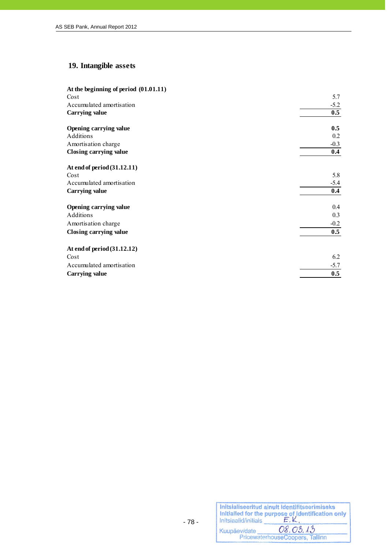# **19. Intangible assets**

| Cost<br>Accumulated amortisation<br><b>Carrying value</b><br><b>Opening carrying value</b><br><b>Additions</b><br>Amortisation charge<br>Closing carrying value<br>At end of period (31.12.11)<br>Cost<br>Accumulated amortisation<br>Carrying value<br>Opening carrying value<br>Additions<br>Amortisation charge<br>Closing carrying value<br>At end of period (31.12.12) |        |
|-----------------------------------------------------------------------------------------------------------------------------------------------------------------------------------------------------------------------------------------------------------------------------------------------------------------------------------------------------------------------------|--------|
|                                                                                                                                                                                                                                                                                                                                                                             | 5.7    |
|                                                                                                                                                                                                                                                                                                                                                                             | $-5.2$ |
|                                                                                                                                                                                                                                                                                                                                                                             | 0.5    |
|                                                                                                                                                                                                                                                                                                                                                                             | 0.5    |
|                                                                                                                                                                                                                                                                                                                                                                             | 0.2    |
|                                                                                                                                                                                                                                                                                                                                                                             | $-0.3$ |
|                                                                                                                                                                                                                                                                                                                                                                             | 0.4    |
|                                                                                                                                                                                                                                                                                                                                                                             |        |
|                                                                                                                                                                                                                                                                                                                                                                             | 5.8    |
|                                                                                                                                                                                                                                                                                                                                                                             | $-5.4$ |
|                                                                                                                                                                                                                                                                                                                                                                             | 0.4    |
|                                                                                                                                                                                                                                                                                                                                                                             | 0.4    |
|                                                                                                                                                                                                                                                                                                                                                                             | 0.3    |
|                                                                                                                                                                                                                                                                                                                                                                             | $-0.2$ |
|                                                                                                                                                                                                                                                                                                                                                                             | 0.5    |
|                                                                                                                                                                                                                                                                                                                                                                             |        |
| Cost                                                                                                                                                                                                                                                                                                                                                                        | 6.2    |
| Accumulated amortisation                                                                                                                                                                                                                                                                                                                                                    | $-5.7$ |
| <b>Carrying value</b>                                                                                                                                                                                                                                                                                                                                                       | 0.5    |

| Initsiaalid/initials | Initsialiseeritud ainult identifitseerimiseks<br>Initialled for the purpose of Identification only<br>Initsiaalid/initials E.K. |
|----------------------|---------------------------------------------------------------------------------------------------------------------------------|
| Kuupäev/date         | 08.03.13                                                                                                                        |
|                      | PricewaterhouseCoopers, Tallinn                                                                                                 |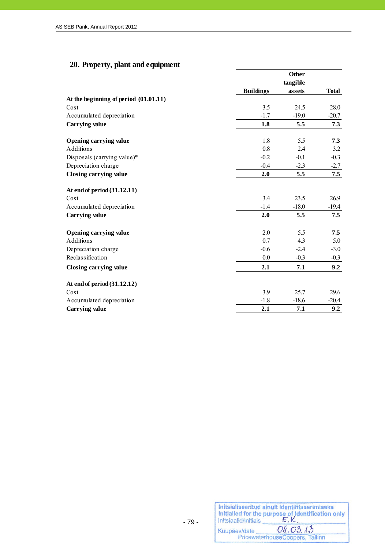# **20. Property, plant and equipment**

|                                         |                  | <b>Other</b> |              |
|-----------------------------------------|------------------|--------------|--------------|
|                                         |                  | tangible     |              |
|                                         | <b>Buildings</b> | assets       | <b>Total</b> |
| At the beginning of period $(01.01.11)$ |                  |              |              |
| Cost                                    | 3.5              | 24.5         | 28.0         |
| Accumulated depreciation                | $-1.7$           | $-19.0$      | $-20.7$      |
| <b>Carrying value</b>                   | 1.8              | 5.5          | 7.3          |
| Opening carrying value                  | 1.8              | 5.5          | 7.3          |
| Additions                               | 0.8              | 2.4          | 3.2          |
| Disposals (carrying value)*             | $-0.2$           | $-0.1$       | $-0.3$       |
| Depreciation charge                     | $-0.4$           | $-2.3$       | $-2.7$       |
| Closing carrying value                  | 2.0              | 5.5          | 7.5          |
| At end of period $(31.12.11)$           |                  |              |              |
| Cost                                    | 3.4              | 23.5         | 26.9         |
| Accumulated depreciation                | $-1.4$           | $-18.0$      | $-19.4$      |
| <b>Carrying value</b>                   | 2.0              | 5.5          | 7.5          |
| Opening carrying value                  | 2.0              | 5.5          | 7.5          |
| Additions                               | 0.7              | 4.3          | 5.0          |
| Depreciation charge                     | $-0.6$           | $-2.4$       | $-3.0$       |
| Reclassification                        | 0.0              | $-0.3$       | $-0.3$       |
| Closing carrying value                  | 2.1              | 7.1          | 9.2          |
| At end of period (31.12.12)             |                  |              |              |
| Cost                                    | 3.9              | 25.7         | 29.6         |
| Accumulated depreciation                | $-1.8$           | $-18.6$      | $-20.4$      |
| <b>Carrying value</b>                   | 2.1              | 7.1          | 9.2          |

| Initsiaalid/initials | Initsialiseeritud ainult identifitseerimiseks<br>Initialled for the purpose of Identification only<br>Initsiaalid/initials $E$ , K |
|----------------------|------------------------------------------------------------------------------------------------------------------------------------|
| Kuupäev/date         | 08.03.13                                                                                                                           |
|                      | PricewaterhouseCoopers, Tallinn                                                                                                    |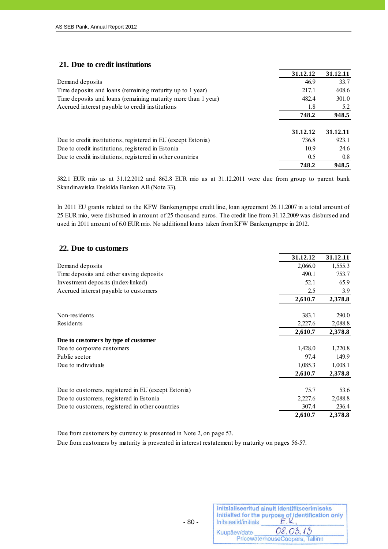# **21. Due to credit institutions**

|                                                               | 31.12.12 | 31.12.11 |
|---------------------------------------------------------------|----------|----------|
| Demand deposits                                               | 46.9     | 33.7     |
| Time deposits and loans (remaining maturity up to 1 year)     | 217.1    | 608.6    |
| Time deposits and loans (remaining maturity more than 1 year) | 482.4    | 301.0    |
| Accrued interest payable to credit institutions               | 1.8      | 5.2      |
|                                                               | 748.2    | 948.5    |
|                                                               | 31.12.12 | 31.12.11 |
| Due to credit institutions, registered in EU (except Estonia) | 736.8    | 923.1    |
| Due to credit institutions, registered in Estonia             | 10.9     | 24.6     |
| Due to credit institutions, registered in other countries     | 0.5      | 0.8      |
|                                                               | 748.2    | 948.5    |

582.1 EUR mio as at 31.12.2012 and 862.8 EUR mio as at 31.12.2011 were due from group to parent bank Skandinaviska Enskilda Banken AB (Note 33).

In 2011 EU grants related to the KFW Bankengruppe credit line, loan agreement 26.11.2007 in a total amount of 25 EUR mio, were disbursed in amount of 25 thousand euros. The credit line from 31.12.2009 was disbursed and used in 2011 amount of 6.0 EUR mio. No additional loans taken from KFW Bankengruppe in 2012.

#### **22. Due to customers**

|                                                     | 31.12.12 | 31.12.11 |
|-----------------------------------------------------|----------|----------|
| Demand deposits                                     | 2,066.0  | 1,555.3  |
| Time deposits and other saving deposits             | 490.1    | 753.7    |
| Investment deposits (index-linked)                  | 52.1     | 65.9     |
| Accrued interest payable to customers               | 2.5      | 3.9      |
|                                                     | 2,610.7  | 2,378.8  |
| Non-residents                                       | 383.1    | 290.0    |
| Residents                                           | 2,227.6  | 2,088.8  |
|                                                     | 2,610.7  | 2,378.8  |
| Due to customers by type of customer                |          |          |
| Due to corporate customers                          | 1,428.0  | 1,220.8  |
| Public sector                                       | 97.4     | 149.9    |
| Due to individuals                                  | 1,085.3  | 1,008.1  |
|                                                     | 2,610.7  | 2,378.8  |
| Due to customers, registered in EU (except Estonia) | 75.7     | 53.6     |
| Due to customers, registered in Estonia             | 2,227.6  | 2,088.8  |
| Due to customers, registered in other countries     | 307.4    | 236.4    |
|                                                     | 2,610.7  | 2,378.8  |

Due from customers by currency is presented in Note 2, on page 53. Due from customers by maturity is presented in interest restatement by maturity on pages 56-57.

| Initsiaalid/initials | Initsialiseeritud ainult identifitseerimiseks<br>Initialled for the purpose of Identification only |
|----------------------|----------------------------------------------------------------------------------------------------|
| Kuupäev/date         | 08.03.13                                                                                           |
|                      | PricewaterhouseCoopers, Tallinn                                                                    |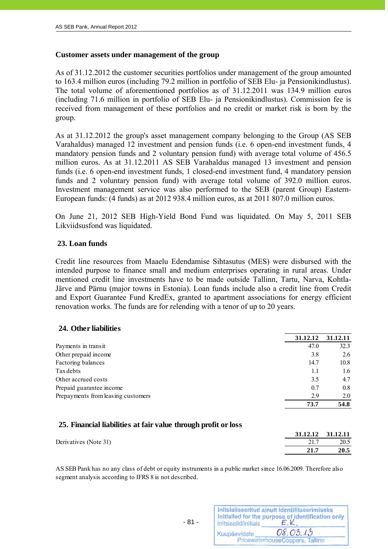#### **Customer assets under management of the group**

As of 31.12.2012 the customer securities portfolios under management of the group amounted to 163.4 million euros (including 79.2 million in portfolio of SEB Elu- ja Pensionikindlustus). The total volume of aforementioned portfolios as of 31.12.2011 was 134.9 million euros (including 71.6 million in portfolio of SEB Elu- ja Pensionikindlustus). Commission fee is received from management of these portfolios and no credit or market risk is born by the group.

As at 31.12.2012 the group's asset management company belonging to the Group (AS SEB Varahaldus) managed 12 investment and pension funds (i.e. 6 open-end investment funds, 4 mandatory pension funds and 2 voluntary pension fund) with average total volume of 456.5 million euros. As at 31.12.2011 AS SEB Varahaldus managed 13 investment and pension funds (i.e. 6 open-end investment funds, 1 closed-end investment fund, 4 mandatory pension funds and 2 voluntary pension fund) with average total volume of 392.0 million euros. Investment management service was also performed to the SEB (parent Group) Eastern-European funds: (4 funds) as at 2012 938.4 million euros, as at 2011 807.0 million euros.

On June 21, 2012 SEB High-Yield Bond Fund was liquidated. On May 5, 2011 SEB Likviidsusfond was liquidated.

#### **23. Loan funds**

Credit line resources from Maaelu Edendamise Sihtasutus (MES) were disbursed with the intended purpose to finance small and medium enterprises operating in rural areas. Under mentioned credit line investments have to be made outside Tallinn, Tartu, Narva, Kohtla-Järve and Pärnu (major towns in Estonia). Loan funds include also a credit line from Credit and Export Guarantee Fund KredEx, granted to apartment associations for energy efficient renovation works. The funds are for relending with a tenor of up to 20 years.

#### **24. Other liabilities**

|                                    | 31.12.12 | 31.12.11 |
|------------------------------------|----------|----------|
| Payments in transit                | 47.0     | 32.3     |
| Other prepaid income               | 3.8      | 2.6      |
| Factoring balances                 | 14.7     | 10.8     |
| Tax debts                          | 1.1      | 1.6      |
| Other accrued costs                | 3.5      | 4.7      |
| Prepaid guarantee income           | 0.7      | 0.8      |
| Prepayments from leasing customers | 2.9      | 2.0      |
|                                    | 73.7     | 54.8     |

# **25. Financial liabilities at fair value through profit or loss**

|                       | 31.12.12 31.12.11 |      |
|-----------------------|-------------------|------|
| Derivatives (Note 31) | 21.7              | 20.5 |
|                       | 21.7              | 20.5 |

AS SEB Pank has no any class of debt or equity instruments in a public market since 16.06.2009. Therefore also segment analysis according to IFRS 8 is not described.

| Initsiaalid/initials | Initsialiseeritud ainult Identifitseerimiseks<br>Initialled for the purpose of Identification only |
|----------------------|----------------------------------------------------------------------------------------------------|
| Kuupäev/date         | 08.03.13                                                                                           |
|                      | PricewaterhouseCoopers, Tallinn                                                                    |

 $- 81 -$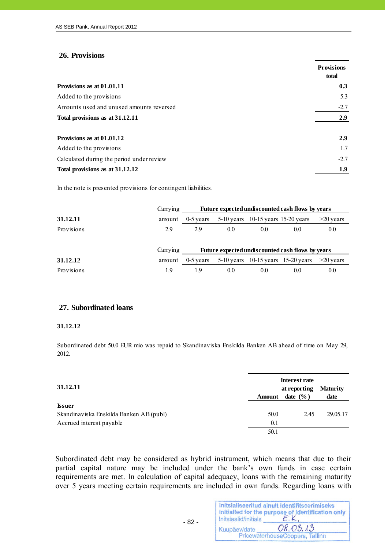### **26. Provisions**

j

|                                           | <b>Provisions</b><br>total |
|-------------------------------------------|----------------------------|
| Provisions as at 01.01.11                 | 0.3                        |
| Added to the provisions                   | 5.3                        |
| Amounts used and unused amounts reversed  | $-2.7$                     |
| Total provisions as at 31.12.11           | 2.9                        |
| Provisions as at 01.01.12                 | 2.9                        |
| Added to the provisions                   | 1.7                        |
| Calculated during the period under review | $-2.7$                     |
| Total provisions as at 31.12.12           | 1.9                        |

In the note is presented provisions for contingent liabilities.

|            | Carrying |             |     |                                        | Future expected undiscounted cash flows by years |             |
|------------|----------|-------------|-----|----------------------------------------|--------------------------------------------------|-------------|
| 31.12.11   | amount   | $0-5$ years |     | $5-10$ years 10-15 years 15-20 years   |                                                  | $>20$ years |
| Provisions | 2.9      | 2.9         | 0.0 | 0.0                                    | 0.0                                              | 0.0         |
|            | Carrying |             |     |                                        | Future expected undiscounted cash flows by years |             |
| 31.12.12   | amount   | $0-5$ years |     | 5-10 years $10-15$ years $15-20$ years |                                                  | $>20$ vears |
| Provisions | 1.9      | 1.9         | 0.0 | $0.0^{\circ}$                          | 0.0                                              | 0.0         |

#### **27. Subordinated loans**

#### **31.12.12**

Subordinated debt 50.0 EUR mio was repaid to Skandinaviska Enskilda Banken AB ahead of time on May 29, 2012.

| 31.12.11                                | Amount | Interest rate<br>at reporting<br>date $(\% )$ | <b>Maturity</b><br>date |
|-----------------------------------------|--------|-----------------------------------------------|-------------------------|
| <b>Issuer</b>                           |        |                                               |                         |
| Skandinaviska Enskilda Banken AB (publ) | 50.0   | 2.45                                          | 29.05.17                |
| Accrued interest payable                | 0.1    |                                               |                         |
|                                         | 50.1   |                                               |                         |

Subordinated debt may be considered as hybrid instrument, which means that due to their partial capital nature may be included under the bank's own funds in case certain requirements are met. In calculation of capital adequacy, loans with the remaining maturity over 5 years meeting certain requirements are included in own funds. Regarding loans with

- 82 -

| Initsiaalid/initials | Initsialiseeritud ainult identifitseerimiseks<br>Initialled for the purpose of Identification only |
|----------------------|----------------------------------------------------------------------------------------------------|
| Kuupäev/date         | 08.03.13                                                                                           |
|                      | PricewaterhouseCoopers, Tallinn                                                                    |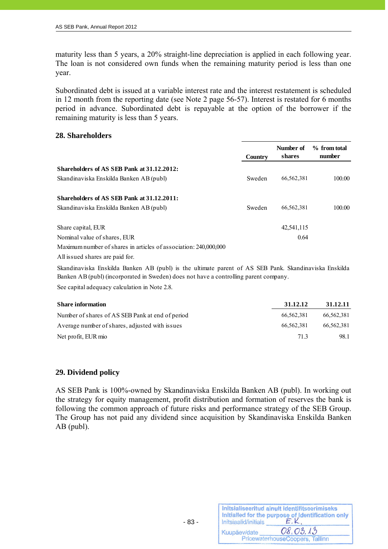maturity less than 5 years, a 20% straight-line depreciation is applied in each following year. The loan is not considered own funds when the remaining maturity period is less than one year.

Subordinated debt is issued at a variable interest rate and the interest restatement is scheduled in 12 month from the reporting date (see Note 2 page 56-57). Interest is restated for 6 months period in advance. Subordinated debt is repayable at the option of the borrower if the remaining maturity is less than 5 years.

### **28. Shareholders**

|                                                                  | Country | Number of<br>shares | % from total<br>number |
|------------------------------------------------------------------|---------|---------------------|------------------------|
| Shareholders of AS SEB Pank at 31.12.2012:                       |         |                     |                        |
| Skandinaviska Enskilda Banken AB (publ)                          | Sweden  | 66,562,381          | 100.00                 |
| Shareholders of AS SEB Pank at 31.12.2011:                       |         |                     |                        |
| Skandinaviska Enskilda Banken AB (publ)                          | Sweden  | 66,562,381          | 100.00                 |
| Share capital, EUR                                               |         | 42,541,115          |                        |
| Nominal value of shares, EUR                                     |         | 0.64                |                        |
| Maximum number of shares in articles of association: 240,000,000 |         |                     |                        |
| All issued shares are paid for.                                  |         |                     |                        |

Skandinaviska Enskilda Banken AB (publ) is the ultimate parent of AS SEB Pank. Skandinaviska Enskilda

Banken AB (publ) (incorporated in Sweden) does not have a controlling parent company.

See capital adequacy calculation in Note 2.8.

| <b>Share information</b>                         | 31.12.12   | 31.12.11   |
|--------------------------------------------------|------------|------------|
| Number of shares of AS SEB Pank at end of period | 66.562.381 | 66,562,381 |
| Average number of shares, adjusted with issues   | 66.562.381 | 66.562.381 |
| Net profit, EUR mio                              | 713        | 98.1       |

# **29. Dividend policy**

AS SEB Pank is 100%-owned by Skandinaviska Enskilda Banken AB (publ). In working out the strategy for equity management, profit distribution and formation of reserves the bank is following the common approach of future risks and performance strategy of the SEB Group. The Group has not paid any dividend since acquisition by Skandinaviska Enskilda Banken AB (publ).

| 08.03.13<br>PricewaterhouseCoopers, Tallinn |
|---------------------------------------------|
|                                             |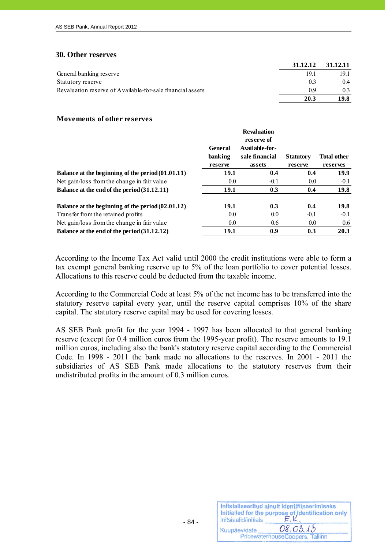#### **30. Other reserves**

j

|                                                            | 31.12.12 | 31.12.11      |
|------------------------------------------------------------|----------|---------------|
| General banking reserve                                    | 191      | 191           |
| Statutory reserve                                          | 0.3      | $0.4^{\circ}$ |
| Revaluation reserve of Available-for-sale financial assets | 09       | 03            |
|                                                            | 20.3     | 19.8          |

#### **Movements of other reserves**

|                                                     | <b>General</b><br>banking<br>reserve | <b>Revaluation</b><br>reserve of<br>Available-for-<br>sale financial<br>assets | <b>Statutory</b><br>reserve | <b>Total other</b><br>reserves |
|-----------------------------------------------------|--------------------------------------|--------------------------------------------------------------------------------|-----------------------------|--------------------------------|
| Balance at the beginning of the period $(01.01.11)$ | 19.1                                 | 0.4                                                                            | 0.4                         | 19.9                           |
| Net gain/loss from the change in fair value         | 0.0                                  | $-0.1$                                                                         | 0.0                         | $-0.1$                         |
| Balance at the end of the period (31.12.11)         | 19.1                                 | 0.3                                                                            | 0.4                         | 19.8                           |
| Balance at the beginning of the period $(02.01.12)$ | 19.1                                 | 0.3                                                                            | 0.4                         | 19.8                           |
| Transfer from the retained profits                  | 0.0                                  | 0.0                                                                            | $-0.1$                      | $-0.1$                         |
| Net gain/loss from the change in fair value         | 0.0                                  | 0.6                                                                            | 0.0                         | 0.6                            |
| Balance at the end of the period (31.12.12)         | 19.1                                 | 0.9                                                                            | 0.3                         | 20.3                           |

According to the Income Tax Act valid until 2000 the credit institutions were able to form a tax exempt general banking reserve up to 5% of the loan portfolio to cover potential losses. Allocations to this reserve could be deducted from the taxable income.

According to the Commercial Code at least 5% of the net income has to be transferred into the statutory reserve capital every year, until the reserve capital comprises 10% of the share capital. The statutory reserve capital may be used for covering losses.

AS SEB Pank profit for the year 1994 - 1997 has been allocated to that general banking reserve (except for 0.4 million euros from the 1995-year profit). The reserve amounts to 19.1 million euros, including also the bank's statutory reserve capital according to the Commercial Code. In 1998 - 2011 the bank made no allocations to the reserves. In 2001 - 2011 the subsidiaries of AS SEB Pank made allocations to the statutory reserves from their undistributed profits in the amount of 0.3 million euros.

|                      | Initsialiseeritud ainult identifitseerimiseks<br>Initialled for the purpose of identification only |
|----------------------|----------------------------------------------------------------------------------------------------|
| Initsiaalid/initials |                                                                                                    |
| Kuupäev/date         | 08.03.13                                                                                           |
|                      | PricewaterhouseCoopers, Tallinn                                                                    |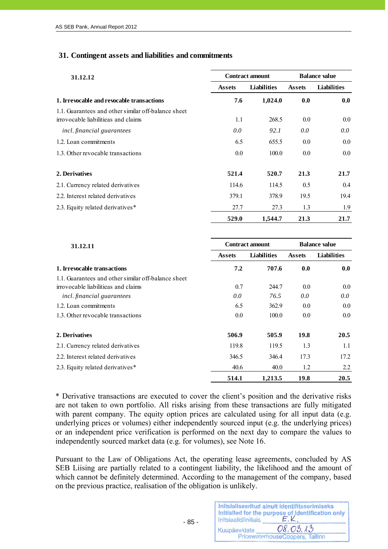# **31. Contingent assets and liabilities and commitments**

| 31.12.12                                                                                   | <b>Contract amount</b><br><b>Balance value</b> |                    |               |                    |
|--------------------------------------------------------------------------------------------|------------------------------------------------|--------------------|---------------|--------------------|
|                                                                                            | <b>Assets</b>                                  | <b>Liabilities</b> | <b>Assets</b> | <b>Liabilities</b> |
| 1. Irrevocable and revocable transactions                                                  | 7.6                                            | 1,024.0            | 0.0           | 0.0                |
| 1.1. Guarantees and other similar off-balance sheet<br>irrovocable liabilitieas and claims | 1.1                                            | 268.5              | 0.0           | 0.0                |
| <i>incl.</i> financial guarantees                                                          | 0.0                                            | 92.1               | 0.0           | 0.0                |
| 1.2. Loan commitments                                                                      | 6.5                                            | 655.5              | 0.0           | 0.0                |
| 1.3. Other revocable transactions                                                          | 0.0                                            | 100.0              | 0.0           | 0.0                |
| 2. Derivatives                                                                             | 521.4                                          | 520.7              | 21.3          | 21.7               |
| 2.1. Currency related derivatives                                                          | 114.6                                          | 114.5              | 0.5           | 0.4                |
| 2.2. Interest related derivatives                                                          | 379.1                                          | 378.9              | 19.5          | 19.4               |
| 2.3. Equity related derivatives*                                                           | 27.7                                           | 27.3               | 1.3           | 1.9                |
|                                                                                            | 529.0                                          | 1,544.7            | 21.3          | 21.7               |

| 31.12.11                                            |               | <b>Contract amount</b> |      | <b>Balance value</b> |  |
|-----------------------------------------------------|---------------|------------------------|------|----------------------|--|
|                                                     | <b>Assets</b> | <b>Liabilities</b>     |      | <b>Liabilities</b>   |  |
| 1. Irrevocable transactions                         | 7.2           | 707.6                  | 0.0  | 0.0                  |  |
| 1.1. Guarantees and other similar off-balance sheet |               |                        |      |                      |  |
| irrovocable liabilitieas and claims                 | 0.7           | 244.7                  | 0.0  | 0.0                  |  |
| incl. financial guarantees                          | 0.0           | 76.5                   | 0.0  | $0.0\,$              |  |
| 1.2. Loan commitments                               | 6.5           | 362.9                  | 0.0  | 0.0                  |  |
| 1.3. Other revocable transactions                   | 0.0           | 100.0                  | 0.0  | 0.0                  |  |
| 2. Derivatives                                      | 506.9         | 505.9                  | 19.8 | 20.5                 |  |
| 2.1. Currency related derivatives                   | 119.8         | 119.5                  | 1.3  | 1.1                  |  |
| 2.2. Interest related derivatives                   | 346.5         | 346.4                  | 17.3 | 17.2                 |  |
| 2.3. Equity related derivatives*                    | 40.6          | 40.0                   | 1.2  | 2.2                  |  |
|                                                     | 514.1         | 1,213.5                | 19.8 | 20.5                 |  |

\* Derivative transactions are executed to cover the client's position and the derivative risks are not taken to own portfolio. All risks arising from these transactions are fully mitigated with parent company. The equity option prices are calculated using for all input data (e.g. underlying prices or volumes) either independently sourced input (e.g. the underlying prices) or an independent price verification is performed on the next day to compare the values to independently sourced market data (e.g. for volumes), see Note 16.

Pursuant to the Law of Obligations Act, the operating lease agreements, concluded by AS SEB Liising are partially related to a contingent liability, the likelihood and the amount of which cannot be definitely determined. According to the management of the company, based on the previous practice, realisation of the obligation is unlikely.

| 08.03.13                        |
|---------------------------------|
| PricewaterhouseCoopers, Tallinn |

- 85 -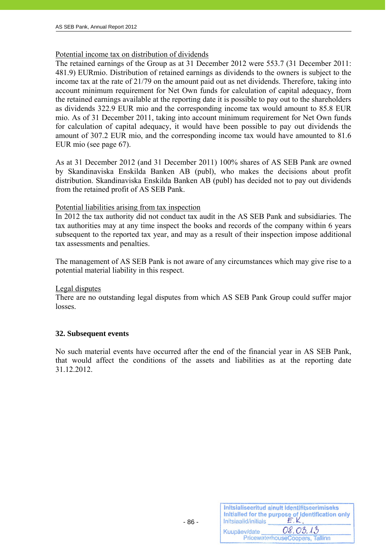# Potential income tax on distribution of dividends

The retained earnings of the Group as at 31 December 2012 were 553.7 (31 December 2011: 481.9) EURmio. Distribution of retained earnings as dividends to the owners is subject to the income tax at the rate of 21/79 on the amount paid out as net dividends. Therefore, taking into account minimum requirement for Net Own funds for calculation of capital adequacy, from the retained earnings available at the reporting date it is possible to pay out to the shareholders as dividends 322.9 EUR mio and the corresponding income tax would amount to 85.8 EUR mio. As of 31 December 2011, taking into account minimum requirement for Net Own funds for calculation of capital adequacy, it would have been possible to pay out dividends the amount of 307.2 EUR mio, and the corresponding income tax would have amounted to 81.6 EUR mio (see page 67).

As at 31 December 2012 (and 31 December 2011) 100% shares of AS SEB Pank are owned by Skandinaviska Enskilda Banken AB (publ), who makes the decisions about profit distribution. Skandinaviska Enskilda Banken AB (publ) has decided not to pay out dividends from the retained profit of AS SEB Pank.

# Potential liabilities arising from tax inspection

In 2012 the tax authority did not conduct tax audit in the AS SEB Pank and subsidiaries. The tax authorities may at any time inspect the books and records of the company within 6 years subsequent to the reported tax year, and may as a result of their inspection impose additional tax assessments and penalties.

The management of AS SEB Pank is not aware of any circumstances which may give rise to a potential material liability in this respect.

# Legal disputes

There are no outstanding legal disputes from which AS SEB Pank Group could suffer major losses.

# **32. Subsequent events**

No such material events have occurred after the end of the financial year in AS SEB Pank, that would affect the conditions of the assets and liabilities as at the reporting date 31.12.2012.

| Initsiaalid/initials | Initsialiseeritud ainult identifitseerimiseks<br>Initialled for the purpose of Identification only<br>E.K |
|----------------------|-----------------------------------------------------------------------------------------------------------|
| Kuupäev/date         | 08.03.13                                                                                                  |
|                      | PricewaterhouseCoopers, Tallinn                                                                           |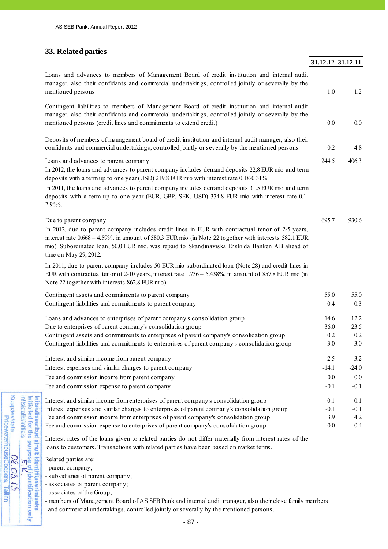# **33. Related parties**

j

|                                                                                                                            |                                                                                                                                                                                                                                                                                                                                                                                                                                                    | 31.12.12 31.12.11 |         |
|----------------------------------------------------------------------------------------------------------------------------|----------------------------------------------------------------------------------------------------------------------------------------------------------------------------------------------------------------------------------------------------------------------------------------------------------------------------------------------------------------------------------------------------------------------------------------------------|-------------------|---------|
|                                                                                                                            | Loans and advances to members of Management Board of credit institution and internal audit<br>manager, also their confidants and commercial undertakings, controlled jointly or severally by the<br>mentioned persons                                                                                                                                                                                                                              | 1.0               | 1.2     |
|                                                                                                                            | Contingent liabilities to members of Management Board of credit institution and internal audit<br>manager, also their confidants and commercial undertakings, controlled jointly or severally by the<br>mentioned persons (credit lines and commitments to extend credit)                                                                                                                                                                          | 0.0               | 0.0     |
|                                                                                                                            | Deposits of members of management board of credit institution and internal audit manager, also their<br>confidants and commercial undertakings, controlled jointly or severally by the mentioned persons                                                                                                                                                                                                                                           | 0.2               | 4.8     |
|                                                                                                                            | Loans and advances to parent company<br>In 2012, the loans and advances to parent company includes demand deposits 22,8 EUR mio and term<br>deposits with a term up to one year (USD) 219.8 EUR mio with interest rate 0.18-0.31%.<br>In 2011, the loans and advances to parent company includes demand deposits 31.5 EUR mio and term<br>deposits with a term up to one year (EUR, GBP, SEK, USD) 374.8 EUR mio with interest rate 0.1-<br>2.96%. | 244.5             | 406.3   |
|                                                                                                                            | Due to parent company<br>In 2012, due to parent company includes credit lines in EUR with contractual tenor of 2-5 years,<br>interest rate 0.668 - 4.59%, in amount of 580.3 EUR mio (in Note 22 together with interests 582.1 EUR<br>mio). Subordinated loan, 50.0 EUR mio, was repaid to Skandinaviska Enskilda Banken AB ahead of<br>time on May 29, 2012.                                                                                      | 695.7             | 930.6   |
|                                                                                                                            | In 2011, due to parent company includes 50 EUR mio subordinated loan (Note 28) and credit lines in<br>EUR with contractual tenor of 2-10 years, interest rate $1.736 - 5.438\%$ , in amount of 857.8 EUR mio (in<br>Note 22 together with interests 862.8 EUR mio).                                                                                                                                                                                |                   |         |
|                                                                                                                            | Contingent assets and commitments to parent company                                                                                                                                                                                                                                                                                                                                                                                                | 55.0              | 55.0    |
|                                                                                                                            | Contingent liabilities and commitments to parent company                                                                                                                                                                                                                                                                                                                                                                                           | 0.4               | 0.3     |
|                                                                                                                            | Loans and advances to enterprises of parent company's consolidation group                                                                                                                                                                                                                                                                                                                                                                          | 14.6              | 12.2    |
|                                                                                                                            | Due to enterprises of parent company's consolidation group                                                                                                                                                                                                                                                                                                                                                                                         | 36.0              | 23.5    |
|                                                                                                                            | Contingent assets and commitments to enterprises of parent company's consolidation group                                                                                                                                                                                                                                                                                                                                                           | 0.2               | 0.2     |
|                                                                                                                            | Contingent liabilities and commitments to enterprises of parent company's consolidation group                                                                                                                                                                                                                                                                                                                                                      | 3.0               | 3.0     |
|                                                                                                                            | Interest and similar income from parent company                                                                                                                                                                                                                                                                                                                                                                                                    | 2.5               | 3.2     |
|                                                                                                                            | Interest expenses and similar charges to parent company                                                                                                                                                                                                                                                                                                                                                                                            | $-14.1$           | $-24.0$ |
|                                                                                                                            | Fee and commission income from parent company                                                                                                                                                                                                                                                                                                                                                                                                      | 0.0               | 0.0     |
|                                                                                                                            | Fee and commission expense to parent company                                                                                                                                                                                                                                                                                                                                                                                                       | $-0.1$            | $-0.1$  |
|                                                                                                                            | Interest and similar income from enterprises of parent company's consolidation group                                                                                                                                                                                                                                                                                                                                                               | 0.1               | 0.1     |
|                                                                                                                            | Interest expenses and similar charges to enterprises of parent company's consolidation group                                                                                                                                                                                                                                                                                                                                                       | $-0.1$            | $-0.1$  |
|                                                                                                                            | Fee and commission income from enterprises of parent company's consolidation group                                                                                                                                                                                                                                                                                                                                                                 | 3.9               | 4.2     |
|                                                                                                                            | Fee and commission expense to enterprises of parent company's consolidation group                                                                                                                                                                                                                                                                                                                                                                  | 0.0               | $-0.4$  |
| Initsialiseeritud ainult Identifitseerimiseks<br>Initialled for the purpose of Identification only<br>Initsiaalid/initials | Interest rates of the loans given to related parties do not differ materially from interest rates of the<br>loans to customers. Transactions with related parties have been based on market terms.                                                                                                                                                                                                                                                 |                   |         |
|                                                                                                                            | Related parties are:                                                                                                                                                                                                                                                                                                                                                                                                                               |                   |         |
|                                                                                                                            | - parent company;                                                                                                                                                                                                                                                                                                                                                                                                                                  |                   |         |
|                                                                                                                            | - subsidiaries of parent company;<br>- associates of parent company;                                                                                                                                                                                                                                                                                                                                                                               |                   |         |
|                                                                                                                            | - associates of the Group;                                                                                                                                                                                                                                                                                                                                                                                                                         |                   |         |
|                                                                                                                            | - members of Management Board of AS SEB Pank and internal audit manager, also their close family members                                                                                                                                                                                                                                                                                                                                           |                   |         |
|                                                                                                                            | and commercial undertakings, controlled jointly or severally by the mentioned persons.                                                                                                                                                                                                                                                                                                                                                             |                   |         |
|                                                                                                                            | $\Omega$                                                                                                                                                                                                                                                                                                                                                                                                                                           |                   |         |

Kuupäevidate<br>PricewaterhouseCoopers,

08.03.13

TallIm

- parent company;
- subsidiaries of parent company;
- associates of parent company;
- associates of the Group;
- members of Management Board of AS SEB Pank and internal audit manager, also their close family members and commercial undertakings, controlled jointly or severally by the mentioned persons.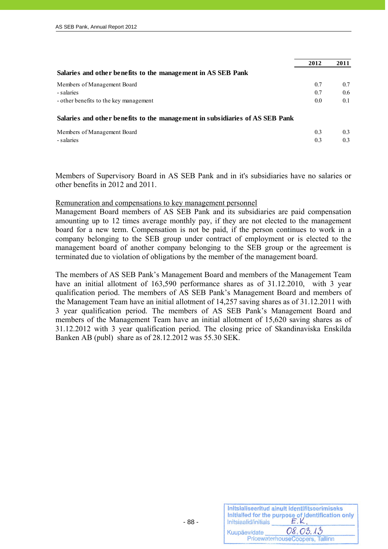|                                                                              | 2012 | 2011 |
|------------------------------------------------------------------------------|------|------|
| Salaries and other benefits to the management in AS SEB Pank                 |      |      |
| Members of Management Board                                                  | 0.7  | 0.7  |
| - salaries                                                                   | 0.7  | 0.6  |
| - other benefits to the key management                                       | 0.0  | 0.1  |
| Salaries and other benefits to the management in subsidiaries of AS SEB Pank |      |      |
| Members of Management Board                                                  | 0.3  | 0.3  |
| - salaries                                                                   | 0.3  | 0.3  |

Members of Supervisory Board in AS SEB Pank and in it's subsidiaries have no salaries or other benefits in 2012 and 2011.

#### Remuneration and compensations to key management personnel

Management Board members of AS SEB Pank and its subsidiaries are paid compensation amounting up to 12 times average monthly pay, if they are not elected to the management board for a new term. Compensation is not be paid, if the person continues to work in a company belonging to the SEB group under contract of employment or is elected to the management board of another company belonging to the SEB group or the agreement is terminated due to violation of obligations by the member of the management board.

The members of AS SEB Pank's Management Board and members of the Management Team have an initial allotment of 163,590 performance shares as of 31.12.2010, with 3 year qualification period. The members of AS SEB Pank's Management Board and members of the Management Team have an initial allotment of 14,257 saving shares as of 31.12.2011 with 3 year qualification period. The members of AS SEB Pank's Management Board and members of the Management Team have an initial allotment of 15,620 saving shares as of 31.12.2012 with 3 year qualification period. The closing price of Skandinaviska Enskilda Banken AB (publ) share as of 28.12.2012 was 55.30 SEK.

| Initsiaalid/initials | Initsialiseeritud ainult identifitseerimiseks<br>Initialled for the purpose of Identification only<br>E.K. |
|----------------------|------------------------------------------------------------------------------------------------------------|
| Kuupäev/date         | 08.03.13                                                                                                   |
|                      | PricewaterhouseCoopers, Tallinn                                                                            |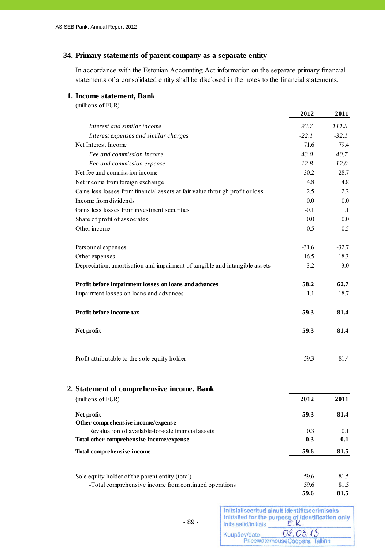# **34. Primary statements of parent company as a separate entity**

In accordance with the Estonian Accounting Act information on the separate primary financial statements of a consolidated entity shall be disclosed in the notes to the financial statements.

# **1. Income statement, Bank**

| (millions of EUR)                                                            |         |         |
|------------------------------------------------------------------------------|---------|---------|
|                                                                              | 2012    | 2011    |
| Interest and similar income                                                  | 93.7    | 111.5   |
| Interest expenses and similar charges                                        | $-22.1$ | $-32.1$ |
| Net Interest Income                                                          | 71.6    | 79.4    |
| Fee and commission income                                                    | 43.0    | 40.7    |
| Fee and commission expense                                                   | $-12.8$ | $-12.0$ |
| Net fee and commission income                                                | 30.2    | 28.7    |
| Net income from foreign exchange                                             | 4.8     | 4.8     |
| Gains less losses from financial assets at fair value through profit or loss | 2.5     | 2.2     |
| Income from dividends                                                        | 0.0     | 0.0     |
| Gains less losses from investment securities                                 | $-0.1$  | 1.1     |
| Share of profit of associates                                                | 0.0     | 0.0     |
| Other income                                                                 | 0.5     | 0.5     |
| Personnel expenses                                                           | $-31.6$ | $-32.7$ |
| Other expenses                                                               | $-16.5$ | $-18.3$ |
| Depreciation, amortisation and impairment of tangible and intangible assets  | $-3.2$  | $-3.0$  |
| Profit before impairment losses on loans and advances                        | 58.2    | 62.7    |
| Impairment losses on loans and advances                                      | 1.1     | 18.7    |
| Profit before income tax                                                     | 59.3    | 81.4    |
| Net profit                                                                   | 59.3    | 81.4    |
| Profit attributable to the sole equity holder                                | 59.3    | 81.4    |

# **2. Statement of comprehensive income, Bank** (millions of EUR) **2012 2011 Net profit 59.3 81.4 Other comprehensive income/expense** Revaluation of available-for-sale financial assets 0.3 0.1 Total other comprehensive income/expense 0.3 0.1 Total comprehensive income 59.6 81.5 Sole equity holder of the parent entity (total) 59.6 81.5 -Total comprehensive income from continued operations 59.6 81.5 **59.6 81.5**

| Initsiaalid/initials | Initsialiseeritud ainult Identifitseerimiseks<br>Initialled for the purpose of identification only<br>Initsiaalid/initials $E$ , $K$ , |
|----------------------|----------------------------------------------------------------------------------------------------------------------------------------|
| Kuupäev/date         | 08.03.13                                                                                                                               |
|                      | PricewaterhouseCoopers, Tallinn                                                                                                        |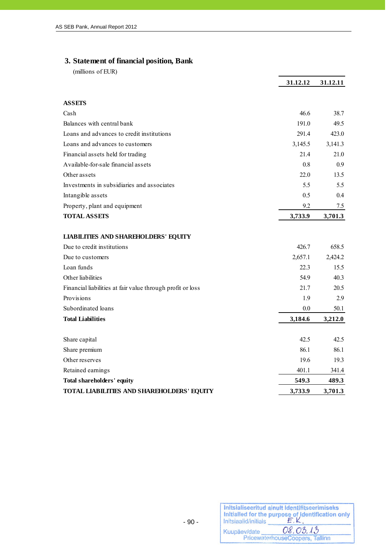# **3. Statement of financial position, Bank**

(millions of EUR)

|                                                            | 31.12.12 | 31.12.11 |
|------------------------------------------------------------|----------|----------|
|                                                            |          |          |
| <b>ASSETS</b>                                              |          |          |
| Cash                                                       | 46.6     | 38.7     |
| Balances with central bank                                 | 191.0    | 49.5     |
| Loans and advances to credit institutions                  | 291.4    | 423.0    |
| Loans and advances to customers                            | 3,145.5  | 3,141.3  |
| Financial assets held for trading                          | 21.4     | 21.0     |
| Available-for-sale financial assets                        | 0.8      | 0.9      |
| Other assets                                               | 22.0     | 13.5     |
| Investments in subsidiaries and associates                 | 5.5      | 5.5      |
| Intangible assets                                          | 0.5      | 0.4      |
| Property, plant and equipment                              | 9.2      | 7.5      |
| <b>TOTAL ASSETS</b>                                        | 3,733.9  | 3,701.3  |
|                                                            |          |          |
| <b>LIABILITIES AND SHAREHOLDERS' EQUITY</b>                |          |          |
| Due to credit institutions                                 | 426.7    | 658.5    |
| Due to customers                                           | 2,657.1  | 2,424.2  |
| Loan funds                                                 | 22.3     | 15.5     |
| Other liabilities                                          | 54.9     | 40.3     |
| Financial liabilities at fair value through profit or loss | 21.7     | 20.5     |
| Provisions                                                 | 1.9      | 2.9      |
| Subordinated loans                                         | 0.0      | 50.1     |
| <b>Total Liabilities</b>                                   | 3,184.6  | 3,212.0  |
|                                                            |          |          |
| Share capital                                              | 42.5     | 42.5     |
| Share premium                                              | 86.1     | 86.1     |
| Other reserves                                             | 19.6     | 19.3     |
| Retained earnings                                          | 401.1    | 341.4    |
| Total shareholders' equity                                 | 549.3    | 489.3    |
| TOTAL LIABILITIES AND SHAREHOLDERS' EQUITY                 | 3,733.9  | 3,701.3  |

| Initsiaalid/initials | Initsialiseeritud ainult Identifitseerimiseks<br>Initialled for the purpose of Identification only |
|----------------------|----------------------------------------------------------------------------------------------------|
| Kuupäev/date         | 08.03.13                                                                                           |
|                      | PricewaterhouseCoopers, Tallinn                                                                    |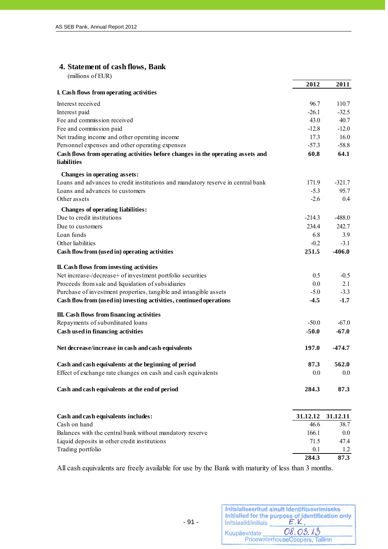# **4. Statement of cash flows, Bank**

| (millions of EUR)                                                                                        |                  |                  |
|----------------------------------------------------------------------------------------------------------|------------------|------------------|
|                                                                                                          | 2012             | 2011             |
| I. Cash flows from operating activities                                                                  |                  |                  |
| Interest received                                                                                        | 96.7             | 110.7            |
| Interest paid                                                                                            | $-26.1$          | $-32.5$          |
| Fee and commission received                                                                              | 43.0             | 40.7             |
| Fee and commission paid                                                                                  | $-12.8$          | $-12.0$          |
| Net trading income and other operating income                                                            | 17.3             | 16.0             |
| Personnel expenses and other operating expenses                                                          | $-57.3$          | $-58.8$          |
| Cash flows from operating activities before changes in the operating assets and                          | 60.8             | 64.1             |
| liabilities                                                                                              |                  |                  |
| Changes in operating assets:                                                                             |                  |                  |
| Loans and advances to credit institutions and mandatory reserve in central bank                          | 171.9            | $-321.7$         |
| Loans and advances to customers                                                                          | $-5.3$           | 95.7             |
| Other assets                                                                                             | $-2.6$           | 0.4              |
| <b>Changes of operating liabilities:</b>                                                                 |                  |                  |
| Due to credit institutions                                                                               | $-214.3$         | $-488.0$         |
| Due to customers                                                                                         | 234.4            | 242.7            |
| Loan funds                                                                                               | 6.8              |                  |
| Other liabilities                                                                                        | $-0.2$           | 3.9<br>$-3.1$    |
| Cash flow from (used in) operating activities                                                            | 251.5            | $-406.0$         |
|                                                                                                          |                  |                  |
| II. Cash flows from investing activities                                                                 |                  |                  |
| Net increase-/decrease+ of investment portfolio securities                                               | 0.5              | $-0.5$           |
| Proceeds from sale and liquidation of subsidiaries                                                       | 0.0              | 2.1              |
| Purchase of investment properties, tangible and intangible assets                                        | $-5.0$           | $-3.3$           |
| Cash flow from (used in) investing activities, continued operations                                      | $-4.5$           | $-1.7$           |
| III. Cash flows from financing activities                                                                |                  |                  |
| Repayments of subordinated loans                                                                         | $-50.0$          | $-67.0$          |
| Cash used in financing activities                                                                        | $-50.0$          | $-67.0$          |
| Net decrease/increase in cash and cash equivalents                                                       | 197.0            | $-474.7$         |
| Cash and cash equivalents at the beginning of period                                                     | 87.3             | 562.0            |
| Effect of exchange rate changes on cash and cash equivalents                                             | 0.0              | 0.0              |
| Cash and cash equivalents at the end of period                                                           | 284.3            | 87.3             |
|                                                                                                          |                  |                  |
| Cash and cash equivalents includes:<br>Cash on hand                                                      | 31.12.12<br>46.6 | 31.12.11<br>38.7 |
|                                                                                                          | 166.1            |                  |
| Balances with the central bank without mandatory reserve<br>Liquid deposits in other credit institutions |                  | 0.0              |
| Trading portfolio                                                                                        | 71.5<br>0.1      | 47.4             |
|                                                                                                          | 284.3            | 1.2<br>87.3      |
|                                                                                                          |                  |                  |

All cash equivalents are freely available for use by the Bank with maturity of less than 3 months.

| Initsiaalid/initials | Initsialiseeritud ainult Identifitseerimiseks<br>Initialled for the purpose of Identification only |
|----------------------|----------------------------------------------------------------------------------------------------|
| Kuupäev/date         | 08.03.13                                                                                           |
|                      | PricewaterhouseCoopers, Tallinn                                                                    |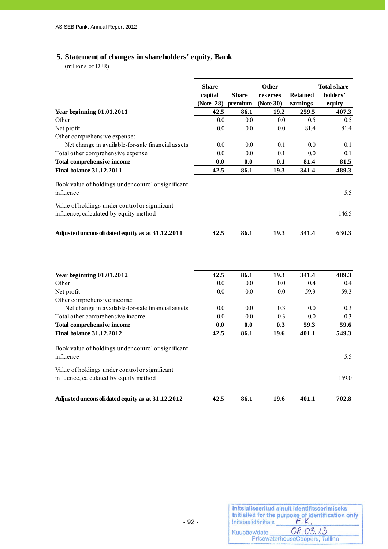# **5. Statement of changes in shareholders' equity, Bank**

(millions of EUR)

j

|                                                                                          | <b>Share</b><br>capital<br>(Note 28) | <b>Share</b><br>premium | <b>Other</b><br>reserves<br>(Note 30) | <b>Retained</b><br>earnings | <b>Total share-</b><br>holders'<br>equity |
|------------------------------------------------------------------------------------------|--------------------------------------|-------------------------|---------------------------------------|-----------------------------|-------------------------------------------|
| Year beginning 01.01.2011                                                                | 42.5                                 | 86.1                    | 19.2                                  | 259.5                       | 407.3                                     |
| Other                                                                                    | 0.0                                  | 0.0                     | 0.0                                   | 0.5                         | 0.5                                       |
| Net profit                                                                               | 0.0                                  | 0.0                     | 0.0                                   | 81.4                        | 81.4                                      |
| Other comprehensive expense:                                                             |                                      |                         |                                       |                             |                                           |
| Net change in available-for-sale financial assets                                        | 0.0                                  | 0.0                     | 0.1                                   | 0.0                         | 0.1                                       |
| Total other comprehensive expense                                                        | 0.0                                  | 0.0                     | 0.1                                   | 0.0                         | 0.1                                       |
| <b>Total comprehensive income</b>                                                        | 0.0                                  | 0.0                     | 0.1                                   | 81.4                        | 81.5                                      |
| <b>Final balance 31.12.2011</b>                                                          | 42.5                                 | 86.1                    | 19.3                                  | 341.4                       | 489.3                                     |
| Book value of holdings under control or significant<br>influence                         |                                      |                         |                                       |                             | 5.5                                       |
| Value of holdings under control or significant<br>influence, calculated by equity method |                                      |                         |                                       |                             | 146.5                                     |
|                                                                                          |                                      |                         |                                       |                             |                                           |
| Adjusted unconsolidated equity as at 31.12.2011                                          | 42.5                                 | 86.1                    | 19.3                                  | 341.4                       | 630.3                                     |
|                                                                                          |                                      |                         |                                       |                             |                                           |
| Year beginning 01.01.2012                                                                | 42.5                                 | 86.1                    | 19.3                                  | 341.4                       | 489.3                                     |
| Other                                                                                    | 0.0                                  | 0.0                     | 0.0                                   | 0.4                         | 0.4                                       |
| Net profit                                                                               | 0.0                                  | 0.0                     | 0.0                                   | 59.3                        | 59.3                                      |
| Other comprehensive income:                                                              |                                      |                         |                                       |                             |                                           |
| Net change in available-for-sale financial assets                                        | 0.0                                  | 0.0                     | 0.3                                   | 0.0                         | 0.3                                       |
| Total other comprehensive income                                                         | 0.0                                  | 0.0                     | 0.3                                   | 0.0                         | 0.3                                       |
| <b>Total comprehensive income</b>                                                        | 0.0                                  | 0.0                     | 0.3                                   | 59.3                        | 59.6                                      |
| <b>Final balance 31.12.2012</b>                                                          | 42.5                                 | 86.1                    | 19.6                                  | 401.1                       | 549.3                                     |
| Book value of holdings under control or significant<br>influence                         |                                      |                         |                                       |                             | 5.5                                       |
| Value of holdings under control or significant<br>influence, calculated by equity method |                                      |                         |                                       |                             | 159.0                                     |
| Adjusted unconsolidated equity as at 31.12.2012                                          | 42.5                                 | 86.1                    | 19.6                                  | 401.1                       | 702.8                                     |

| Initsiaalid/initials | Initsialiseeritud ainult Identifitseerimiseks<br>Initialled for the purpose of identification only<br>E.K |
|----------------------|-----------------------------------------------------------------------------------------------------------|
| Kuupäev/date         | 08.03.13                                                                                                  |
|                      | PricewaterhouseCoopers, Tallinn                                                                           |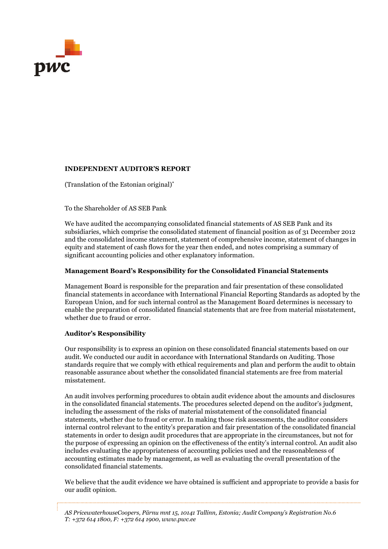

#### **INDEPENDENT AUDITOR'S REPORT**

(Translation of the Estonian original)

To the Shareholder of AS SEB Pank

We have audited the accompanying consolidated financial statements of AS SEB Pank and its subsidiaries, which comprise the consolidated statement of financial position as of 31 December 2012 and the consolidated income statement, statement of comprehensive income, statement of changes in equity and statement of cash flows for the year then ended, and notes comprising a summary of significant accounting policies and other explanatory information.

#### **Management Board's Responsibility for the Consolidated Financial Statements**

Management Board is responsible for the preparation and fair presentation of these consolidated financial statements in accordance with International Financial Reporting Standards as adopted by the European Union, and for such internal control as the Management Board determines is necessary to enable the preparation of consolidated financial statements that are free from material misstatement, whether due to fraud or error.

#### **Auditor's Responsibility**

Our responsibility is to express an opinion on these consolidated financial statements based on our audit. We conducted our audit in accordance with International Standards on Auditing. Those standards require that we comply with ethical requirements and plan and perform the audit to obtain reasonable assurance about whether the consolidated financial statements are free from material misstatement.

An audit involves performing procedures to obtain audit evidence about the amounts and disclosures in the consolidated financial statements. The procedures selected depend on the auditor's judgment, including the assessment of the risks of material misstatement of the consolidated financial statements, whether due to fraud or error. In making those risk assessments, the auditor considers internal control relevant to the entity's preparation and fair presentation of the consolidated financial statements in order to design audit procedures that are appropriate in the circumstances, but not for the purpose of expressing an opinion on the effectiveness of the entity's internal control. An audit also includes evaluating the appropriateness of accounting policies used and the reasonableness of accounting estimates made by management, as well as evaluating the overall presentation of the consolidated financial statements.

We believe that the audit evidence we have obtained is sufficient and appropriate to provide a basis for our audit opinion.

*AS PricewaterhouseCoopers, Pärnu mnt 15, 10141 Tallinn, Estonia; Audit Company's Registration No.6 T: +372 614 1800, F: +372 614 1900, www.pwc.ee*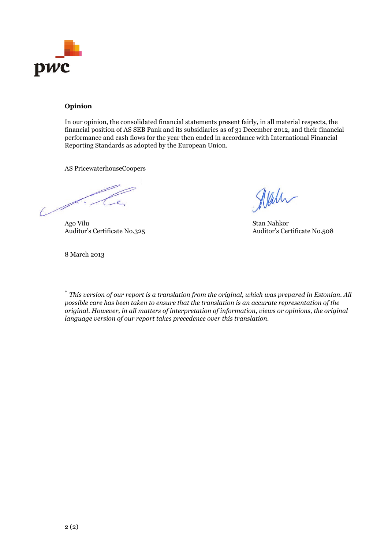

#### **Opinion**

In our opinion, the consolidated financial statements present fairly, in all material respects, the financial position of AS SEB Pank and its subsidiaries as of 31 December 2012, and their financial performance and cash flows for the year then ended in accordance with International Financial Reporting Standards as adopted by the European Union.

AS PricewaterhouseCoopers

Ago Vilu Stan Nahkor

8 March 2013

Alah

Auditor's Certificate No.325 Auditor's Certificate No.508

<span id="page-94-0"></span><sup>\*</sup> *This version of our report is a translation from the original, which was prepared in Estonian. All possible care has been taken to ensure that the translation is an accurate representation of the original. However, in all matters of interpretation of information, views or opinions, the original language version of our report takes precedence over this translation.*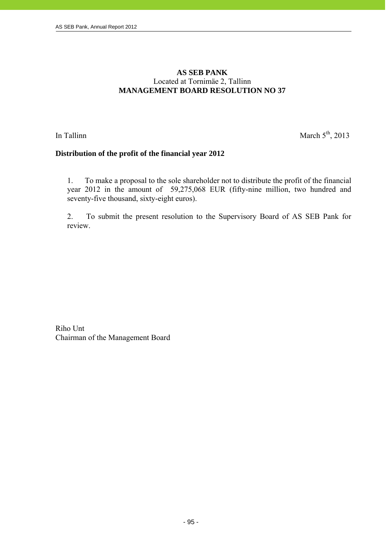# **AS SEB PANK**  Located at Tornimäe 2, Tallinn **MANAGEMENT BOARD RESOLUTION NO 37**

j

In Tallinn March  $5<sup>th</sup>$ , 2013

# **Distribution of the profit of the financial year 2012**

1. To make a proposal to the sole shareholder not to distribute the profit of the financial year 2012 in the amount of 59,275,068 EUR (fifty-nine million, two hundred and seventy-five thousand, sixty-eight euros).

2. To submit the present resolution to the Supervisory Board of AS SEB Pank for review.

Riho Unt Chairman of the Management Board